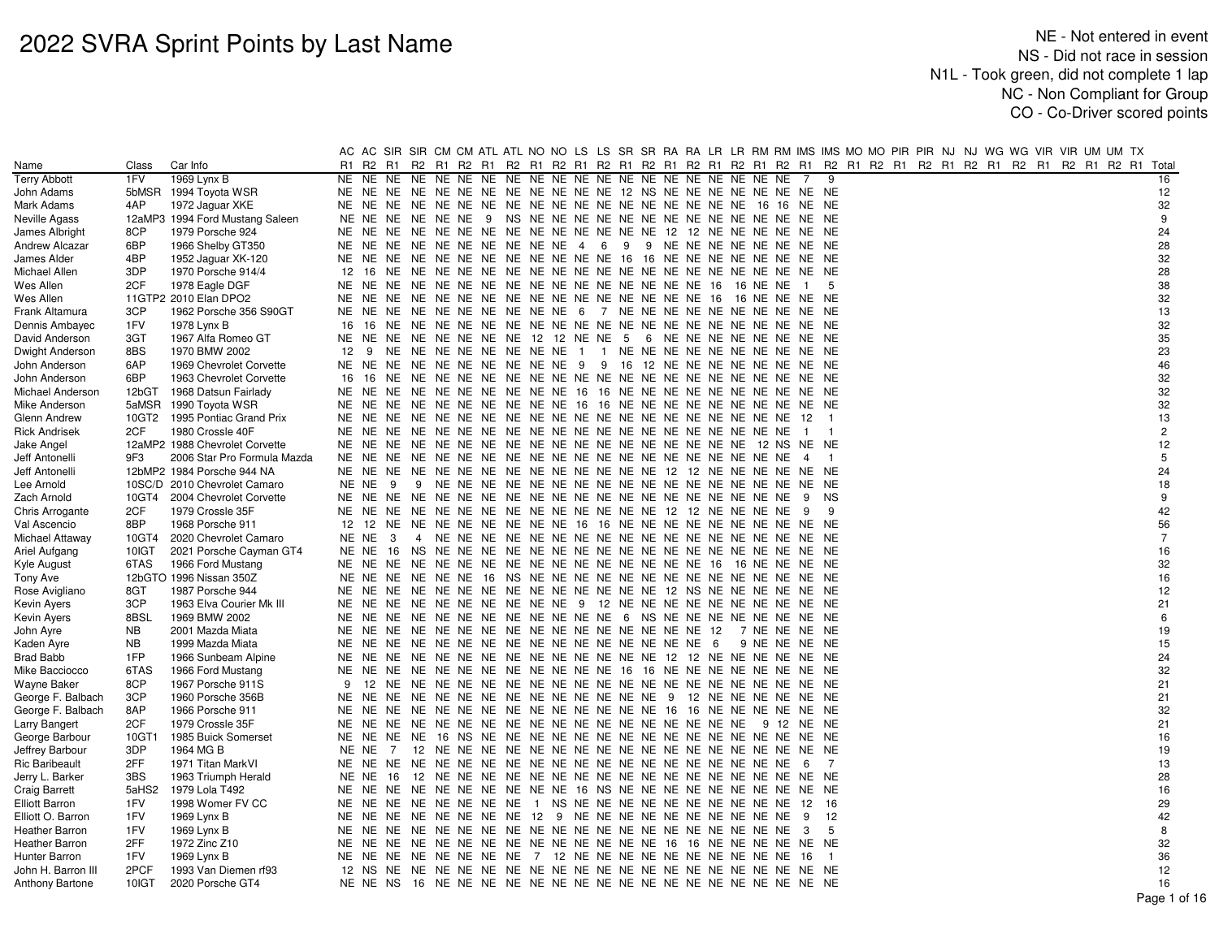|                       |           |                                 |     |              |    |                                                                      |  |  |  |  |  |                |                | AC AC SIR SIR CM CM ATL ATL NO NO LS LS SR SR RA RA LR LR RM RM IMS IMS MO MO PIR PIR NJ NJ WG WG VIR VIR UM UM TX |  |  |  |                |
|-----------------------|-----------|---------------------------------|-----|--------------|----|----------------------------------------------------------------------|--|--|--|--|--|----------------|----------------|--------------------------------------------------------------------------------------------------------------------|--|--|--|----------------|
| Name                  | Class     | Car Info                        | R1  |              |    |                                                                      |  |  |  |  |  |                |                | R2 R1 R2 R1 R2 R1 R2 R1 R2 R1 R2 R1 R2 R1 R2 R1 R2 R1 R2 R1 R2 R1 R2 R1 R2 R1 R2 R1 R2 R1 R2 R1 R2 R1 R2 R1 Total  |  |  |  |                |
| <b>Terry Abbott</b>   | 1FV       | 1969 Lynx B                     |     |              |    |                                                                      |  |  |  |  |  | 7              |                | 9                                                                                                                  |  |  |  | 16             |
| John Adams            |           | 5bMSR 1994 Toyota WSR           |     |              |    | NE NE NE NE NE NE NE NE NE NE NE NE NE 12 NS NE NE NE NE NE NE NE NE |  |  |  |  |  |                |                |                                                                                                                    |  |  |  | 12             |
| Mark Adams            | 4AP       | 1972 Jaguar XKE                 |     | NE NE        |    |                                                                      |  |  |  |  |  |                |                |                                                                                                                    |  |  |  | 32             |
| Neville Agass         |           | 12aMP3 1994 Ford Mustang Saleen |     |              |    |                                                                      |  |  |  |  |  |                |                |                                                                                                                    |  |  |  | 9              |
| James Albright        | 8CP       | 1979 Porsche 924                |     | NE NE        |    | NE NE NE NE NE NE NE NE NE NE NE NE 12 12 NE NE NE NE NE NE          |  |  |  |  |  |                |                |                                                                                                                    |  |  |  | 24             |
| Andrew Alcazar        | 6BP       | 1966 Shelby GT350               |     | NE NE        |    | NE NE NE NE NE NE NE NE 4 6 9 9 NE NE NE NE NE NE NE NE              |  |  |  |  |  |                |                |                                                                                                                    |  |  |  | 28             |
| James Alder           | 4BP       | 1952 Jaguar XK-120              |     |              |    | NE NE NE NE NE NE NE NE NE NE NE NE 16 16 NE NE NE NE NE NE NE NE NE |  |  |  |  |  |                |                |                                                                                                                    |  |  |  | 32             |
| Michael Allen         | 3DP       | 1970 Porsche 914/4              | 12  |              |    |                                                                      |  |  |  |  |  |                |                |                                                                                                                    |  |  |  | 28             |
| Wes Allen             | 2CF       | 1978 Eagle DGF                  | NE  |              |    |                                                                      |  |  |  |  |  | $\blacksquare$ |                | 5                                                                                                                  |  |  |  | 38             |
| Wes Allen             |           | 11GTP2 2010 Elan DPO2           |     |              |    |                                                                      |  |  |  |  |  |                |                |                                                                                                                    |  |  |  | 32             |
| Frank Altamura        | 3CP       | 1962 Porsche 356 S90GT          |     |              |    | NE NE NE NE NE NE NE NE NE NE 6 7 NE NE NE NE NE NE NE NE NE NE      |  |  |  |  |  |                |                |                                                                                                                    |  |  |  | 13             |
| Dennis Ambayec        | 1FV       | 1978 Lynx B                     | 16  | 16           |    |                                                                      |  |  |  |  |  |                |                |                                                                                                                    |  |  |  | 32             |
| David Anderson        | 3GT       | 1967 Alfa Romeo GT              |     |              |    | NE NE NE NE NE NE NE NE 12 12 NE NE 5 6 NE NE NE NE NE NE NE NE      |  |  |  |  |  |                |                |                                                                                                                    |  |  |  | 35             |
| Dwight Anderson       | 8BS       | 1970 BMW 2002                   | 12  | - 9          |    | NE NE NE NE NE NE NE NE 1 1 NE NE NE NE NE NE NE NE NE NE NE         |  |  |  |  |  |                |                |                                                                                                                    |  |  |  | 23             |
| John Anderson         | 6AP       | 1969 Chevrolet Corvette         |     |              |    | NE NE NE NE NE NE NE NE NE NE 9 9 16 12 NE NE NE NE NE NE NE NE NE   |  |  |  |  |  |                |                |                                                                                                                    |  |  |  | 46             |
| John Anderson         | 6BP       | 1963 Chevrolet Corvette         | 16  | -16          |    |                                                                      |  |  |  |  |  |                |                |                                                                                                                    |  |  |  | 32             |
| Michael Anderson      | 12bGT     | 1968 Datsun Fairlady            |     |              |    | NE NE NE NE NE NE NE NE NE NE NE 16 16 NE NE NE NE NE NE NE NE NE NE |  |  |  |  |  |                |                |                                                                                                                    |  |  |  | 32             |
| Mike Anderson         | 5aMSR     | 1990 Toyota WSR                 |     |              |    | NE NE NE NE NE NE NE NE NE NE 16 16 NE NE NE NE NE NE NE NE NE NE NE |  |  |  |  |  |                |                |                                                                                                                    |  |  |  | 32             |
| Glenn Andrew          |           | 10GT2 1995 Pontiac Grand Prix   |     |              |    |                                                                      |  |  |  |  |  |                |                |                                                                                                                    |  |  |  | 13             |
| <b>Rick Andrisek</b>  | 2CF       | 1980 Crossle 40F                |     |              |    |                                                                      |  |  |  |  |  | $\overline{1}$ |                |                                                                                                                    |  |  |  | $\overline{2}$ |
| Jake Angel            |           | 12aMP2 1988 Chevrolet Corvette  |     |              |    |                                                                      |  |  |  |  |  |                |                |                                                                                                                    |  |  |  | 12             |
| Jeff Antonelli        | 9F3       | 2006 Star Pro Formula Mazda     |     |              |    |                                                                      |  |  |  |  |  | $\overline{4}$ | $\blacksquare$ |                                                                                                                    |  |  |  | 5              |
| Jeff Antonelli        |           | 12bMP2 1984 Porsche 944 NA      |     |              |    |                                                                      |  |  |  |  |  |                |                |                                                                                                                    |  |  |  | 24             |
| Lee Arnold            |           | 10SC/D 2010 Chevrolet Camaro    |     | NE NE<br>- 9 |    |                                                                      |  |  |  |  |  |                |                |                                                                                                                    |  |  |  | 18             |
| Zach Arnold           |           | 10GT4 2004 Chevrolet Corvette   |     |              |    |                                                                      |  |  |  |  |  | - 9            | <b>NS</b>      |                                                                                                                    |  |  |  | 9              |
| Chris Arrogante       | 2CF       | 1979 Crossle 35F                |     |              |    |                                                                      |  |  |  |  |  |                |                | 9                                                                                                                  |  |  |  | 42             |
| Val Ascencio          | 8BP       | 1968 Porsche 911                |     |              |    | 12 12 NE NE NE NE NE NE NE NE 16 16 NE NE NE NE NE NE NE NE NE NE NE |  |  |  |  |  |                |                |                                                                                                                    |  |  |  | 56             |
| Michael Attaway       | 10GT4     | 2020 Chevrolet Camaro           |     | NE NE        | -3 |                                                                      |  |  |  |  |  |                |                |                                                                                                                    |  |  |  | $\overline{7}$ |
| Ariel Aufgang         | 10IGT     | 2021 Porsche Cayman GT4         |     | NE NE        |    |                                                                      |  |  |  |  |  |                |                |                                                                                                                    |  |  |  | 16             |
| Kyle August           | 6TAS      | 1966 Ford Mustang               |     |              |    |                                                                      |  |  |  |  |  |                |                |                                                                                                                    |  |  |  | 32             |
| Tony Ave              |           | 12bGTO 1996 Nissan 350Z         |     |              |    |                                                                      |  |  |  |  |  |                |                |                                                                                                                    |  |  |  | 16             |
| Rose Avigliano        | 8GT       | 1987 Porsche 944                | NE  |              |    | NE NE NE NE NE NE NE NE NE NE NE NE NE 12 NS NE NE NE NE NE NE       |  |  |  |  |  |                |                |                                                                                                                    |  |  |  | 12             |
| Kevin Ayers           | 3CP       | 1963 Elva Courier Mk III        |     |              |    | NE NE NE NE NE NE NE NE NE NE NE 9 12 NE NE NE NE NE NE NE NE NE NE  |  |  |  |  |  |                |                |                                                                                                                    |  |  |  | 21             |
| Kevin Ayers           | 8BSL      | 1969 BMW 2002                   |     |              |    | NE NE NE NE NE NE NE NE NE NE NE NE NE 6 NS NE NE NE NE NE NE NE NE  |  |  |  |  |  |                |                |                                                                                                                    |  |  |  | 6              |
| John Ayre             | <b>NB</b> | 2001 Mazda Miata                | NE  |              |    |                                                                      |  |  |  |  |  | 7 NE NE NE NE  |                |                                                                                                                    |  |  |  | 19             |
| Kaden Ayre            | <b>NB</b> | 1999 Mazda Miata                |     |              |    |                                                                      |  |  |  |  |  | 9 NE NE NE NE  |                |                                                                                                                    |  |  |  | 15             |
| <b>Brad Babb</b>      | 1FP       | 1966 Sunbeam Alpine             |     |              |    |                                                                      |  |  |  |  |  |                |                |                                                                                                                    |  |  |  | 24             |
| Mike Bacciocco        | 6TAS      | 1966 Ford Mustang               | NE. |              |    | NE NE NE NE NE NE NE NE NE NE NE 16 16 NE NE NE NE NE NE NE NE NE    |  |  |  |  |  |                |                |                                                                                                                    |  |  |  | 32             |
| Wayne Baker           | 8CP       | 1967 Porsche 911S               | -9  |              |    |                                                                      |  |  |  |  |  |                |                |                                                                                                                    |  |  |  | 21             |
| George F. Balbach     | 3CP       | 1960 Porsche 356B               |     |              |    |                                                                      |  |  |  |  |  |                |                |                                                                                                                    |  |  |  | 21             |
| George F. Balbach     | 8AP       | 1966 Porsche 911                |     |              |    |                                                                      |  |  |  |  |  |                |                |                                                                                                                    |  |  |  | 32             |
| Larry Bangert         | 2CF       | 1979 Crossle 35F                |     |              |    |                                                                      |  |  |  |  |  |                |                |                                                                                                                    |  |  |  | 21             |
| George Barbour        | 10GT1     | 1985 Buick Somerset             |     | NE NE        |    |                                                                      |  |  |  |  |  |                |                |                                                                                                                    |  |  |  | 16             |
| Jeffrey Barbour       | 3DP       | 1964 MG B                       |     | NE NE        | 7  |                                                                      |  |  |  |  |  |                |                |                                                                                                                    |  |  |  | 19             |
| <b>Ric Baribeault</b> | 2FF       | 1971 Titan MarkVI               |     |              |    |                                                                      |  |  |  |  |  |                | 7              |                                                                                                                    |  |  |  | 13             |
| Jerry L. Barker       | 3BS       | 1963 Triumph Herald             |     | NE NE        |    |                                                                      |  |  |  |  |  |                |                |                                                                                                                    |  |  |  | 28             |
| Craig Barrett         | 5aHS2     | 1979 Lola T492                  | NE  | NE           |    | NE NE NE NE NE NE NE NE 16 NS NE NE NE NE NE NE NE NE NE NE          |  |  |  |  |  |                |                |                                                                                                                    |  |  |  | 16             |
| <b>Elliott Barron</b> | 1FV       | 1998 Womer FV CC                |     |              |    | NE NE NE NE NE NE NE NE 1 NS NE NE NE NE NE NE NE NE NE NE 12        |  |  |  |  |  |                | - 16           |                                                                                                                    |  |  |  | 29             |
| Elliott O. Barron     | 1FV       | 1969 Lynx B                     |     |              |    | NE NE NE NE NE NE NE NE 12 9 NE NE NE NE NE NE NE NE NE NE NE        |  |  |  |  |  | - 9            |                | 12                                                                                                                 |  |  |  | 42             |
| <b>Heather Barron</b> | 1FV       | 1969 Lynx B                     |     |              |    |                                                                      |  |  |  |  |  | - 3            |                | 5                                                                                                                  |  |  |  | 8              |
| <b>Heather Barron</b> | 2FF       | 1972 Zinc Z10                   | NE  |              |    | NE NE NE NE NE NE NE NE NE NE NE NE NE 16 16 NE NE NE NE NE NE NE    |  |  |  |  |  |                |                |                                                                                                                    |  |  |  | 32             |
| Hunter Barron         | 1FV       | 1969 Lynx B                     |     |              |    | NE NE NE NE NE NE NE NE 7 12 NE NE NE NE NE NE NE NE NE NE NE 16     |  |  |  |  |  |                |                |                                                                                                                    |  |  |  | 36             |
| John H. Barron III    | 2PCF      | 1993 Van Diemen rf93            |     | 12 NS        |    |                                                                      |  |  |  |  |  |                |                |                                                                                                                    |  |  |  | 12             |
| Anthony Bartone       | 10IGT     | 2020 Porsche GT4                |     |              |    |                                                                      |  |  |  |  |  |                |                |                                                                                                                    |  |  |  | 16             |
|                       |           |                                 |     |              |    |                                                                      |  |  |  |  |  |                |                |                                                                                                                    |  |  |  | Page 1 of 16   |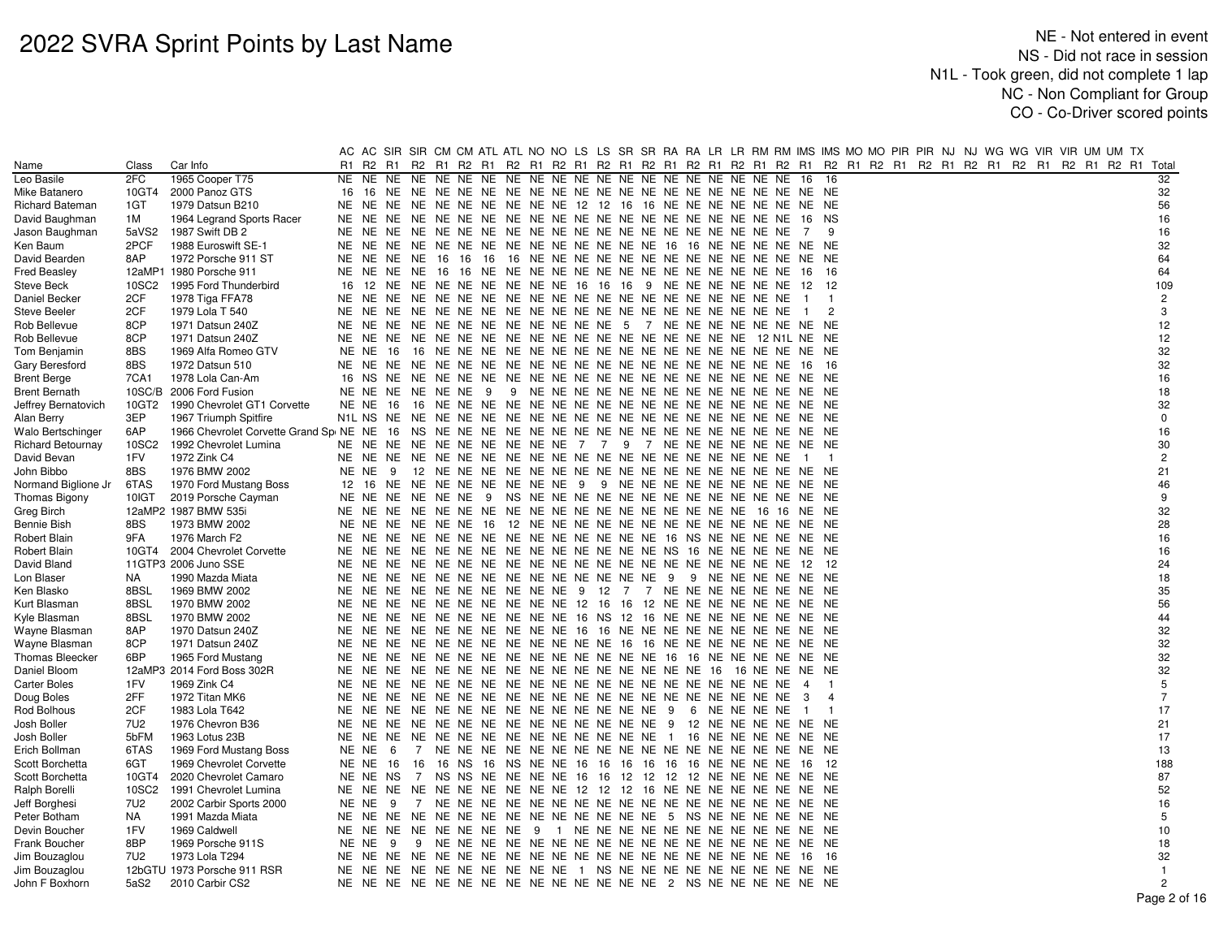|                          |                   |                               | AC    |          |      |              |                     |  |                                                                         |  |  |               |  |                |                |  |  |  |  | AC SIR SIR CM CM ATL ATL NO NO LS LS SR SR RA RA LR LR RM RM IMS IMS MO MO PIR PIR NJ NJ WG WG VIR VIR UM UM TX |                |
|--------------------------|-------------------|-------------------------------|-------|----------|------|--------------|---------------------|--|-------------------------------------------------------------------------|--|--|---------------|--|----------------|----------------|--|--|--|--|-----------------------------------------------------------------------------------------------------------------|----------------|
| Name                     | Class             | Car Info                      | R1    | R2 R1    |      |              |                     |  |                                                                         |  |  |               |  |                |                |  |  |  |  | R2 R1 R2 R1 R2 R1 R2 R1 R2 R1 R2 R1 R2 R1 R2 R1 R2 R1 R2 R1 R2 R1 R2 R1 R2 R1 R2 R1 R2 R1 R2 R1 R2 R1 R2 R1     | Total          |
| Leo Basile               | 2FC               | 1965 Cooper T75               |       | NE NE NE |      |              |                     |  |                                                                         |  |  |               |  | 16             | 16             |  |  |  |  |                                                                                                                 | 32             |
| Mike Batanero            | 10GT4             | 2000 Panoz GTS                |       | 16 16 NE |      |              |                     |  |                                                                         |  |  |               |  |                |                |  |  |  |  |                                                                                                                 | 32             |
| Richard Bateman          | 1GT               | 1979 Datsun B210              | NE NE |          | NE.  |              |                     |  | NE NE NE NE NE NE NE 12 12 16 16 NE NE NE NE NE NE NE NE NE             |  |  |               |  |                |                |  |  |  |  |                                                                                                                 | 56             |
| David Baughman           | 1M                | 1964 Legrand Sports Racer     |       | NE NE NE |      |              |                     |  |                                                                         |  |  |               |  | 16 NS          |                |  |  |  |  |                                                                                                                 | 16             |
| Jason Baughman           | 5aVS2             | 1987 Swift DB 2               |       | NE NE NE |      |              |                     |  |                                                                         |  |  |               |  | 7              | 9              |  |  |  |  |                                                                                                                 | 16             |
| Ken Baum                 | 2PCF              | 1988 Euroswift SE-1           |       | NE NE NE |      |              |                     |  | NE NE NE NE NE NE NE NE NE NE NE 16 16 NE NE NE NE NE NE                |  |  |               |  |                |                |  |  |  |  |                                                                                                                 | 32             |
| David Bearden            | 8AP               | 1972 Porsche 911 ST           |       |          |      |              |                     |  |                                                                         |  |  |               |  |                |                |  |  |  |  |                                                                                                                 | 64             |
| <b>Fred Beasley</b>      |                   | 12aMP1 1980 Porsche 911       |       |          |      |              |                     |  |                                                                         |  |  |               |  |                | - 16           |  |  |  |  |                                                                                                                 | 64             |
| Steve Beck               | 10SC <sub>2</sub> | 1995 Ford Thunderbird         |       |          |      |              |                     |  | 16 12 NE NE NE NE NE NE NE NE 16 16 16 9 NE NE NE NE NE NE 12           |  |  |               |  |                | 12             |  |  |  |  |                                                                                                                 | 109            |
| Daniel Becker            | 2CF               | 1978 Tiga FFA78               |       |          |      |              |                     |  |                                                                         |  |  |               |  | $\blacksquare$ | $\overline{1}$ |  |  |  |  |                                                                                                                 | $\overline{2}$ |
| <b>Steve Beeler</b>      | 2CF               | 1979 Lola T 540               |       |          |      |              |                     |  |                                                                         |  |  |               |  | $\overline{1}$ | $\overline{2}$ |  |  |  |  |                                                                                                                 | 3              |
| Rob Bellevue             | 8CP               | 1971 Datsun 240Z              | NE NE |          | NE.  |              |                     |  | NE NE NE NE NE NE NE NE NE 5 7 NE NE NE NE NE NE NE NE NE               |  |  |               |  |                |                |  |  |  |  |                                                                                                                 | 12             |
| Rob Bellevue             | 8CP               | 1971 Datsun 240Z              |       |          |      |              |                     |  |                                                                         |  |  |               |  |                |                |  |  |  |  |                                                                                                                 | 12             |
| Tom Benjamin             | 8BS               | 1969 Alfa Romeo GTV           |       | NE NE 16 |      |              |                     |  |                                                                         |  |  |               |  |                |                |  |  |  |  |                                                                                                                 | 32             |
| Gary Beresford           | 8BS               | 1972 Datsun 510               |       |          |      |              |                     |  |                                                                         |  |  |               |  | - 16           | - 16           |  |  |  |  |                                                                                                                 | 32             |
| <b>Brent Berge</b>       | 7CA1              | 1978 Lola Can-Am              |       |          |      |              |                     |  |                                                                         |  |  |               |  |                |                |  |  |  |  |                                                                                                                 | 16             |
| <b>Brent Bernath</b>     | 10SC/B            | 2006 Ford Fusion              |       |          |      |              | NE NE NE NE NE NE 9 |  |                                                                         |  |  |               |  |                |                |  |  |  |  |                                                                                                                 | 18             |
| Jeffrey Bernatovich      | 10GT2             | 1990 Chevrolet GT1 Corvette   |       | NE NE    | - 16 |              |                     |  |                                                                         |  |  |               |  |                |                |  |  |  |  |                                                                                                                 | 32             |
| Alan Berry               | 3EP               | 1967 Triumph Spitfire         |       |          |      |              |                     |  |                                                                         |  |  |               |  |                |                |  |  |  |  |                                                                                                                 | $\mathbf 0$    |
| Walo Bertschinger        | 6AP               |                               |       |          |      |              |                     |  |                                                                         |  |  |               |  |                |                |  |  |  |  |                                                                                                                 | 16             |
| <b>Richard Betournay</b> | 10SC2             | 1992 Chevrolet Lumina         | NE NE |          | NE.  |              |                     |  | NE NE NE NE NE NE NE 7 7 9 7 NE NE NE NE NE NE NE NE                    |  |  |               |  |                |                |  |  |  |  |                                                                                                                 | $30\,$         |
| David Bevan              | 1FV               | 1972 Zink C4                  |       |          |      |              |                     |  |                                                                         |  |  |               |  |                | $\overline{1}$ |  |  |  |  |                                                                                                                 | $\overline{c}$ |
| John Bibbo               | 8BS               | 1976 BMW 2002                 |       | NE NE    | - 9  |              |                     |  |                                                                         |  |  |               |  |                |                |  |  |  |  |                                                                                                                 | 21             |
| Normand Biglione Jr      | 6TAS              | 1970 Ford Mustang Boss        |       | 12 16 NE |      |              |                     |  | NE NE NE NE NE NE NE 9 9 NE NE NE NE NE NE NE NE NE NE NE               |  |  |               |  |                |                |  |  |  |  |                                                                                                                 | 46             |
| Thomas Bigony            | 10IGT             | 2019 Porsche Cayman           |       |          |      |              |                     |  |                                                                         |  |  |               |  |                |                |  |  |  |  |                                                                                                                 | 9              |
| Greg Birch               |                   | 12aMP2 1987 BMW 535i          |       |          |      |              |                     |  |                                                                         |  |  |               |  |                |                |  |  |  |  |                                                                                                                 | 32             |
| Bennie Bish              | 8BS               | 1973 BMW 2002                 |       | NE NE NE |      |              |                     |  |                                                                         |  |  |               |  |                |                |  |  |  |  |                                                                                                                 | 28             |
| Robert Blain             | 9FA               | 1976 March F2                 |       |          |      |              |                     |  |                                                                         |  |  |               |  |                |                |  |  |  |  |                                                                                                                 | 16             |
| Robert Blain             |                   | 10GT4 2004 Chevrolet Corvette |       |          |      |              |                     |  |                                                                         |  |  |               |  |                |                |  |  |  |  |                                                                                                                 | 16             |
| David Bland              |                   | 11GTP3 2006 Juno SSE          | NE NE |          | NE.  |              |                     |  |                                                                         |  |  |               |  | - 12           | - 12           |  |  |  |  |                                                                                                                 | 24             |
| Lon Blaser               | NA                | 1990 Mazda Miata              |       |          |      |              |                     |  |                                                                         |  |  |               |  |                |                |  |  |  |  |                                                                                                                 | 18             |
| Ken Blasko               | 8BSL              | 1969 BMW 2002                 |       |          |      |              |                     |  | NE NE NE NE NE NE NE NE NE NE 9 12 7 7 NE NE NE NE NE NE NE NE          |  |  |               |  |                |                |  |  |  |  |                                                                                                                 | 35             |
| Kurt Blasman             | 8BSL              | 1970 BMW 2002                 |       |          |      |              |                     |  | NE NE NE NE NE NE NE NE NE NE NE 12 16 16 12 NE NE NE NE NE NE NE NE NE |  |  |               |  |                |                |  |  |  |  |                                                                                                                 | 56             |
| Kyle Blasman             | 8BSL              | 1970 BMW 2002                 |       |          |      |              |                     |  | NE NE NE NE NE NE NE NE NE NE 16 NS 12 16 NE NE NE NE NE NE NE NE       |  |  |               |  |                |                |  |  |  |  |                                                                                                                 | 44             |
| Wayne Blasmar            | 8AP               | 1970 Datsun 240Z              |       |          |      |              |                     |  | NE NE NE NE NE NE NE NE NE NE 16 16 NE NE NE NE NE NE NE NE NE NE NE    |  |  |               |  |                |                |  |  |  |  |                                                                                                                 | 32             |
| Wayne Blasman            | 8CP               | 1971 Datsun 240Z              |       |          |      |              |                     |  | NE NE NE NE NE NE NE NE NE NE NE NE 16 16 NE NE NE NE NE NE NE NE NE    |  |  |               |  |                |                |  |  |  |  |                                                                                                                 | 32             |
| <b>Thomas Bleecker</b>   | 6BP               | 1965 Ford Mustang             |       |          |      |              |                     |  |                                                                         |  |  |               |  |                |                |  |  |  |  |                                                                                                                 | 32             |
| Daniel Bloom             |                   | 12aMP3 2014 Ford Boss 302R    |       |          |      |              |                     |  |                                                                         |  |  |               |  |                |                |  |  |  |  |                                                                                                                 | 32             |
| <b>Carter Boles</b>      | 1FV               | 1969 Zink C4                  |       | NE NE NE |      |              |                     |  |                                                                         |  |  |               |  | $\overline{4}$ | $\overline{1}$ |  |  |  |  |                                                                                                                 | $\,$ 5 $\,$    |
| Doug Boles               | 2FF               | 1972 Titan MK6                |       | NE NE NE |      |              |                     |  |                                                                         |  |  |               |  | -3             | $\overline{4}$ |  |  |  |  |                                                                                                                 | $\overline{7}$ |
| Rod Bolhous              | 2CF               | 1983 Lola T642                |       |          |      |              |                     |  |                                                                         |  |  | 6 NE NE NE NE |  | $\blacksquare$ | $\overline{1}$ |  |  |  |  |                                                                                                                 | 17             |
| Josh Boller              | 7U2               | 1976 Chevron B36              |       | NE NE NE |      |              |                     |  | NE NE NE NE NE NE NE NE NE NE NE 9 12 NE NE NE NE NE NE                 |  |  |               |  |                |                |  |  |  |  |                                                                                                                 | 21             |
| Josh Boller              | 5bFM              | 1963 Lotus 23B                | NE NE |          | NE.  |              |                     |  | NE NE NE NE NE NE NE NE NE NE NE 1 16 NE NE NE NE NE NE                 |  |  |               |  |                |                |  |  |  |  |                                                                                                                 | 17             |
| Erich Bollman            | 6TAS              | 1969 Ford Mustang Boss        |       | NE NE    | - 6  |              |                     |  |                                                                         |  |  |               |  |                |                |  |  |  |  |                                                                                                                 | 13             |
| Scott Borchetta          | 6GT               | 1969 Chevrolet Corvette       |       | NE NE    | 16   | 16           |                     |  | 16 NS 16 NS NE NE 16 16 16 16 16 16 NE NE NE NE 16                      |  |  |               |  |                | 12             |  |  |  |  |                                                                                                                 | 188            |
| Scott Borchetta          | 10GT4             | 2020 Chevrolet Camaro         |       | NE NE    | NS.  | <sup>7</sup> |                     |  | NS NS NE NE NE NE 16 16 12 12 12 12 NE NE NE NE NE NE                   |  |  |               |  |                |                |  |  |  |  |                                                                                                                 | 87             |
| Ralph Borelli            | 10SC2             | 1991 Chevrolet Lumina         |       |          |      |              |                     |  | NE NE NE NE NE NE NE NE NE NE NE 12 12 12 16 NE NE NE NE NE NE NE NE NE |  |  |               |  |                |                |  |  |  |  |                                                                                                                 | 52             |
| Jeff Borghesi            | 7U2               | 2002 Carbir Sports 2000       |       | NE NE    | - 9  |              |                     |  |                                                                         |  |  |               |  |                |                |  |  |  |  |                                                                                                                 | 16             |
| Peter Botham             | NA                | 1991 Mazda Miata              | NE NE |          |      |              |                     |  | NE NE NE NE NE NE NE NE NE NE NE NE 5 NS NE NE NE NE NE NE              |  |  |               |  |                |                |  |  |  |  |                                                                                                                 | 5              |
| Devin Boucher            | 1FV               | 1969 Caldwell                 |       |          |      |              |                     |  | NE NE NE NE NE NE NE NE 9 1 NE NE NE NE NE NE NE NE NE NE NE NE         |  |  |               |  |                |                |  |  |  |  |                                                                                                                 | 10             |
| Frank Boucher            | 8BP               | 1969 Porsche 911S             |       | NE NE    | - 9  |              |                     |  |                                                                         |  |  |               |  |                |                |  |  |  |  |                                                                                                                 | 18             |
| Jim Bouzaglou            | 7U2               | 1973 Lola T294                | NE NE |          |      |              |                     |  |                                                                         |  |  |               |  | - 16           | - 16           |  |  |  |  |                                                                                                                 | 32             |
| Jim Bouzaglou            |                   | 12bGTU 1973 Porsche 911 RSR   |       |          |      |              |                     |  | NE NE NE NE NE NE NE NE NE NE NE 1 NS NE NE NE NE NE NE NE NE NE NE     |  |  |               |  |                |                |  |  |  |  |                                                                                                                 | $\overline{1}$ |
| John F Boxhorn           | 5aS2              | 2010 Carbir CS2               |       |          |      |              |                     |  |                                                                         |  |  |               |  |                |                |  |  |  |  |                                                                                                                 | $\overline{2}$ |
|                          |                   |                               |       |          |      |              |                     |  |                                                                         |  |  |               |  |                |                |  |  |  |  |                                                                                                                 | $\sim$         |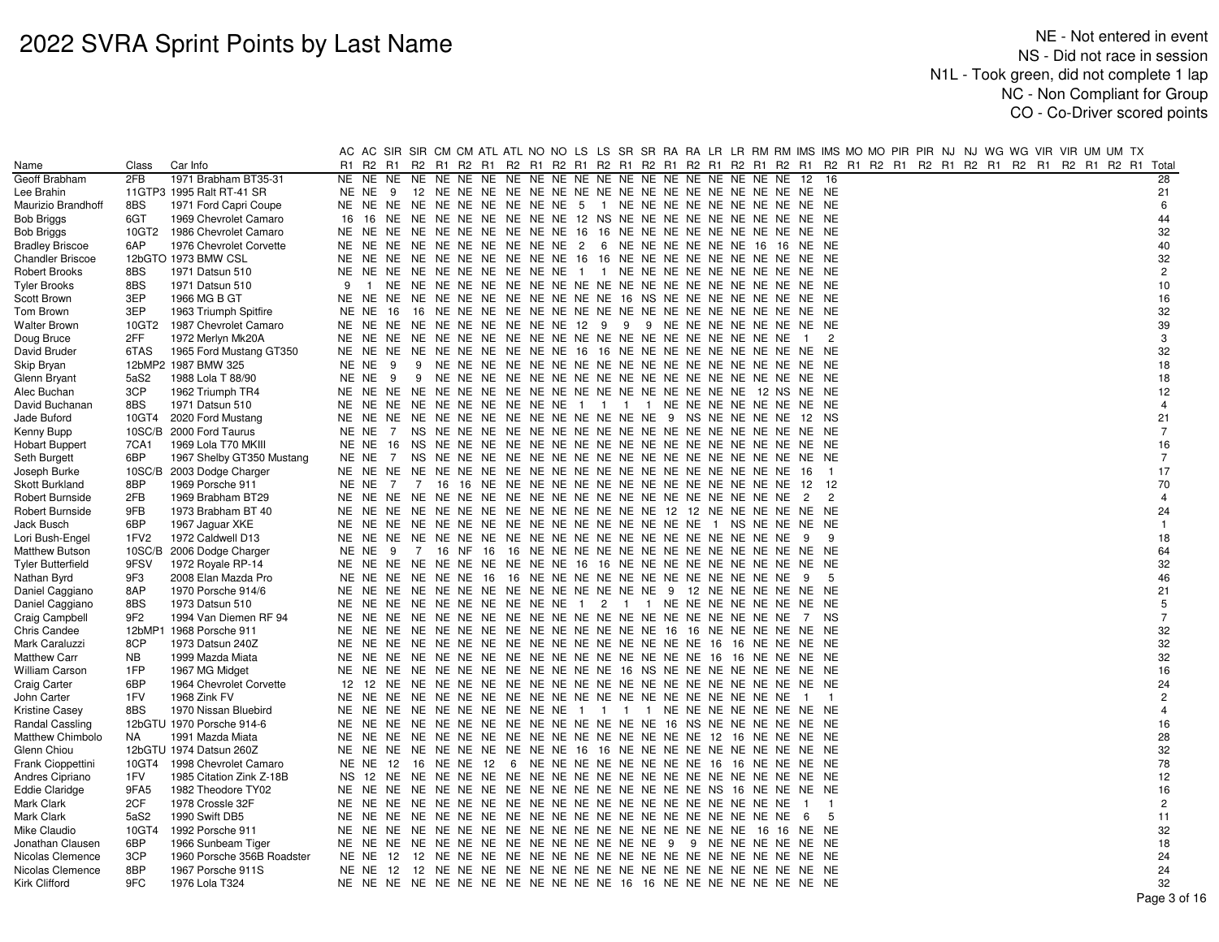|                         |                  |                            |                                                                           | AC AC SIR SIR CM CM ATL ATL NO NO LS LS SR SR RA RA LR LR RM RM IMS IMS MO MO PIR PIR NJ NJ WG WG VIR VIR UM UM TX |                |
|-------------------------|------------------|----------------------------|---------------------------------------------------------------------------|--------------------------------------------------------------------------------------------------------------------|----------------|
| Name                    | Class            | Car Info                   | R1                                                                        | R2 R1 R2 R1 R2 R1 R2 R1 R2 R1 R2 R1 R2 R1 R2 R1 R2 R1 R2 R1 R2 R1 R2 R1 R2 R1 R2 R1 R2 R1 R2 R1 R2 R1 R2 R1 Total  |                |
| Geoff Brabham           | 2FB              | 1971 Brabham BT35-31       | NE NE NE                                                                  | 12<br>-16                                                                                                          | 28             |
| Lee Brahin              |                  | 11GTP3 1995 Ralt RT-41 SR  | NE NE                                                                     |                                                                                                                    | 21             |
| Maurizio Brandhoff      | 8BS              | 1971 Ford Capri Coupe      | NE NE NE NE NE NE NE NE NE NE 5 1 NE NE NE NE NE NE NE NE NE NE           |                                                                                                                    | 6              |
| Bob Briggs              | 6GT              | 1969 Chevrolet Camaro      | 16<br>NE NE NE NE NE NE NE NE 12 NS NE NE NE NE NE NE NE NE NE NE<br>16   |                                                                                                                    | 44             |
| Bob Briggs              | 10GT2            | 1986 Chevrolet Camaro      | NE NE NE NE NE NE NE NE 16 16 NE NE NE NE NE NE NE NE NE NE<br>NE NE      |                                                                                                                    | 32             |
| <b>Bradley Briscoe</b>  | 6AP              | 1976 Chevrolet Corvette    | NE<br>NE.<br>NE NE NE NE NE NE NE NE 2 6 NE NE NE NE NE NE 16 16 NE NE    |                                                                                                                    | 40             |
| <b>Chandler Briscoe</b> |                  | 12bGTO 1973 BMW CSL        | NE NE NE NE NE NE NE NE NE NE 16 16 NE NE NE NE NE NE NE NE NE NE NE      |                                                                                                                    | 32             |
| Robert Brooks           | 8BS              | 1971 Datsun 510            | NE NE NE NE NE NE NE NE NE NE 1 1 NE NE NE NE NE NE NE NE NE NE           |                                                                                                                    | $\overline{c}$ |
| Tyler Brooks            | 8BS              | 1971 Datsun 510            | 9<br>$\mathbf{1}$                                                         |                                                                                                                    | 10             |
| Scott Brown             | 3EP              | 1966 MG B GT               | NE NE NE NE NE NE NE NE NE NE NE NE 16 NS NE NE NE NE NE NE NE NE NE      |                                                                                                                    | 16             |
| Tom Brown               | 3EP              | 1963 Triumph Spitfire      | NE NE<br>- 16                                                             |                                                                                                                    | 32             |
| <b>Walter Brown</b>     | 10GT2            | 1987 Chevrolet Camaro      | NE NE NE NE NE NE NE NE 12 9 9 9 NE NE NE NE NE NE NE NE NE<br>NE<br>NE.  |                                                                                                                    | 39             |
| Doug Bruce              | 2FF              | 1972 Merlyn Mk20A          |                                                                           | -2<br>$\overline{1}$                                                                                               | 3              |
| David Bruder            | 6TAS             | 1965 Ford Mustang GT350    | NE NE NE NE NE NE NE NE 16 16 NE NE NE NE NE NE NE NE NE NE NE<br>NE NE   |                                                                                                                    | 32             |
| Skip Bryan              |                  | 12bMP2 1987 BMW 325        | NE NE<br>9                                                                |                                                                                                                    | 18             |
| Glenn Bryant            | 5aS2             | 1988 Lola T 88/90          | NE NE<br>- 9<br>-9                                                        |                                                                                                                    | 18             |
| Alec Buchan             | 3CP              | 1962 Triumph TR4           |                                                                           |                                                                                                                    | 12             |
| David Buchanan          | 8BS              | 1971 Datsun 510            | NE NE NE NE NE NE NE NE NE NE 1 1 1 1 NE NE NE NE NE NE NE NE NE          |                                                                                                                    | $\overline{4}$ |
| Jade Buford             |                  | 10GT4 2020 Ford Mustang    | NE NE NE NE NE NE NE NE NE NE NE NE NE 9 NS NE NE NE NE 12 NS<br>NE       |                                                                                                                    | 21             |
| Kenny Bupp              |                  | 10SC/B 2000 Ford Taurus    | NE NE<br>7                                                                |                                                                                                                    | $\overline{7}$ |
| <b>Hobart Buppert</b>   | 7CA1             | 1969 Lola T70 MKIII        | NE NE                                                                     |                                                                                                                    | 16             |
| Seth Burgett            | 6BP              | 1967 Shelby GT350 Mustang  | NE NE                                                                     |                                                                                                                    | $\overline{7}$ |
| Joseph Burke            |                  | 10SC/B 2003 Dodge Charger  |                                                                           | $\overline{1}$                                                                                                     | 17             |
| Skott Burkland          | 8BP              | 1969 Porsche 911           | NE NE<br>7                                                                | - 12                                                                                                               | 70             |
| Robert Burnside         | 2FB              | 1969 Brabham BT29          |                                                                           | $\overline{c}$<br>$\overline{2}$                                                                                   | $\overline{4}$ |
| Robert Burnside         | 9FB              | 1973 Brabham BT 40         |                                                                           |                                                                                                                    | 24             |
| Jack Busch              | 6BP              | 1967 Jaguar XKE            |                                                                           |                                                                                                                    | $\overline{1}$ |
| Lori Bush-Engel         | 1FV <sub>2</sub> | 1972 Caldwell D13          | NE<br>NE.                                                                 | 9                                                                                                                  | 18             |
| <b>Matthew Butson</b>   | 10SC/B           | 2006 Dodge Charger         | NENE <sub>9</sub>                                                         |                                                                                                                    | 64             |
| Tyler Butterfield       | 9FSV             | 1972 Royale RP-14          | NE NE NE NE NE NE NE NE NE NE 16 16 NE NE NE NE NE NE NE NE NE NE NE      |                                                                                                                    | 32             |
| Nathan Byrd             | 9F3              | 2008 Elan Mazda Pro        | NE NE                                                                     | - 5                                                                                                                | 46             |
| Daniel Caggiano         | 8AP              | 1970 Porsche 914/6         | NE NE NE NE NE NE NE NE NE NE NE NE 9 12 NE NE NE NE NE NE<br>NE<br>NE.   |                                                                                                                    | 21             |
| Daniel Caggiano         | 8BS              | 1973 Datsun 510            | NE NE NE NE NE NE NE NE NE NE 1 2 1 1 NE NE NE NE NE NE NE NE NE          |                                                                                                                    | 5              |
| Craig Campbell          | 9F2              | 1994 Van Diemen RF 94      | NE NE                                                                     |                                                                                                                    | $\overline{7}$ |
| Chris Candee            | 12bMP1           | 1968 Porsche 911           | NE NE NE NE NE NE NE NE NE NE NE NE 16 16 NE NE NE NE NE NE<br>NE.<br>NE. |                                                                                                                    | 32             |
| Mark Caraluzzi          | 8CP              | 1973 Datsun 240Z           | NE NE                                                                     |                                                                                                                    | 32             |
| <b>Matthew Carr</b>     | NB               | 1999 Mazda Miata           | NE NE                                                                     |                                                                                                                    | 32             |
| <b>William Carson</b>   | 1FP              | 1967 MG Midget             | NE<br>NE<br>NE NE NE NE NE NE NE NE NE NE 16 NS NE NE NE NE NE NE NE NE   |                                                                                                                    | 16             |
| <b>Craig Carter</b>     | 6BP              | 1964 Chevrolet Corvette    | 12                                                                        |                                                                                                                    | 24             |
| John Carter             | 1FV              | 1968 Zink FV               |                                                                           |                                                                                                                    | $\overline{2}$ |
| <b>Kristine Casey</b>   | 8BS              | 1970 Nissan Bluebird       | NE NE<br>NE NE NE NE NE NE NE NE 1 1 1 1 NE NE NE NE NE NE NE NE          |                                                                                                                    | $\overline{4}$ |
| Randal Cassling         |                  | 12bGTU 1970 Porsche 914-6  | NE                                                                        |                                                                                                                    | 16             |
| Matthew Chimbolo        | NA.              | 1991 Mazda Miata           | NE NE                                                                     |                                                                                                                    | 28             |
| Glenn Chiou             |                  | 12bGTU 1974 Datsun 260Z    | NE NE NE NE NE NE NE NE 16 16 NE NE NE NE NE NE NE NE NE NE NE<br>NE NE   |                                                                                                                    | 32             |
| Frank Cioppettini       | 10GT4            | 1998 Chevrolet Camaro      | NE NE 12 16 NE NE 12 6 NE NE NE NE NE NE NE NE 16 16 NE NE NE NE          |                                                                                                                    | 78             |
| Andres Cipriano         | 1FV              | 1985 Citation Zink Z-18B   | NS 12                                                                     |                                                                                                                    | 12             |
| Eddie Claridge          | 9FA5             | 1982 Theodore TY02         | NE<br>NE.                                                                 |                                                                                                                    | 16             |
| Mark Clark              | 2CF              | 1978 Crossle 32F           |                                                                           | $\overline{1}$<br>$\overline{1}$                                                                                   | $\overline{2}$ |
| Mark Clark              | 5aS2             | 1990 Swift DB5             |                                                                           | 5<br>- 6                                                                                                           | 11             |
| Mike Claudio            | 10GT4            | 1992 Porsche 911           | NE NE                                                                     |                                                                                                                    | 32             |
| Jonathan Clausen        | 6BP              | 1966 Sunbeam Tiger         | NE NE NE NE NE NE NE NE NE NE NE NE 9 9 NE NE NE NE NE NE<br>NE NE        |                                                                                                                    | 18             |
| Nicolas Clemence        | 3CP              | 1960 Porsche 356B Roadster | NE NE                                                                     |                                                                                                                    | 24             |
| Nicolas Clemence        | 8BP              | 1967 Porsche 911S          | NE NE                                                                     |                                                                                                                    | 24             |
| Kirk Clifford           | 9FC              | 1976 Lola T324             | NE NE NE NE NE NE NE NE NE NE NE NE NE 16 16 NE NE NE NE NE NE NE NE NE   |                                                                                                                    | 32             |
|                         |                  |                            |                                                                           |                                                                                                                    | Page 3 of 16   |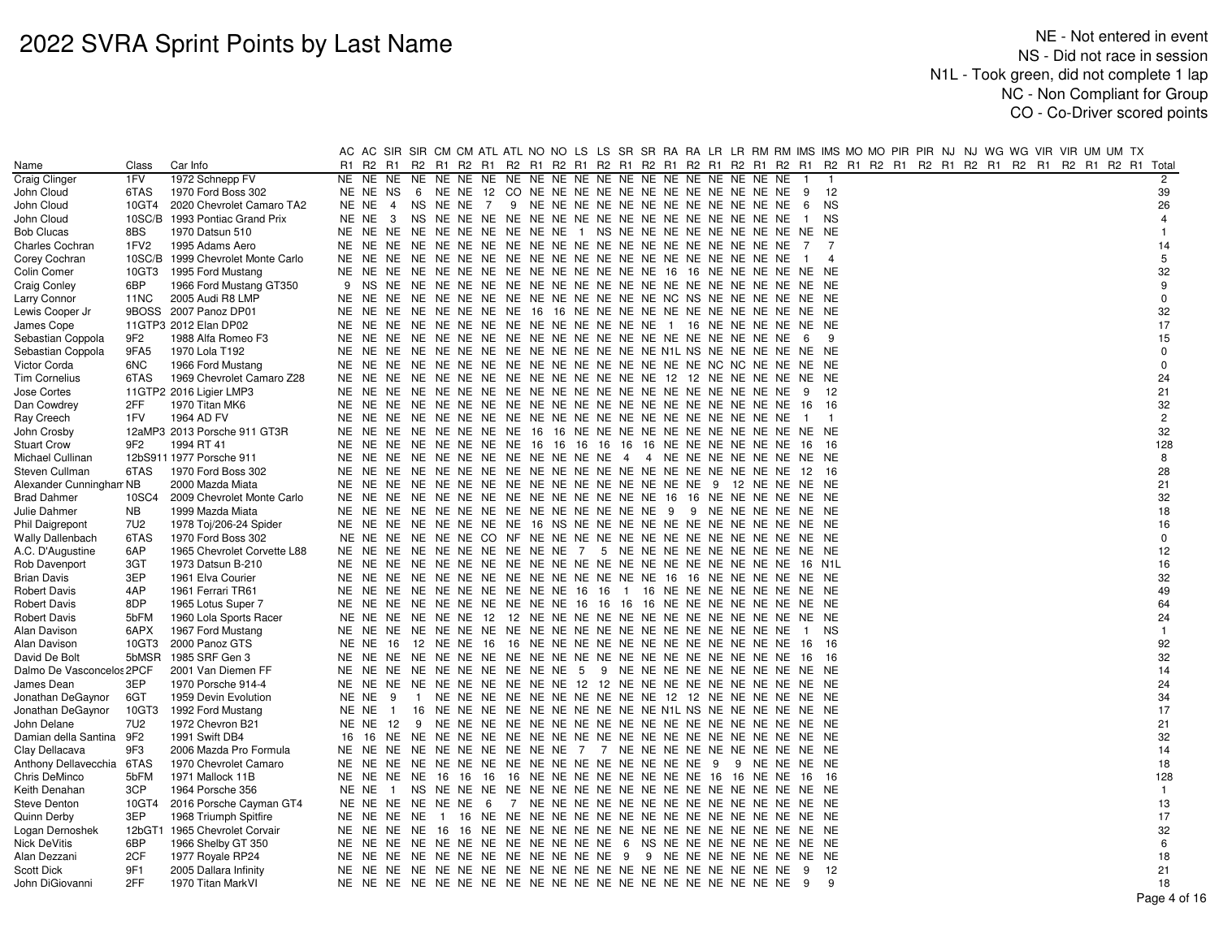|                           |                 |                                   |       |                 |                | AC AC SIR SIR CM CM ATL ATL NO NO LS LS SR SR RA RA LR LR RM RM IMS IMS MO MO PIR PIR NJ NJ WG WG VIR VIR UM UM TX |                |                                          |  |  |  |                         |                |  |  |  |  |                                                       |                |
|---------------------------|-----------------|-----------------------------------|-------|-----------------|----------------|--------------------------------------------------------------------------------------------------------------------|----------------|------------------------------------------|--|--|--|-------------------------|----------------|--|--|--|--|-------------------------------------------------------|----------------|
| Name                      | Class           | Car Info                          | R1    |                 |                | R2 R1 R2 R1 R2 R1 R2 R1 R2 R1 R2 R1 R2 R1 R2 R1 R2 R1 R2 R1 R2 R1                                                  |                |                                          |  |  |  |                         |                |  |  |  |  | R2 R1 R2 R1 R2 R1 R2 R1 R2 R1 R2 R1 R2 R1 R2 R1 Total |                |
| Craig Clinger             | 1FV             | 1972 Schnepp FV                   |       | NE NE NE        | NE             | NE NE                                                                                                              | NE             |                                          |  |  |  |                         |                |  |  |  |  |                                                       | $\overline{2}$ |
| John Cloud                | 6TAS            | 1970 Ford Boss 302                |       | NE NE NS        | - 6            | NE NE 12 CO NE NE NE NE NE NE NE NE NE NE NE NE NE                                                                 |                |                                          |  |  |  | - 9                     | 12             |  |  |  |  |                                                       | 39             |
| John Cloud                | 10GT4           | 2020 Chevrolet Camaro TA2         | NE NE | $\overline{4}$  |                | NS NE NE                                                                                                           | $\overline{7}$ | 9 NE NE NE NE NE NE NE NE NE NE NE NE NE |  |  |  | - 6                     | <b>NS</b>      |  |  |  |  |                                                       | 26             |
| John Cloud                |                 | 10SC/B 1993 Pontiac Grand Prix    | NE NE | $\mathbf{3}$    |                |                                                                                                                    |                |                                          |  |  |  | $\overline{1}$          | <b>NS</b>      |  |  |  |  |                                                       | 4              |
| <b>Bob Clucas</b>         | 8BS             | 1970 Datsun 510                   |       |                 |                | NE NE NE NE NE NE NE NE NE NE NE 1 NS NE NE NE NE NE NE NE NE NE NE                                                |                |                                          |  |  |  |                         |                |  |  |  |  |                                                       | $\mathbf{1}$   |
| <b>Charles Cochran</b>    | 1FV2            | 1995 Adams Aero                   |       |                 |                |                                                                                                                    |                |                                          |  |  |  | 7                       | -7             |  |  |  |  |                                                       | 14             |
| Corey Cochran             |                 | 10SC/B 1999 Chevrolet Monte Carlo |       |                 |                |                                                                                                                    |                |                                          |  |  |  | $\overline{1}$          | $\overline{4}$ |  |  |  |  |                                                       | 5              |
| Colin Comer               | 10GT3           | 1995 Ford Mustang                 |       |                 |                |                                                                                                                    |                |                                          |  |  |  |                         |                |  |  |  |  |                                                       | 32             |
| <b>Craig Conley</b>       | 6BP             | 1966 Ford Mustang GT350           |       |                 |                |                                                                                                                    |                |                                          |  |  |  |                         |                |  |  |  |  |                                                       | 9              |
| Larry Connor              | 11NC            | 2005 Audi R8 LMP                  |       |                 |                |                                                                                                                    |                |                                          |  |  |  |                         |                |  |  |  |  |                                                       | 0              |
| Lewis Cooper Jr           |                 | 9BOSS 2007 Panoz DP01             |       |                 |                | NE NE NE NE NE NE NE NE 16 16 NE NE NE NE NE NE NE NE NE NE NE NE NE                                               |                |                                          |  |  |  |                         |                |  |  |  |  |                                                       | 32             |
| James Cope                |                 | 11GTP3 2012 Elan DP02             |       |                 |                |                                                                                                                    |                |                                          |  |  |  |                         |                |  |  |  |  |                                                       | 17             |
| Sebastian Coppola         | 9F2             | 1988 Alfa Romeo F3                |       |                 |                |                                                                                                                    |                |                                          |  |  |  | - 6                     | - 9            |  |  |  |  |                                                       | 15             |
| Sebastian Coppola         | 9FA5            | 1970 Lola T192                    |       |                 |                |                                                                                                                    |                |                                          |  |  |  |                         |                |  |  |  |  |                                                       | $\Omega$       |
| Victor Corda              | 6NC             | 1966 Ford Mustang                 |       |                 |                |                                                                                                                    |                |                                          |  |  |  |                         |                |  |  |  |  |                                                       | $\Omega$       |
| <b>Tim Cornelius</b>      | 6TAS            | 1969 Chevrolet Camaro Z28         |       |                 |                |                                                                                                                    |                |                                          |  |  |  |                         |                |  |  |  |  |                                                       | 24             |
| Jose Cortes               |                 | 11GTP2 2016 Ligier LMP3           |       |                 |                |                                                                                                                    |                |                                          |  |  |  | - 9                     | -12            |  |  |  |  |                                                       | 21             |
|                           | 2FF             |                                   |       |                 |                |                                                                                                                    |                |                                          |  |  |  |                         | - 16           |  |  |  |  |                                                       | 32             |
| Dan Cowdrey               |                 | 1970 Titan MK6<br>1964 AD FV      |       |                 |                |                                                                                                                    |                |                                          |  |  |  | 16                      | $\overline{1}$ |  |  |  |  |                                                       | $\overline{c}$ |
| Ray Creech                | 1FV             |                                   |       |                 |                |                                                                                                                    |                |                                          |  |  |  | $\overline{1}$<br>NE NE |                |  |  |  |  |                                                       | 32             |
| John Crosby               | 9F <sub>2</sub> | 12aMP3 2013 Porsche 911 GT3R      |       |                 |                | NE NE NE NE NE NE NE NE 16 16 NE NE NE NE NE NE NE NE NE NE NE                                                     |                |                                          |  |  |  |                         |                |  |  |  |  |                                                       |                |
| <b>Stuart Crow</b>        |                 | 1994 RT 41                        |       |                 |                | NE NE NE NE NE NE NE NE 16 16 16 16 16 16 NE NE NE NE NE NE                                                        |                |                                          |  |  |  | 16                      | - 16           |  |  |  |  |                                                       | 128            |
| Michael Cullinan          |                 | 12bS911 1977 Porsche 911          |       |                 |                | NE NE NE NE NE NE NE NE NE NE NE NE NE 4 4 NE NE NE NE NE NE NE NE NE                                              |                |                                          |  |  |  |                         |                |  |  |  |  |                                                       | 8              |
| Steven Cullman            | 6TAS            | 1970 Ford Boss 302                |       |                 |                |                                                                                                                    |                |                                          |  |  |  | 12 16                   |                |  |  |  |  |                                                       | 28             |
| Alexander Cunningham NB   |                 | 2000 Mazda Miata                  |       |                 |                |                                                                                                                    |                |                                          |  |  |  |                         |                |  |  |  |  |                                                       | 21             |
| <b>Brad Dahmer</b>        | 10SC4           | 2009 Chevrolet Monte Carlo        |       |                 |                |                                                                                                                    |                |                                          |  |  |  |                         |                |  |  |  |  |                                                       | 32             |
| Julie Dahmer              | <b>NB</b>       | 1999 Mazda Miata                  |       |                 |                |                                                                                                                    |                |                                          |  |  |  |                         |                |  |  |  |  |                                                       | 18             |
| Phil Daigrepont           | 7U2             | 1978 Toj/206-24 Spider            |       |                 |                | NE NE NE NE NE NE NE NE 16 NS NE NE NE NE NE NE NE NE NE NE NE NE                                                  |                |                                          |  |  |  |                         |                |  |  |  |  |                                                       | 16             |
| <b>Wally Dallenbach</b>   | 6TAS            | 1970 Ford Boss 302                |       |                 |                |                                                                                                                    |                |                                          |  |  |  |                         |                |  |  |  |  |                                                       | 0              |
| A.C. D'Augustine          | 6AP             | 1965 Chevrolet Corvette L88       |       |                 |                | NE NE NE NE NE NE NE NE NE NE 7 5 NE NE NE NE NE NE NE NE NE NE NE                                                 |                |                                          |  |  |  |                         |                |  |  |  |  |                                                       | 12             |
| Rob Davenport             | 3GT             | 1973 Datsun B-210                 |       |                 |                |                                                                                                                    |                |                                          |  |  |  | 16 N1L                  |                |  |  |  |  |                                                       | 16             |
| Brian Davis               | 3EP             | 1961 Elva Courier                 |       |                 |                |                                                                                                                    |                |                                          |  |  |  |                         |                |  |  |  |  |                                                       | 32             |
| <b>Robert Davis</b>       | 4AP             | 1961 Ferrari TR61                 |       |                 |                | NE NE NE NE NE NE NE NE NE NE 16 16 1 16 NE NE NE NE NE NE NE NE NE                                                |                |                                          |  |  |  |                         |                |  |  |  |  |                                                       | 49             |
| <b>Robert Davis</b>       | 8DP             | 1965 Lotus Super 7                |       |                 |                | NE NE NE NE NE NE NE NE NE NE NE 16 16 16 16 NE NE NE NE NE NE NE NE                                               |                |                                          |  |  |  |                         |                |  |  |  |  |                                                       | 64             |
| <b>Robert Davis</b>       | 5bFM            | 1960 Lola Sports Racer            |       |                 |                |                                                                                                                    |                |                                          |  |  |  |                         |                |  |  |  |  |                                                       | 24             |
| Alan Davison              | 6APX            | 1967 Ford Mustang                 |       |                 |                |                                                                                                                    |                |                                          |  |  |  | 1 NS                    |                |  |  |  |  |                                                       | $\mathbf{1}$   |
| Alan Davison              | 10GT3           | 2000 Panoz GTS                    |       | <b>NE NE 16</b> |                | 12 NE NE 16 16 NE NE NE NE NE NE NE NE NE NE NE NE NE                                                              |                |                                          |  |  |  | 16                      | - 16           |  |  |  |  |                                                       | 92             |
| David De Bolt             | 5bMSR           | 1985 SRF Gen 3                    |       |                 |                |                                                                                                                    |                |                                          |  |  |  | - 16                    | -16            |  |  |  |  |                                                       | 32             |
| Dalmo De Vasconcelos 2PCF |                 | 2001 Van Diemen FF                |       |                 |                | NE NE NE NE NE NE NE NE NE NE 5 9 NE NE NE NE NE NE NE NE NE NE NE                                                 |                |                                          |  |  |  |                         |                |  |  |  |  |                                                       | 14             |
| James Dean                | 3EP             | 1970 Porsche 914-4                |       |                 |                | NE NE NE NE NE NE NE NE NE NE 12 12 NE NE NE NE NE NE NE NE NE NE                                                  |                |                                          |  |  |  |                         |                |  |  |  |  |                                                       | 24             |
| Jonathan DeGaynor         | 6GT             | 1959 Devin Evolution              | NE NE | -9              | $\overline{1}$ | NE NE NE NE NE NE NE NE NE NE 12 12 NE NE NE NE NE NE                                                              |                |                                          |  |  |  |                         |                |  |  |  |  |                                                       | 34             |
| Jonathan DeGaynor         | 10GT3           | 1992 Ford Mustang                 | NE NE | $\overline{1}$  | 16             | NE NE NE NE NE NE NE NE NE NE NE N1L NS NE NE NE NE NE NE                                                          |                |                                          |  |  |  |                         |                |  |  |  |  |                                                       | 17             |
| John Delane               | 7U2             | 1972 Chevron B21                  |       | NE NE 12        |                |                                                                                                                    |                |                                          |  |  |  |                         |                |  |  |  |  |                                                       | 21             |
| Damian della Santina 9F2  |                 | 1991 Swift DB4                    |       |                 |                |                                                                                                                    |                |                                          |  |  |  |                         |                |  |  |  |  |                                                       | 32             |
| Clay Dellacava            | 9F3             | 2006 Mazda Pro Formula            |       |                 |                | NE NE NE NE NE NE NE NE NE NE 7 7 NE NE NE NE NE NE NE NE NE NE NE                                                 |                |                                          |  |  |  |                         |                |  |  |  |  |                                                       | 14             |
| Anthony Dellavecchia 6TAS |                 | 1970 Chevrolet Camaro             |       |                 |                |                                                                                                                    |                |                                          |  |  |  |                         |                |  |  |  |  |                                                       | 18             |
| Chris DeMinco             | 5bFM            | 1971 Mallock 11B                  |       |                 |                | NE NE NE NE 16 16 16 16 NE NE NE NE NE NE NE NE 16 16 NE NE                                                        |                |                                          |  |  |  | -16                     | - 16           |  |  |  |  |                                                       | 128            |
| Keith Denahan             | 3CP             | 1964 Porsche 356                  | NE NE | $\overline{1}$  |                |                                                                                                                    |                |                                          |  |  |  |                         |                |  |  |  |  |                                                       | $\mathbf{1}$   |
| Steve Denton              | 10GT4           | 2016 Porsche Cayman GT4           |       |                 |                | NE NE NE NE NE NE 6                                                                                                |                |                                          |  |  |  |                         |                |  |  |  |  |                                                       | 13             |
| Quinn Derby               | 3EP             | 1968 Triumph Spitfire             |       | NE NE NE NE     |                |                                                                                                                    |                |                                          |  |  |  |                         |                |  |  |  |  |                                                       | 17             |
| Logan Dernoshek           |                 | 12bGT1 1965 Chevrolet Corvair     |       | NE NE NE NE     |                |                                                                                                                    |                |                                          |  |  |  |                         |                |  |  |  |  |                                                       | 32             |
| <b>Nick DeVitis</b>       | 6BP             | 1966 Shelby GT 350                |       |                 |                | NE NE NE NE NE NE NE NE NE NE NE NE NE 6 NS NE NE NE NE NE NE NE NE NE                                             |                |                                          |  |  |  |                         |                |  |  |  |  |                                                       | 6              |
| Alan Dezzani              | 2CF             | 1977 Royale RP24                  |       |                 |                | NE NE NE NE NE NE NE NE NE NE NE NE 9 9 NE NE NE NE NE NE NE NE NE                                                 |                |                                          |  |  |  |                         |                |  |  |  |  |                                                       | 18             |
| Scott Dick                | 9F1             | 2005 Dallara Infinity             |       |                 |                |                                                                                                                    |                |                                          |  |  |  | -9                      | 12             |  |  |  |  |                                                       | 21             |
| John DiGiovanni           | 2FF             | 1970 Titan MarkVI                 |       |                 |                |                                                                                                                    |                |                                          |  |  |  |                         | - 9            |  |  |  |  |                                                       | 18             |
|                           |                 |                                   |       |                 |                |                                                                                                                    |                |                                          |  |  |  |                         |                |  |  |  |  |                                                       | $Proof A O$    |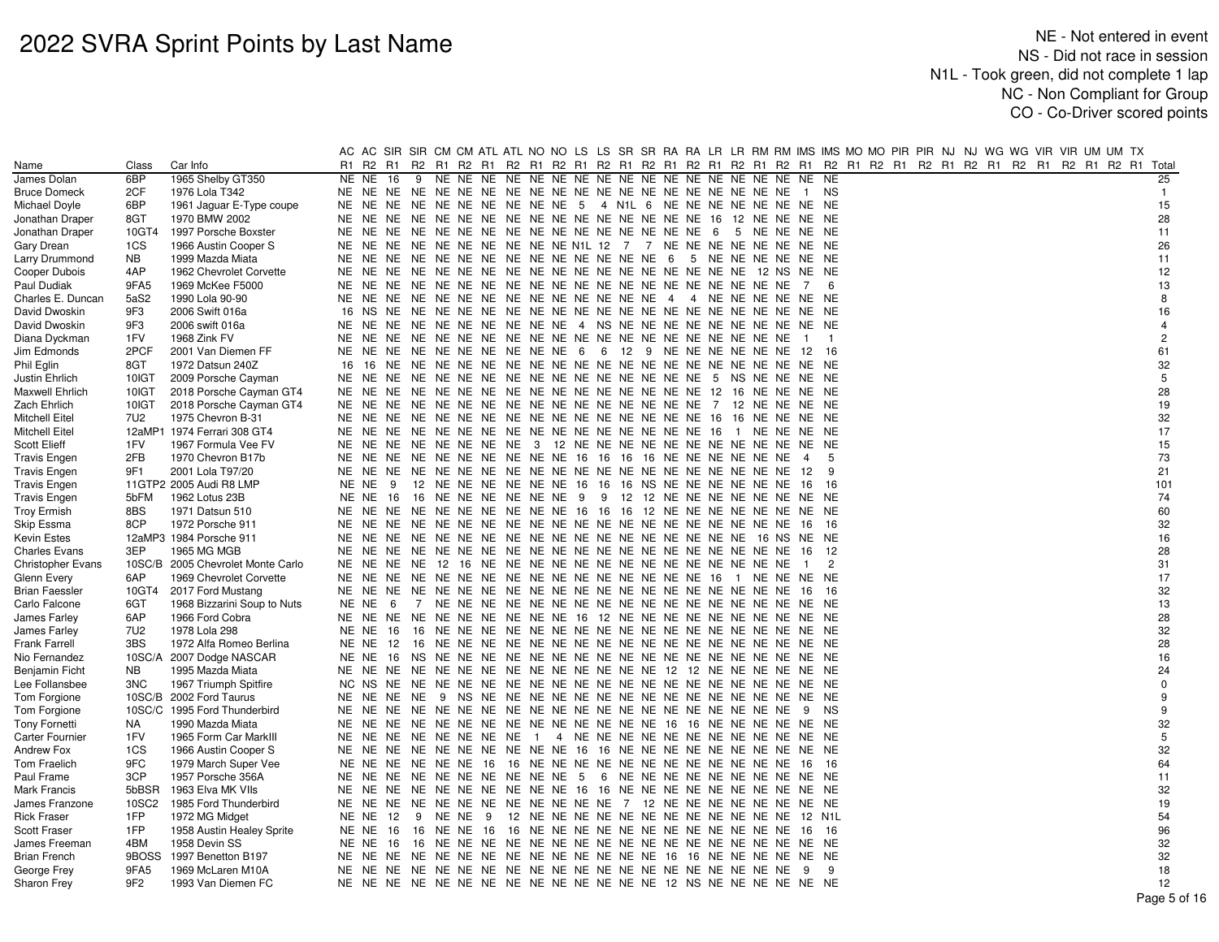|                          |                 |                                   |       |          |   |  |  |  |                                                                        |  |  |                |                |  |  |  |  | AC AC SIR SIR CM CM ATL ATL NO NO LS LS SR SR RA RA LR LR RM RM IMS IMS MO MO PIR PIR NJ NJ WG WG VIR VIR UM UM TX |                |
|--------------------------|-----------------|-----------------------------------|-------|----------|---|--|--|--|------------------------------------------------------------------------|--|--|----------------|----------------|--|--|--|--|--------------------------------------------------------------------------------------------------------------------|----------------|
| Name                     | Class           | Car Info                          | R1    |          |   |  |  |  |                                                                        |  |  |                |                |  |  |  |  | R2 R1 R2 R1 R2 R1 R2 R1 R2 R1 R2 R1 R2 R1 R2 R1 R2 R1 R2 R1 R2 R1 R2 R1 R2 R1 R2 R1 R2 R1 R2 R1 R2 R1 R2 R1 Total  |                |
| James Dolan              | 6BP             | 1965 Shelby GT350                 | NE NE | 16       | 9 |  |  |  |                                                                        |  |  |                |                |  |  |  |  |                                                                                                                    | 25             |
| <b>Bruce Domeck</b>      | 2CF             | 1976 Lola T342                    |       |          |   |  |  |  |                                                                        |  |  | 1 NS           |                |  |  |  |  |                                                                                                                    | $\mathbf{1}$   |
| Michael Doyle            | 6BP             | 1961 Jaguar E-Type coupe          |       |          |   |  |  |  | NE NE NE NE NE NE NE NE NE NE NE 5 4 N1L 6 NE NE NE NE NE NE NE NE NE  |  |  |                |                |  |  |  |  |                                                                                                                    | 15             |
| Jonathan Draper          | 8GT             | 1970 BMW 2002                     |       |          |   |  |  |  |                                                                        |  |  |                |                |  |  |  |  |                                                                                                                    | 28             |
| Jonathan Draper          | 10GT4           | 1997 Porsche Boxster              |       |          |   |  |  |  |                                                                        |  |  |                |                |  |  |  |  |                                                                                                                    | 11             |
| Gary Drean               | 1CS             | 1966 Austin Cooper S              |       |          |   |  |  |  | NE NE NE NE NE NE NE NE NE NE N1L 12 7 7 NE NE NE NE NE NE NE NE NE    |  |  |                |                |  |  |  |  |                                                                                                                    | 26             |
| Larry Drummond           | NB              | 1999 Mazda Miata                  |       |          |   |  |  |  |                                                                        |  |  |                |                |  |  |  |  |                                                                                                                    | 11             |
| Cooper Dubois            | 4AP             | 1962 Chevrolet Corvette           |       |          |   |  |  |  |                                                                        |  |  |                |                |  |  |  |  |                                                                                                                    | 12             |
| Paul Dudiak              | 9FA5            | 1969 McKee F5000                  |       |          |   |  |  |  |                                                                        |  |  | $\overline{7}$ | 6              |  |  |  |  |                                                                                                                    | 13             |
| Charles E. Duncan        | 5aS2            | 1990 Lola 90-90                   | NE    |          |   |  |  |  | NE NE NE NE NE NE NE NE NE NE NE NE NE 4 4 NE NE NE NE NE NE NE        |  |  |                |                |  |  |  |  |                                                                                                                    | 8              |
| David Dwoskin            | 9F3             | 2006 Swift 016a                   |       |          |   |  |  |  |                                                                        |  |  |                |                |  |  |  |  |                                                                                                                    | 16             |
| David Dwoskin            | 9F3             | 2006 swift 016a                   |       |          |   |  |  |  | NE NE NE NE NE NE NE NE NE NE NE 4 NS NE NE NE NE NE NE NE NE NE NE    |  |  |                |                |  |  |  |  |                                                                                                                    |                |
| Diana Dyckman            | 1FV             | 1968 Zink FV                      |       |          |   |  |  |  |                                                                        |  |  | $\overline{1}$ | $\overline{1}$ |  |  |  |  |                                                                                                                    | $\overline{2}$ |
| Jim Edmonds              | 2PCF            | 2001 Van Diemen FF                |       |          |   |  |  |  | NE NE NE NE NE NE NE NE NE NE NE 6 6 12 9 NE NE NE NE NE NE 12 16      |  |  |                |                |  |  |  |  |                                                                                                                    | 61             |
| Phil Eglin               | 8GT             | 1972 Datsun 240Z                  |       |          |   |  |  |  |                                                                        |  |  |                |                |  |  |  |  |                                                                                                                    | 32             |
| Justin Ehrlich           | 10IGT           | 2009 Porsche Cayman               |       |          |   |  |  |  |                                                                        |  |  |                |                |  |  |  |  |                                                                                                                    | 5              |
| Maxwell Ehrlich          | 10IGT           | 2018 Porsche Cayman GT4           |       |          |   |  |  |  |                                                                        |  |  |                |                |  |  |  |  |                                                                                                                    | 28             |
| Zach Ehrlich             | 10IGT           | 2018 Porsche Cayman GT4           |       |          |   |  |  |  |                                                                        |  |  |                |                |  |  |  |  |                                                                                                                    | 19             |
| Mitchell Eitel           | 7U2             | 1975 Chevron B-31                 |       |          |   |  |  |  |                                                                        |  |  |                |                |  |  |  |  |                                                                                                                    | 32             |
| Mitchell Eitel           |                 | 12aMP1 1974 Ferrari 308 GT4       |       |          |   |  |  |  |                                                                        |  |  |                |                |  |  |  |  |                                                                                                                    | 17             |
| Scott Elieff             | 1FV             | 1967 Formula Vee FV               |       |          |   |  |  |  | NE NE NE NE NE NE NE NE 3 12 NE NE NE NE NE NE NE NE NE NE NE NE       |  |  |                |                |  |  |  |  |                                                                                                                    | 15             |
| <b>Travis Engen</b>      | 2FB             | 1970 Chevron B17b                 |       |          |   |  |  |  | NE NE NE NE NE NE NE NE NE NE 16 16 16 16 NE NE NE NE NE NE            |  |  | -4             | 5              |  |  |  |  |                                                                                                                    | 73             |
| <b>Travis Engen</b>      | 9F1             | 2001 Lola T97/20                  | NE    |          |   |  |  |  |                                                                        |  |  | - 12           | -9             |  |  |  |  |                                                                                                                    | 21             |
| <b>Travis Engen</b>      |                 | 11GTP2 2005 Audi R8 LMP           | NE NE | - 9      |   |  |  |  | 12 NE NE NE NE NE NE 16 16 16 NS NE NE NE NE NE NE 16 16               |  |  |                |                |  |  |  |  |                                                                                                                    | 101            |
| <b>Travis Engen</b>      | 5bFM            | 1962 Lotus 23B                    | NE NE | 16       |   |  |  |  | 16 NE NE NE NE NE NE 9 9 12 12 NE NE NE NE NE NE NE NE                 |  |  |                |                |  |  |  |  |                                                                                                                    | 74             |
| <b>Troy Ermish</b>       | 8BS             | 1971 Datsun 510                   |       |          |   |  |  |  | NE NE NE NE NE NE NE NE NE NE NE 16 16 16 12 NE NE NE NE NE NE NE NE   |  |  |                |                |  |  |  |  |                                                                                                                    | 60             |
| Skip Essma               | 8CP             | 1972 Porsche 911                  |       |          |   |  |  |  |                                                                        |  |  |                | - 16           |  |  |  |  |                                                                                                                    | 32             |
| Kevin Estes              |                 | 12aMP3 1984 Porsche 911           |       |          |   |  |  |  |                                                                        |  |  |                |                |  |  |  |  |                                                                                                                    | 16             |
| <b>Charles Evans</b>     | 3EP             | 1965 MG MGB                       |       |          |   |  |  |  |                                                                        |  |  |                | 12             |  |  |  |  |                                                                                                                    | 28             |
| <b>Christopher Evans</b> |                 | 10SC/B 2005 Chevrolet Monte Carlo |       |          |   |  |  |  |                                                                        |  |  | $\overline{1}$ | $\overline{2}$ |  |  |  |  |                                                                                                                    | 31             |
| Glenn Every              | 6AP             | 1969 Chevrolet Corvette           |       |          |   |  |  |  |                                                                        |  |  |                |                |  |  |  |  |                                                                                                                    | 17             |
| <b>Brian Faessler</b>    | 10GT4           | 2017 Ford Mustang                 |       |          |   |  |  |  |                                                                        |  |  | 16             | - 16           |  |  |  |  |                                                                                                                    | 32             |
| Carlo Falcone            | 6GT             | 1968 Bizzarini Soup to Nuts       |       | NENE 6   |   |  |  |  |                                                                        |  |  |                |                |  |  |  |  |                                                                                                                    | 13             |
| James Farley             | 6AP             | 1966 Ford Cobra                   |       |          |   |  |  |  | NE NE NE NE NE NE NE NE NE NE 16 12 NE NE NE NE NE NE NE NE NE NE NE   |  |  |                |                |  |  |  |  |                                                                                                                    | 28             |
| James Farley             | 7U2             | 1978 Lola 298                     | NE NE | - 16     |   |  |  |  |                                                                        |  |  |                |                |  |  |  |  |                                                                                                                    | 32             |
| Frank Farrell            | 3BS             | 1972 Alfa Romeo Berlina           |       |          |   |  |  |  |                                                                        |  |  |                |                |  |  |  |  |                                                                                                                    | 28             |
| Nio Fernandez            |                 | 10SC/A 2007 Dodge NASCAR          |       |          |   |  |  |  |                                                                        |  |  |                |                |  |  |  |  |                                                                                                                    | 16             |
| <b>Benjamin Ficht</b>    | NB              | 1995 Mazda Miata                  |       |          |   |  |  |  |                                                                        |  |  |                |                |  |  |  |  |                                                                                                                    | 24             |
| Lee Follansbee           | 3NC             | 1967 Triumph Spitfire             | NC.   |          |   |  |  |  |                                                                        |  |  |                |                |  |  |  |  |                                                                                                                    | $\mathbf 0$    |
| Tom Forgione             |                 | 10SC/B 2002 Ford Taurus           |       |          |   |  |  |  |                                                                        |  |  |                |                |  |  |  |  |                                                                                                                    |                |
| Tom Forgione             |                 | 10SC/C 1995 Ford Thunderbird      |       |          |   |  |  |  |                                                                        |  |  | - 9            | <b>NS</b>      |  |  |  |  |                                                                                                                    | 9              |
| <b>Tony Fornetti</b>     | <b>NA</b>       | 1990 Mazda Miata                  |       |          |   |  |  |  |                                                                        |  |  |                |                |  |  |  |  |                                                                                                                    | 32             |
| <b>Carter Fournier</b>   | 1FV             | 1965 Form Car MarkIII             |       |          |   |  |  |  | NE NE NE NE NE NE NE NE 1 4 NE NE NE NE NE NE NE NE NE NE NE NE        |  |  |                |                |  |  |  |  |                                                                                                                    | 5              |
| Andrew Fox               | 1CS             | 1966 Austin Cooper S              |       |          |   |  |  |  | NE NE NE NE NE NE NE NE NE NE 16 16 NE NE NE NE NE NE NE NE NE NE NE   |  |  |                |                |  |  |  |  |                                                                                                                    | 32             |
| Tom Fraelich             | 9FC             | 1979 March Super Vee              |       |          |   |  |  |  | NE NE NE NE NE NE 16 16 NE NE NE NE NE NE NE NE NE NE NE NE NE         |  |  | 16             | - 16           |  |  |  |  |                                                                                                                    | 64             |
| Paul Frame               | 3CP             | 1957 Porsche 356A                 |       |          |   |  |  |  | NE NE NE NE NE NE NE NE NE NE 5 6 NE NE NE NE NE NE NE NE NE NE NE     |  |  |                |                |  |  |  |  |                                                                                                                    | 11             |
| Mark Francis             | 5bBSR           | 1963 Elva MK VIIs                 |       |          |   |  |  |  | NE NE NE NE NE NE NE NE NE NE 16 16 NE NE NE NE NE NE NE NE NE NE NE   |  |  |                |                |  |  |  |  |                                                                                                                    | 32             |
| James Franzone           | 10SC2           | 1985 Ford Thunderbird             |       |          |   |  |  |  | NE NE NE NE NE NE NE NE NE NE NE NE NE 7 12 NE NE NE NE NE NE NE NE NE |  |  |                |                |  |  |  |  |                                                                                                                    | 19             |
| <b>Rick Fraser</b>       | 1FP             | 1972 MG Midget                    |       | NE NE 12 |   |  |  |  | 9 NE NE 9 12 NE NE NE NE NE NE NE NE NE NE NE NE 12 N1L                |  |  |                |                |  |  |  |  |                                                                                                                    | 54             |
| Scott Fraser             | 1FP             | 1958 Austin Healey Sprite         | NE NE |          |   |  |  |  |                                                                        |  |  |                | - 16           |  |  |  |  |                                                                                                                    | 96             |
| James Freeman            | 4BM             | 1958 Devin SS                     | NE NE | 16       |   |  |  |  |                                                                        |  |  |                |                |  |  |  |  |                                                                                                                    | 32             |
| <b>Brian French</b>      | 9BOSS           | 1997 Benetton B197                |       |          |   |  |  |  |                                                                        |  |  |                |                |  |  |  |  |                                                                                                                    | 32             |
| George Frey              | 9FA5            | 1969 McLaren M10A                 |       |          |   |  |  |  |                                                                        |  |  | -9             | 9              |  |  |  |  |                                                                                                                    | 18             |
| Sharon Frey              | 9F <sub>2</sub> | 1993 Van Diemen FC                |       |          |   |  |  |  |                                                                        |  |  |                |                |  |  |  |  |                                                                                                                    | 12             |
|                          |                 |                                   |       |          |   |  |  |  |                                                                        |  |  |                |                |  |  |  |  |                                                                                                                    | Page 5 of 16   |
|                          |                 |                                   |       |          |   |  |  |  |                                                                        |  |  |                |                |  |  |  |  |                                                                                                                    |                |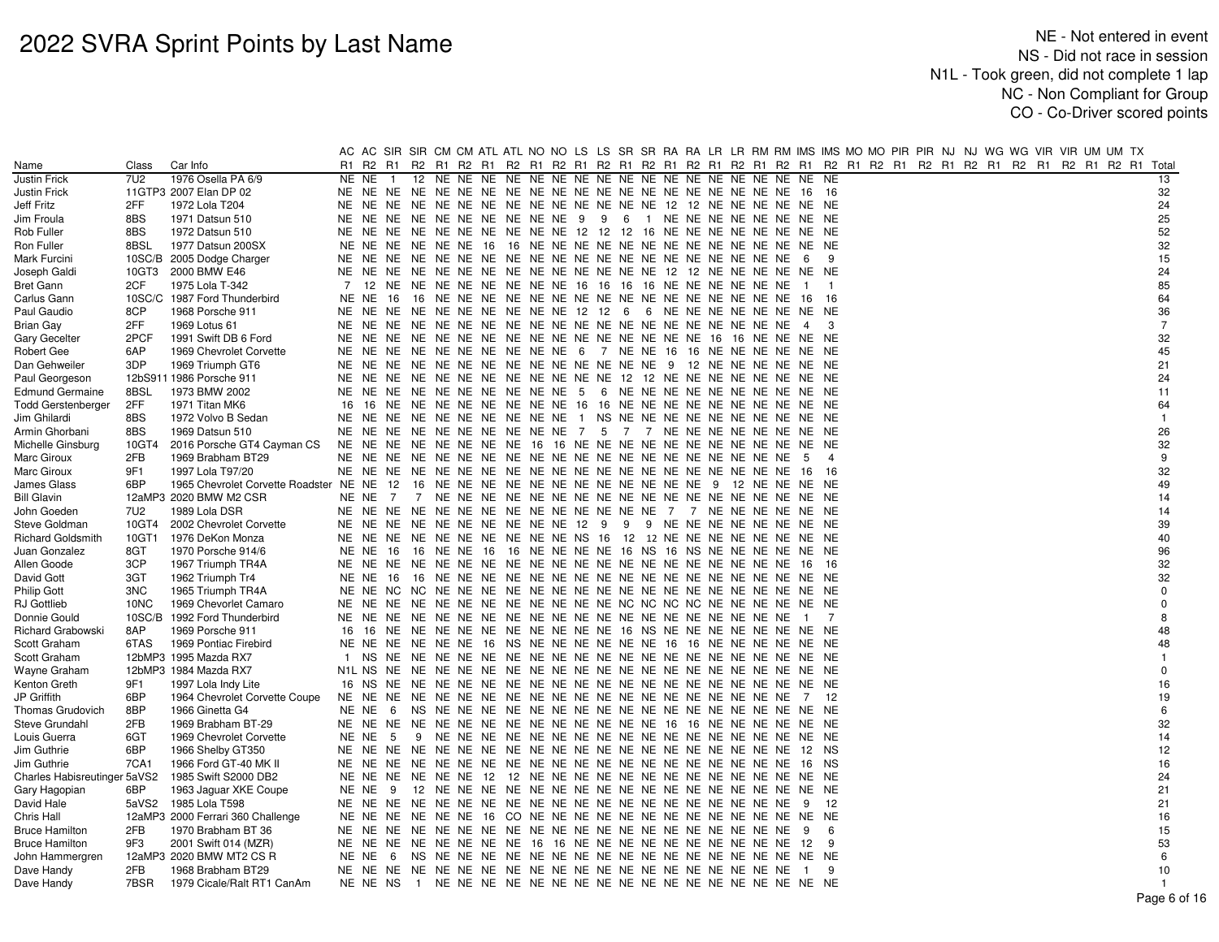|                              |       |                                                      |     | AC AC SIR SIR CM CM ATL ATL NO NO LS LS SR SR RA RA LR LR RM RM IMS IMS MO MO PIR PIR NJ NJ WG WG VIR VIR UM UM TX |  |  |  |  |                                                               |  |  |                |                |  |  |  |                                                                                                             |  |                |
|------------------------------|-------|------------------------------------------------------|-----|--------------------------------------------------------------------------------------------------------------------|--|--|--|--|---------------------------------------------------------------|--|--|----------------|----------------|--|--|--|-------------------------------------------------------------------------------------------------------------|--|----------------|
| Name                         | Class | Car Info                                             | R1  | R2 R1                                                                                                              |  |  |  |  |                                                               |  |  |                |                |  |  |  | R2 R1 R2 R1 R2 R1 R2 R1 R2 R1 R2 R1 R2 R1 R2 R1 R2 R1 R2 R1 R2 R1 R2 R1 R2 R1 R2 R1 R2 R1 R2 R1 R2 R1 Total |  |                |
| Justin Frick                 | 7U2   | 1976 Osella PA 6/9                                   |     | NE NE<br>$\overline{1}$                                                                                            |  |  |  |  |                                                               |  |  |                |                |  |  |  |                                                                                                             |  | 13             |
| Justin Frick                 |       | 11GTP3 2007 Elan DP 02                               |     |                                                                                                                    |  |  |  |  |                                                               |  |  |                |                |  |  |  |                                                                                                             |  | 32             |
| Jeff Fritz                   | 2FF   | 1972 Lola T204                                       | NE. | NE.<br>NE.                                                                                                         |  |  |  |  | NE NE NE NE NE NE NE NE NE NE NE 12 12 NE NE NE NE NE NE      |  |  |                |                |  |  |  |                                                                                                             |  | 24             |
| Jim Froula                   | 8BS   | 1971 Datsun 510                                      |     | NE NE NE NE NE NE NE NE NE NE 9 9 6 1 NE NE NE NE NE NE NE NE NE                                                   |  |  |  |  |                                                               |  |  |                |                |  |  |  |                                                                                                             |  | 25             |
| Rob Fuller                   | 8BS   | 1972 Datsun 510                                      |     | NE NE NE NE NE NE NE NE NE NE NE 12 12 12 16 NE NE NE NE NE NE NE NE                                               |  |  |  |  |                                                               |  |  |                |                |  |  |  |                                                                                                             |  | 52             |
| Ron Fuller                   | 8BSL  | 1977 Datsun 200SX                                    |     | NE NE                                                                                                              |  |  |  |  |                                                               |  |  |                |                |  |  |  |                                                                                                             |  | 32             |
| Mark Furcini                 |       | 10SC/B 2005 Dodge Charger                            | NE. | NE.                                                                                                                |  |  |  |  |                                                               |  |  | - 6            | -9             |  |  |  |                                                                                                             |  | 15             |
| Joseph Galdi                 | 10GT3 | 2000 BMW E46                                         |     | NE NE                                                                                                              |  |  |  |  | NE NE NE NE NE NE NE NE NE NE NE NE 12 12 NE NE NE NE NE NE   |  |  |                |                |  |  |  |                                                                                                             |  | 24             |
| Bret Gann                    | 2CF   | 1975 Lola T-342                                      | 7   | 12 NE NE NE NE NE NE NE NE 16 16 16 16 NE NE NE NE NE NE NE                                                        |  |  |  |  |                                                               |  |  | $\blacksquare$ | $\overline{1}$ |  |  |  |                                                                                                             |  | 85             |
| Carlus Gann                  |       | 10SC/C 1987 Ford Thunderbird                         |     | NE NE<br>16                                                                                                        |  |  |  |  |                                                               |  |  | 16 16          |                |  |  |  |                                                                                                             |  | 64             |
| Paul Gaudio                  | 8CP   | 1968 Porsche 911                                     |     | NE NE NE NE NE NE NE NE NE NE 12 12 6 6 NE NE NE NE NE NE NE NE NE                                                 |  |  |  |  |                                                               |  |  |                |                |  |  |  |                                                                                                             |  | 36             |
| <b>Brian Gay</b>             | 2FF   | 1969 Lotus 61                                        |     | NE NE                                                                                                              |  |  |  |  |                                                               |  |  | $\overline{4}$ | -3             |  |  |  |                                                                                                             |  | $\overline{7}$ |
| Gary Gecelter                | 2PCF  | 1991 Swift DB 6 Ford                                 | NE. | NE.                                                                                                                |  |  |  |  |                                                               |  |  |                |                |  |  |  |                                                                                                             |  | 32             |
| Robert Gee                   | 6AP   | 1969 Chevrolet Corvette                              |     | NE NE                                                                                                              |  |  |  |  | NE NE NE NE NE NE NE NE 6 7 NE NE 16 16 NE NE NE NE NE NE     |  |  |                |                |  |  |  |                                                                                                             |  | 45             |
| Dan Gehweiler                | 3DP   | 1969 Triumph GT6                                     |     | NE NE                                                                                                              |  |  |  |  | NE NE NE NE NE NE NE NE NE NE NE NE 9 12 NE NE NE NE NE NE    |  |  |                |                |  |  |  |                                                                                                             |  | 21             |
| Paul Georgeson               |       | 12bS911 1986 Porsche 911                             | NE. | NE.                                                                                                                |  |  |  |  | NE NE NE NE NE NE NE NE NE NE 12 12 NE NE NE NE NE NE NE NE   |  |  |                |                |  |  |  |                                                                                                             |  | 24             |
| <b>Edmund Germaine</b>       | 8BSL  | 1973 BMW 2002                                        | NE. | NE.                                                                                                                |  |  |  |  | NE NE NE NE NE NE NE NE 5 6 NE NE NE NE NE NE NE NE NE NE     |  |  |                |                |  |  |  |                                                                                                             |  | 11             |
| <b>Todd Gerstenberger</b>    | 2FF   | 1971 Titan MK6                                       | 16  | 16                                                                                                                 |  |  |  |  | NE NE NE NE NE NE NE NE 16 16 NE NE NE NE NE NE NE NE NE NE   |  |  |                |                |  |  |  |                                                                                                             |  | 64             |
| Jim Ghilardi                 | 8BS   | 1972 Volvo B Sedan                                   |     | NE NE                                                                                                              |  |  |  |  | NE NE NE NE NE NE NE NE 1 NS NE NE NE NE NE NE NE NE NE NE NE |  |  |                |                |  |  |  |                                                                                                             |  | $\overline{1}$ |
| Armin Ghorbani               | 8BS   | 1969 Datsun 510                                      | NE  | NE.                                                                                                                |  |  |  |  | NE NE NE NE NE NE NE NE 7 5 7 7 NE NE NE NE NE NE NE NE       |  |  |                |                |  |  |  |                                                                                                             |  | 26             |
| Michelle Ginsburg            | 10GT4 | 2016 Porsche GT4 Cayman CS                           |     | NE NE                                                                                                              |  |  |  |  | NE NE NE NE NE NE 16 16 NE NE NE NE NE NE NE NE NE NE NE      |  |  | NE NE          |                |  |  |  |                                                                                                             |  | 32             |
| Marc Giroux                  | 2FB   | 1969 Brabham BT29                                    |     | NE NE                                                                                                              |  |  |  |  |                                                               |  |  | -5             | $\overline{4}$ |  |  |  |                                                                                                             |  | 9              |
| Marc Giroux                  | 9F1   | 1997 Lola T97/20                                     |     |                                                                                                                    |  |  |  |  |                                                               |  |  | 16             | - 16           |  |  |  |                                                                                                             |  | 32             |
| James Glass                  | 6BP   | 1965 Chevrolet Corvette Roadster NE NE               |     | 12                                                                                                                 |  |  |  |  | 16 NE NE NE NE NE NE NE NE NE NE NE NE 9 12 NE NE             |  |  | NE NE          |                |  |  |  |                                                                                                             |  | 49             |
| <b>Bill Glavin</b>           |       | 12aMP3 2020 BMW M2 CSR                               |     | NE NE<br>7                                                                                                         |  |  |  |  |                                                               |  |  | NE NE          |                |  |  |  |                                                                                                             |  | 14             |
| John Goeden                  | 7U2   | 1989 Lola DSR                                        |     |                                                                                                                    |  |  |  |  |                                                               |  |  |                |                |  |  |  |                                                                                                             |  | 14             |
| Steve Goldman                | 10GT4 | 2002 Chevrolet Corvette                              |     | NE NE NE NE NE NE NE NE NE NE 12 9 9 9 NE NE NE NE NE NE NE NE NE                                                  |  |  |  |  |                                                               |  |  |                |                |  |  |  |                                                                                                             |  | 39             |
| <b>Richard Goldsmith</b>     | 10GT1 | 1976 DeKon Monza                                     |     | NE NE                                                                                                              |  |  |  |  | NE NE NE NE NE NE NE NE NS 16 12 12 NE NE NE NE NE NE NE NE   |  |  |                |                |  |  |  |                                                                                                             |  | 40             |
| Juan Gonzalez                | 8GT   | 1970 Porsche 914/6                                   |     | NE NE<br>16                                                                                                        |  |  |  |  | 16 NE NE 16 16 NE NE NE NE 16 NS 16 NS NE NE NE NE            |  |  | NE NE          |                |  |  |  |                                                                                                             |  | 96             |
| Allen Goode                  | 3CP   | 1967 Triumph TR4A                                    |     |                                                                                                                    |  |  |  |  |                                                               |  |  | -16            | - 16           |  |  |  |                                                                                                             |  | 32             |
| David Gott                   | 3GT   | 1962 Triumph Tr4                                     |     | NE NE 16                                                                                                           |  |  |  |  |                                                               |  |  |                |                |  |  |  |                                                                                                             |  | 32             |
| Philip Gott                  | 3NC   | 1965 Triumph TR4A                                    |     |                                                                                                                    |  |  |  |  |                                                               |  |  |                |                |  |  |  |                                                                                                             |  | $\mathbf 0$    |
| RJ Gottlieb                  | 10NC  | 1969 Chevorlet Camaro                                |     |                                                                                                                    |  |  |  |  |                                                               |  |  |                |                |  |  |  |                                                                                                             |  | $\Omega$       |
| Donnie Gould                 |       | 10SC/B 1992 Ford Thunderbird                         |     | NE NE                                                                                                              |  |  |  |  |                                                               |  |  | $\overline{1}$ | 7              |  |  |  |                                                                                                             |  | 8              |
| Richard Grabowski            | 8AP   | 1969 Porsche 911                                     | 16  | - 16                                                                                                               |  |  |  |  | NE NE NE NE NE NE NE NE NE NE 16 NS NE NE NE NE NE NE NE NE   |  |  |                |                |  |  |  |                                                                                                             |  | 48             |
| Scott Graham                 | 6TAS  | 1969 Pontiac Firebird                                |     | NE NE NE NE NE NE 16 NS NE NE NE NE NE NE 16 16 NE NE NE NE NE NE                                                  |  |  |  |  |                                                               |  |  |                |                |  |  |  |                                                                                                             |  | 48             |
| Scott Graham                 |       | 12bMP3 1995 Mazda RX7                                |     | 1 NS                                                                                                               |  |  |  |  |                                                               |  |  |                |                |  |  |  |                                                                                                             |  | $\mathbf{1}$   |
| Wayne Graham                 |       | 12bMP3 1984 Mazda RX7                                |     | N1L NS                                                                                                             |  |  |  |  |                                                               |  |  |                |                |  |  |  |                                                                                                             |  | $\Omega$       |
|                              | 9F1   |                                                      |     | 16 NS                                                                                                              |  |  |  |  |                                                               |  |  |                |                |  |  |  |                                                                                                             |  | 16             |
| Kenton Greth<br>JP Griffith  | 6BP   | 1997 Lola Indy Lite<br>1964 Chevrolet Corvette Coupe |     | NE NE                                                                                                              |  |  |  |  |                                                               |  |  |                | -12            |  |  |  |                                                                                                             |  | 19             |
|                              | 8BP   |                                                      |     |                                                                                                                    |  |  |  |  |                                                               |  |  | <sup>7</sup>   |                |  |  |  |                                                                                                             |  | 6              |
| Thomas Grudovich             | 2FB   | 1966 Ginetta G4<br>1969 Brabham BT-29                |     | NE NE<br>-6                                                                                                        |  |  |  |  |                                                               |  |  |                |                |  |  |  |                                                                                                             |  | 32             |
| Steve Grundahl               |       |                                                      |     |                                                                                                                    |  |  |  |  |                                                               |  |  |                |                |  |  |  |                                                                                                             |  | 14             |
| Louis Guerra                 | 6GT   | 1969 Chevrolet Corvette                              |     | NE NE<br>5                                                                                                         |  |  |  |  |                                                               |  |  |                |                |  |  |  |                                                                                                             |  |                |
| Jim Guthrie                  | 6BP   | 1966 Shelby GT350                                    | NE. | NE.                                                                                                                |  |  |  |  |                                                               |  |  | 12 NS          |                |  |  |  |                                                                                                             |  | 12<br>16       |
| Jim Guthrie                  | 7CA1  | 1966 Ford GT-40 MK II                                |     | NE NE<br>NE                                                                                                        |  |  |  |  |                                                               |  |  | 16             | NS.            |  |  |  |                                                                                                             |  |                |
| Charles Habisreutinger 5aVS2 |       | 1985 Swift S2000 DB2                                 |     |                                                                                                                    |  |  |  |  |                                                               |  |  |                |                |  |  |  |                                                                                                             |  | 24             |
| Gary Hagopian                | 6BP   | 1963 Jaguar XKE Coupe                                |     | NE NE                                                                                                              |  |  |  |  |                                                               |  |  |                |                |  |  |  |                                                                                                             |  | 21             |
| David Hale                   | 5aVS2 | 1985 Lola T598                                       | NE. | NE                                                                                                                 |  |  |  |  |                                                               |  |  | - 9            | 12             |  |  |  |                                                                                                             |  | 21             |
| Chris Hall                   |       | 12aMP3 2000 Ferrari 360 Challenge                    |     | NE NE                                                                                                              |  |  |  |  |                                                               |  |  |                |                |  |  |  |                                                                                                             |  | 16             |
| <b>Bruce Hamilton</b>        | 2FB   | 1970 Brabham BT 36                                   |     |                                                                                                                    |  |  |  |  |                                                               |  |  | - 9            | 6              |  |  |  |                                                                                                             |  | 15             |
| <b>Bruce Hamilton</b>        | 9F3   | 2001 Swift 014 (MZR)                                 |     | NE NE                                                                                                              |  |  |  |  | NE NE NE NE NE NE 16 16 NE NE NE NE NE NE NE NE NE NE NE      |  |  | 12             | 9              |  |  |  |                                                                                                             |  | 53             |
| John Hammergren              |       | 12aMP3 2020 BMW MT2 CS R                             |     | NE NE<br>- 6                                                                                                       |  |  |  |  |                                                               |  |  |                |                |  |  |  |                                                                                                             |  | 6              |
| Dave Handy                   | 2FB   | 1968 Brabham BT29                                    |     | NE NE                                                                                                              |  |  |  |  |                                                               |  |  | $\overline{1}$ | -9             |  |  |  |                                                                                                             |  | 10             |
| Dave Handy                   | 7BSR  | 1979 Cicale/Ralt RT1 CanAm                           |     |                                                                                                                    |  |  |  |  |                                                               |  |  |                |                |  |  |  |                                                                                                             |  | -1             |
|                              |       |                                                      |     |                                                                                                                    |  |  |  |  |                                                               |  |  |                |                |  |  |  |                                                                                                             |  | Page 6 of 16   |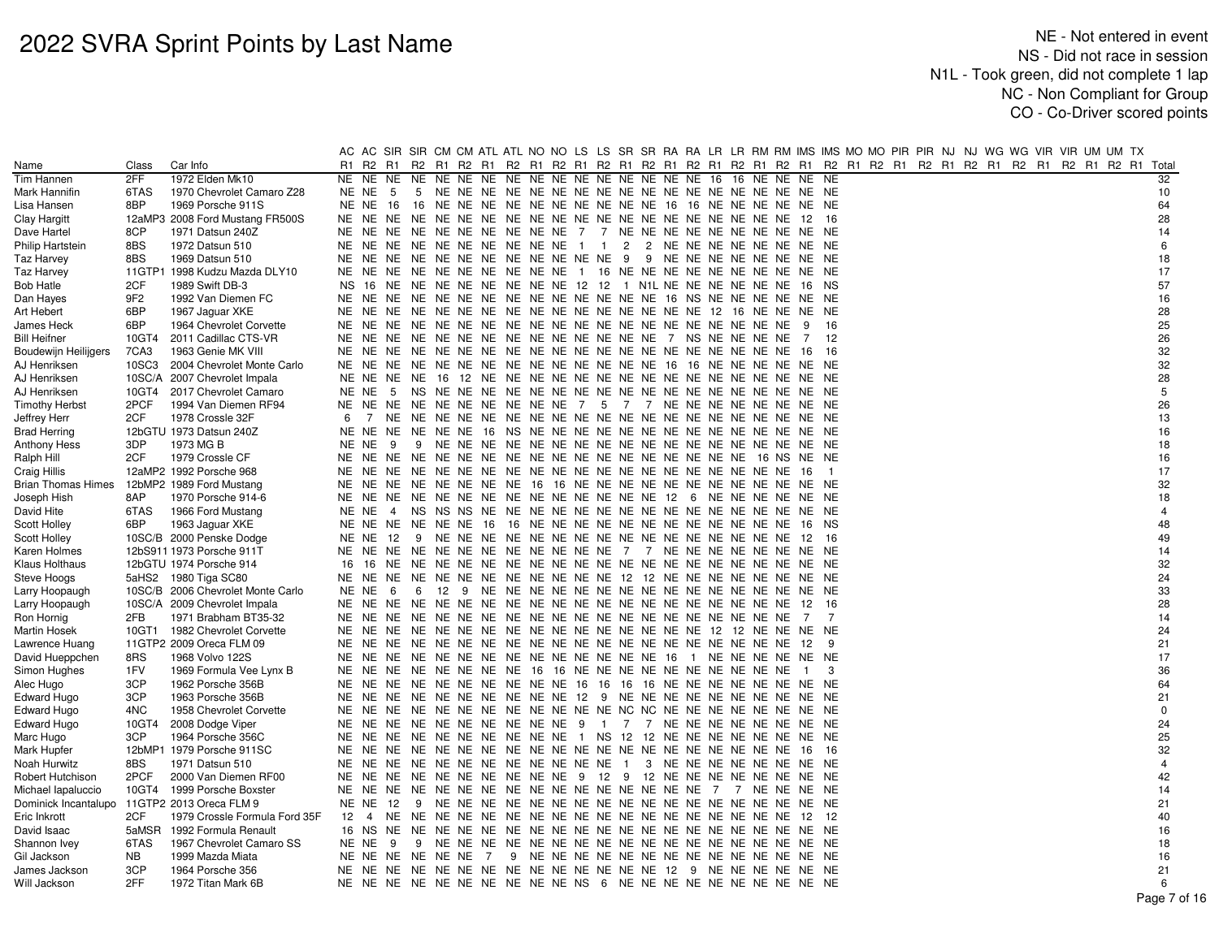|                                     |                 |                                   | AC    |                   |                | AC SIR SIR CM CM ATL ATL NO NO LS LS SR SR RA RA LR LR RM RM IMS IMS MO MO PIR PIR NJ NJ WG WG VIR VIR UM UM TX |  |  |                |  |  |                           |                |                |  |  |  |  |  |                |
|-------------------------------------|-----------------|-----------------------------------|-------|-------------------|----------------|-----------------------------------------------------------------------------------------------------------------|--|--|----------------|--|--|---------------------------|----------------|----------------|--|--|--|--|--|----------------|
| Name                                | Class           | Car Info                          | R1    | R2 R1             |                | R2 R1 R2 R1 R2 R1 R2 R1 R2 R1 R2 R1 R2 R1 R2 R1 R2 R1 R2 R1 R2 R1 R2 R1 R2 R1 R2 R1 R2 R1 R2 R1 R2 R1 R2 R1     |  |  |                |  |  |                           |                |                |  |  |  |  |  | Total          |
| Tim Hannen                          | 2FF             | 1972 Elden Mk10                   |       | NE NE NE          |                |                                                                                                                 |  |  |                |  |  | 16 NE NE NE NE            |                |                |  |  |  |  |  | 32             |
| Mark Hannifin                       | 6TAS            | 1970 Chevrolet Camaro Z28         | NE NE | 5                 | 5              |                                                                                                                 |  |  |                |  |  |                           |                |                |  |  |  |  |  | 10             |
| Lisa Hansen                         | 8BP             | 1969 Porsche 911S                 | NE NE | - 16              |                | 16 NE NE NE NE NE NE NE NE NE NE 16 16 NE NE NE NE NE NE                                                        |  |  |                |  |  |                           |                |                |  |  |  |  |  | 64             |
| Clay Hargitt                        |                 | 12aMP3 2008 Ford Mustang FR500S   |       | NE NE NE          |                |                                                                                                                 |  |  |                |  |  |                           | 12             | - 16           |  |  |  |  |  | 28             |
| Dave Hartel                         | 8CP             | 1971 Datsun 240Z                  |       | NE NE NE          |                | NE NE NE NE NE NE NE 7 7 NE NE NE NE NE NE NE NE NE NE                                                          |  |  |                |  |  |                           |                |                |  |  |  |  |  | 14             |
| <b>Philip Hartstein</b>             | 8BS             | 1972 Datsun 510                   | NE NE |                   | NE             | NE NE NE NE NE NE NE 1 1                                                                                        |  |  | $\overline{2}$ |  |  | 2 NE NE NE NE NE NE NE NE |                |                |  |  |  |  |  | 6              |
| Taz Harvey                          | 8BS             | 1969 Datsun 510                   |       |                   |                | NE NE NE NE NE NE NE NE NE NE NE NE 9                                                                           |  |  |                |  |  | 9 NE NE NE NE NE NE NE NE |                |                |  |  |  |  |  | 18             |
| Taz Harvey                          |                 | 11GTP1 1998 Kudzu Mazda DLY10     |       |                   |                | NE NE NE NE NE NE NE NE NE NE NE 1 16 NE NE NE NE NE NE NE NE NE NE                                             |  |  |                |  |  |                           |                |                |  |  |  |  |  | 17             |
| Bob Hatle                           | 2CF             | 1989 Swift DB-3                   | NS.   | 16 NE             |                | NE NE NE NE NE NE NE 12 12 1 N1L NE NE NE NE NE NE                                                              |  |  |                |  |  |                           | 16 NS          |                |  |  |  |  |  | 57             |
| Dan Hayes                           | 9F <sub>2</sub> | 1992 Van Diemen FC                |       |                   |                |                                                                                                                 |  |  |                |  |  |                           |                |                |  |  |  |  |  | 16             |
| Art Hebert                          | 6BP             | 1967 Jaguar XKE                   |       |                   |                |                                                                                                                 |  |  |                |  |  |                           |                |                |  |  |  |  |  | 28             |
| James Heck                          | 6BP             | 1964 Chevrolet Corvette           | NE NE |                   | NE             |                                                                                                                 |  |  |                |  |  |                           | 9              | 16             |  |  |  |  |  | 25             |
| <b>Bill Heifner</b>                 | 10GT4           | 2011 Cadillac CTS-VR              |       |                   |                |                                                                                                                 |  |  |                |  |  |                           | 7              | 12             |  |  |  |  |  | 26             |
| Boudewijn Heilijgers                | 7CA3            | 1963 Genie MK VIII                |       |                   |                |                                                                                                                 |  |  |                |  |  |                           | 16             | - 16           |  |  |  |  |  | 32             |
| AJ Henriksen                        | 10SC3           | 2004 Chevrolet Monte Carlo        | NE NE |                   | NE             | NE NE NE NE NE NE NE NE NE NE NE 16 16 NE NE NE NE NE NE                                                        |  |  |                |  |  |                           |                |                |  |  |  |  |  | 32             |
| AJ Henriksen                        |                 | 10SC/A 2007 Chevrolet Impala      |       | NE NE NE          |                |                                                                                                                 |  |  |                |  |  |                           |                |                |  |  |  |  |  | 28             |
| AJ Henriksen                        | 10GT4           | 2017 Chevrolet Camaro             | NE NE | - 5               |                |                                                                                                                 |  |  |                |  |  |                           | NE NE          |                |  |  |  |  |  | 5              |
| <b>Timothy Herbst</b>               | 2PCF            | 1994 Van Diemen RF94              | NE NE | NE.               |                | NE NE NE NE NE NE NE 7 5 7 7 NE NE NE NE NE NE NE NE                                                            |  |  |                |  |  |                           |                |                |  |  |  |  |  | 26             |
|                                     | 2CF             | 1978 Crossle 32F                  | 6     |                   |                |                                                                                                                 |  |  |                |  |  |                           |                |                |  |  |  |  |  | 13             |
| Jeffrey Herr<br><b>Brad Herring</b> |                 | 12bGTU 1973 Datsun 240Z           |       |                   |                |                                                                                                                 |  |  |                |  |  |                           |                |                |  |  |  |  |  | 16             |
|                                     | 3DP             | 1973 MG B                         | NE NE | - 9               | 9              |                                                                                                                 |  |  |                |  |  |                           |                |                |  |  |  |  |  | 18             |
| Anthony Hess                        | 2CF             |                                   |       |                   |                |                                                                                                                 |  |  |                |  |  |                           |                |                |  |  |  |  |  | 16             |
| Ralph Hill                          |                 | 1979 Crossle CF                   |       |                   |                |                                                                                                                 |  |  |                |  |  |                           |                |                |  |  |  |  |  | 17             |
| Craig Hillis                        |                 | 12aMP2 1992 Porsche 968           |       |                   |                |                                                                                                                 |  |  |                |  |  |                           | - 16           | $\overline{1}$ |  |  |  |  |  |                |
| Brian Thomas Himes                  |                 | 12bMP2 1989 Ford Mustang          | NE.   | NE                | NE.            | NE NE NE NE NE 16 16 NE NE NE NE NE NE NE NE NE NE NE                                                           |  |  |                |  |  |                           | NE NE          |                |  |  |  |  |  | 32             |
| Joseph Hish                         | 8AP             | 1970 Porsche 914-6                |       | NE NE NE          |                | NE NE NE NE NE NE NE NE NE NE NE 12 6 NE NE NE NE NE NE                                                         |  |  |                |  |  |                           |                |                |  |  |  |  |  | 18             |
| David Hite                          | 6TAS            | 1966 Ford Mustang                 | NE NE |                   | $\overline{4}$ |                                                                                                                 |  |  |                |  |  |                           |                |                |  |  |  |  |  | $\overline{4}$ |
| <b>Scott Holley</b>                 | 6BP             | 1963 Jaguar XKE                   |       |                   |                | NE NE NE NE NE NE 16 16 NE NE NE NE NE NE NE NE NE NE NE NE                                                     |  |  |                |  |  |                           | 16 NS          |                |  |  |  |  |  | 48             |
| Scott Holley                        |                 | 10SC/B 2000 Penske Dodge          | NE NE |                   | - 9<br>-12     |                                                                                                                 |  |  |                |  |  |                           | 12             | -16            |  |  |  |  |  | 49             |
| Karen Holmes                        |                 | 12bS911 1973 Porsche 911T         |       |                   |                | NE NE NE NE NE NE NE NE NE NE NE NE 7 7 NE NE NE NE NE NE NE NE NE                                              |  |  |                |  |  |                           |                |                |  |  |  |  |  | 14             |
| Klaus Holthaus                      |                 | 12bGTU 1974 Porsche 914           |       |                   |                |                                                                                                                 |  |  |                |  |  |                           |                |                |  |  |  |  |  | 32             |
| Steve Hoogs                         |                 | 5aHS2 1980 Tiga SC80              | NE NE |                   | NE.            | NE NE NE NE NE NE NE NE NE 12 12 NE NE NE NE NE NE NE NE                                                        |  |  |                |  |  |                           |                |                |  |  |  |  |  | 24             |
| Larry Hoopaugh                      |                 | 10SC/B 2006 Chevrolet Monte Carlo | NE NE | -6                | 6              |                                                                                                                 |  |  |                |  |  |                           |                |                |  |  |  |  |  | 33             |
| Larry Hoopaugh                      |                 | 10SC/A 2009 Chevrolet Impala      |       | NE NE NE          |                |                                                                                                                 |  |  |                |  |  |                           | 12             | 16             |  |  |  |  |  | 28             |
| Ron Hornig                          | 2FB             | 1971 Brabham BT35-32              | NE NE |                   |                |                                                                                                                 |  |  |                |  |  |                           | 7              | 7              |  |  |  |  |  | 14             |
| Martin Hosek                        | 10GT1           | 1982 Chevrolet Corvette           |       |                   |                |                                                                                                                 |  |  |                |  |  |                           |                |                |  |  |  |  |  | 24             |
| Lawrence Huang                      |                 | 11GTP2 2009 Oreca FLM 09          |       |                   |                |                                                                                                                 |  |  |                |  |  |                           | - 12           | - 9            |  |  |  |  |  | 21             |
| David Hueppchen                     | 8RS             | 1968 Volvo 122S                   | NE NE |                   | NE             | NE NE NE NE NE NE NE NE NE NE NE 16 1 NE NE NE NE NE NE NE                                                      |  |  |                |  |  |                           |                |                |  |  |  |  |  | 17             |
| Simon Hughes                        | 1FV             | 1969 Formula Vee Lynx B           |       |                   |                | NE NE NE NE NE NE NE NE 16 16 NE NE NE NE NE NE NE NE NE NE NE                                                  |  |  |                |  |  |                           | $\overline{1}$ | 3              |  |  |  |  |  | 36             |
| Alec Hugo                           | 3CP             | 1962 Porsche 356B                 |       |                   |                | NE NE NE NE NE NE NE NE NE NE NE 16 16 16 16 NE NE NE NE NE NE NE NE                                            |  |  |                |  |  |                           |                |                |  |  |  |  |  | 64             |
| Edward Hugo                         | 3CP             | 1963 Porsche 356B                 |       |                   |                | NE NE NE NE NE NE NE NE NE NE 12 9 NE NE NE NE NE NE NE NE NE NE                                                |  |  |                |  |  |                           |                |                |  |  |  |  |  | 21             |
| Edward Hugo                         | 4NC             | 1958 Chevrolet Corvette           |       |                   |                | NE NE NE NE NE NE NE NE NE NE NE NE NC NC NE NE NE NE NE NE NE NE NE                                            |  |  |                |  |  |                           |                |                |  |  |  |  |  | $\mathbf 0$    |
| Edward Hugo                         | 10GT4           | 2008 Dodge Viper                  |       |                   |                | NE NE NE NE NE NE NE NE NE NE 9 1 7 7 NE NE NE NE NE NE NE NE NE                                                |  |  |                |  |  |                           |                |                |  |  |  |  |  | 24             |
| Marc Hugo                           | 3CP             | 1964 Porsche 356C                 |       |                   |                | NE NE NE NE NE NE NE NE NE NE NE 1 NS 12 12 NE NE NE NE NE NE NE NE NE                                          |  |  |                |  |  |                           |                |                |  |  |  |  |  | 25             |
| Mark Hupfer                         |                 | 12bMP1 1979 Porsche 911SC         |       | NE NE NE          |                |                                                                                                                 |  |  |                |  |  |                           | - 16           | - 16           |  |  |  |  |  | 32             |
| Noah Hurwitz                        | 8BS             | 1971 Datsun 510                   |       |                   |                | NE NE NE NE NE NE NE NE NE NE NE NE 1 3 NE NE NE NE NE NE NE NE NE                                              |  |  |                |  |  |                           |                |                |  |  |  |  |  | $\overline{4}$ |
| Robert Hutchison                    | 2PCF            | 2000 Van Diemen RF00              |       |                   |                | NE NE NE NE NE NE NE NE NE NE 9 12 9 12 NE NE NE NE NE NE NE NE NE                                              |  |  |                |  |  |                           |                |                |  |  |  |  |  | 42             |
| Michael Iapaluccio                  | 10GT4           | 1999 Porsche Boxster              |       | NE NE NE          |                | NE NE NE NE NE NE NE NE NE NE NE NE NE 7 7 NE NE NE NE                                                          |  |  |                |  |  |                           |                |                |  |  |  |  |  | 14             |
| Dominick Incantalupo                |                 | 11GTP2 2013 Oreca FLM 9           |       | <b>NE NE 12</b>   |                |                                                                                                                 |  |  |                |  |  |                           |                |                |  |  |  |  |  | 21             |
| Eric Inkrott                        | 2CF             | 1979 Crossle Formula Ford 35F     |       |                   |                |                                                                                                                 |  |  |                |  |  |                           | 12             | -12            |  |  |  |  |  | 40             |
| David Isaac                         | 5aMSR           | 1992 Formula Renault              |       |                   |                |                                                                                                                 |  |  |                |  |  |                           |                |                |  |  |  |  |  | 16             |
| Shannon Ivey                        | 6TAS            | 1967 Chevrolet Camaro SS          |       | NENE <sub>9</sub> |                |                                                                                                                 |  |  |                |  |  |                           |                |                |  |  |  |  |  | 18             |
| Gil Jackson                         | <b>NB</b>       | 1999 Mazda Miata                  |       |                   |                | NENENENENENE7                                                                                                   |  |  |                |  |  |                           |                |                |  |  |  |  |  | 16             |
| James Jackson                       | 3CP             | 1964 Porsche 356                  |       |                   |                |                                                                                                                 |  |  |                |  |  |                           |                |                |  |  |  |  |  | 21             |
| Will Jackson                        | 2FF             | 1972 Titan Mark 6B                |       |                   |                | NE NE NE NE NE NE NE NE NE NE NE NS 6 NE NE NE NE NE NE NE NE NE NE                                             |  |  |                |  |  |                           |                |                |  |  |  |  |  |                |
|                                     |                 |                                   |       |                   |                |                                                                                                                 |  |  |                |  |  |                           |                |                |  |  |  |  |  | Dess 7s        |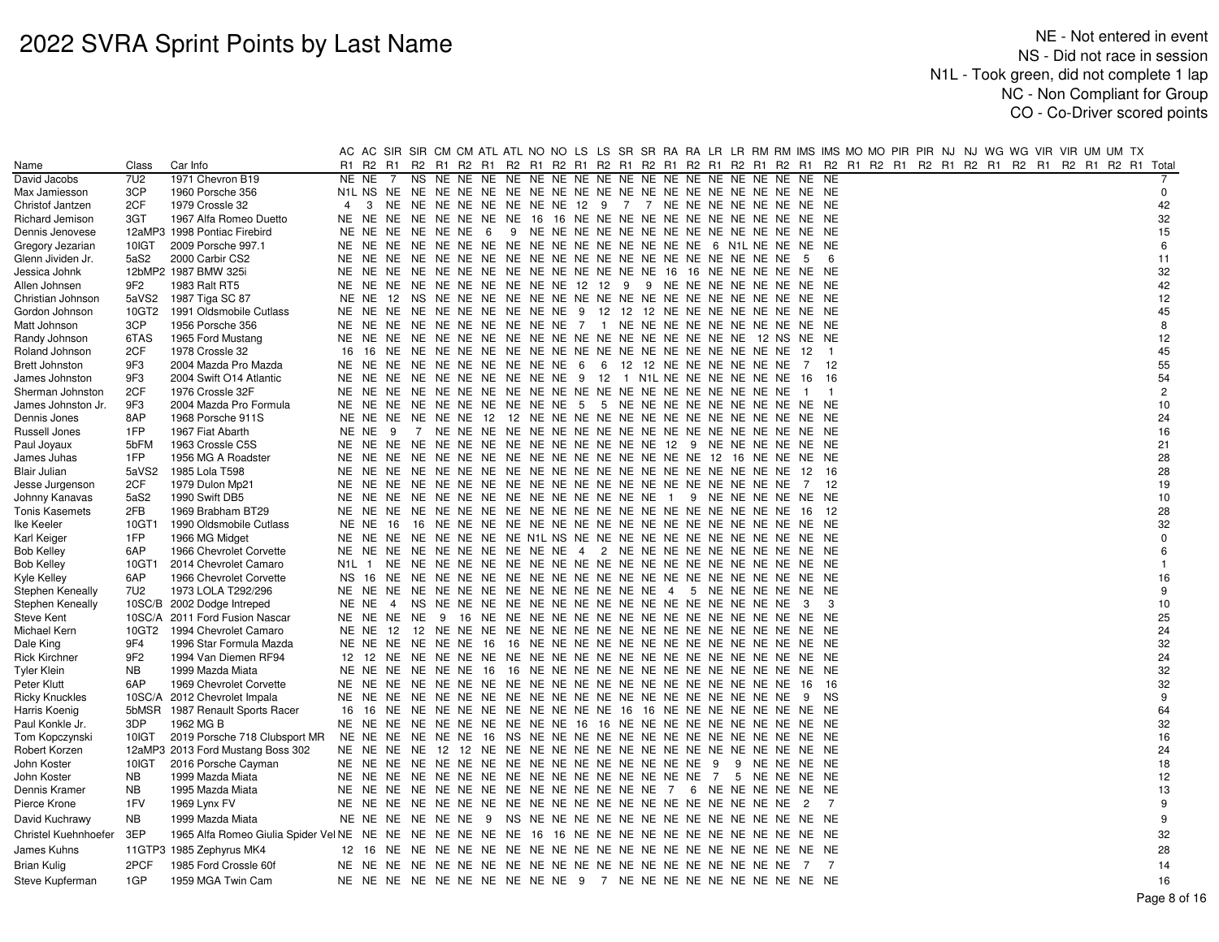|                              |                    |                                                                                                        |                |                   |                |     |                                                                |  |  |  |  |  | AC AC SIR SIR CM CM ATL ATL NO NO LS LS SR SR RA RA LR LR RM RM IMS IMS MO MO PIR PIR NJ NJ WG WG VIR VIR UM UM TX |                |                |  |  |  |  |  |                |
|------------------------------|--------------------|--------------------------------------------------------------------------------------------------------|----------------|-------------------|----------------|-----|----------------------------------------------------------------|--|--|--|--|--|--------------------------------------------------------------------------------------------------------------------|----------------|----------------|--|--|--|--|--|----------------|
| Name                         | Class              | Car Info                                                                                               | R1             |                   |                |     |                                                                |  |  |  |  |  | R2 R1 R2 R1 R2 R1 R2 R1 R2 R1 R2 R1 R2 R1 R2 R1 R2 R1 R2 R1 R2 R1 R2 R1 R2 R1 R2 R1 R2 R1 R2 R1 R2 R1 R2 R1 Total  |                |                |  |  |  |  |  |                |
| David Jacobs                 | 7U2                | 1971 Chevron B19                                                                                       | NE NE          |                   | 7              | NS. | NE NE NE                                                       |  |  |  |  |  |                                                                                                                    | NE             | <b>NE</b>      |  |  |  |  |  |                |
| Max Jamiesson                | 3CP                | 1960 Porsche 356                                                                                       |                |                   |                |     |                                                                |  |  |  |  |  |                                                                                                                    |                |                |  |  |  |  |  | 0              |
| Christof Jantzen             | 2CF                | 1979 Crossle 32                                                                                        | $\overline{4}$ | 3                 | NE             |     |                                                                |  |  |  |  |  | NE NE NE NE NE NE NE 12 9 7 7 NE NE NE NE NE NE NE NE NE                                                           |                |                |  |  |  |  |  | 42             |
| Richard Jemison              | 3GT                | 1967 Alfa Romeo Duetto                                                                                 |                | NE NE NE          |                |     |                                                                |  |  |  |  |  | NE NE NE NE NE 16 16 NE NE NE NE NE NE NE NE NE NE NE                                                              | NE.            | NE             |  |  |  |  |  | 32             |
| Dennis Jenovese              |                    | 12aMP3 1998 Pontiac Firebird                                                                           |                |                   |                |     | NE NE NE NE NE NE 6                                            |  |  |  |  |  |                                                                                                                    |                |                |  |  |  |  |  | 15             |
| Gregory Jezarian             | 10IGT              | 2009 Porsche 997.1                                                                                     |                |                   |                |     |                                                                |  |  |  |  |  |                                                                                                                    |                |                |  |  |  |  |  | 6              |
| Glenn Jividen Jr.            | 5aS2               | 2000 Carbir CS2                                                                                        |                |                   |                |     |                                                                |  |  |  |  |  |                                                                                                                    | -5             | 6              |  |  |  |  |  | 11             |
| Jessica Johnk                |                    | 12bMP2 1987 BMW 325i                                                                                   |                |                   |                |     |                                                                |  |  |  |  |  |                                                                                                                    |                |                |  |  |  |  |  | 32             |
| Allen Johnsen                | 9F2                | 1983 Ralt RT5                                                                                          |                |                   |                |     |                                                                |  |  |  |  |  | NE NE NE NE NE NE NE NE NE NE 12 12 9 9 NE NE NE NE NE NE NE NE NE                                                 |                |                |  |  |  |  |  | 42             |
| Christian Johnson            | 5aVS2              | 1987 Tiga SC 87                                                                                        |                |                   |                |     |                                                                |  |  |  |  |  |                                                                                                                    |                |                |  |  |  |  |  | 12             |
| Gordon Johnson               | 10GT2              | 1991 Oldsmobile Cutlass                                                                                |                |                   |                |     |                                                                |  |  |  |  |  | NE NE NE NE NE NE NE NE NE NE 9 12 12 12 NE NE NE NE NE NE NE NE NE                                                |                |                |  |  |  |  |  | 45             |
| Matt Johnson                 | 3CP                | 1956 Porsche 356                                                                                       |                |                   |                |     |                                                                |  |  |  |  |  | NE NE NE NE NE NE NE NE NE NE 7 1 NE NE NE NE NE NE NE NE NE NE NE                                                 |                |                |  |  |  |  |  | 8              |
| Randy Johnson                | 6TAS               | 1965 Ford Mustang                                                                                      |                |                   |                |     |                                                                |  |  |  |  |  |                                                                                                                    |                |                |  |  |  |  |  | 12             |
| Roland Johnson               | 2CF                | 1978 Crossle 32                                                                                        | 16             |                   |                |     |                                                                |  |  |  |  |  |                                                                                                                    | - 12           |                |  |  |  |  |  | 45             |
| Brett Johnston               | 9F3                | 2004 Mazda Pro Mazda                                                                                   |                |                   |                |     | NE NE NE NE NE NE NE NE NE NE 6                                |  |  |  |  |  | 6 12 12 NE NE NE NE NE NE                                                                                          | 7              | 12             |  |  |  |  |  | 55             |
| James Johnston               | 9F3                | 2004 Swift O14 Atlantic                                                                                |                |                   |                |     | NE NE NE NE NE NE NE NE NE NE 9 12 1 N1L NE NE NE NE NE NE     |  |  |  |  |  |                                                                                                                    | 16             | - 16           |  |  |  |  |  | 54             |
| Sherman Johnston             | 2CF                | 1976 Crossle 32F                                                                                       |                |                   |                |     |                                                                |  |  |  |  |  |                                                                                                                    | $\overline{1}$ | - 1            |  |  |  |  |  | $\overline{c}$ |
| James Johnston Jr.           | 9F3                | 2004 Mazda Pro Formula                                                                                 |                |                   |                |     | NE NE NE NE NE NE NE NE NE NE 5                                |  |  |  |  |  | 5 NE NE NE NE NE NE NE NE NE NE                                                                                    |                |                |  |  |  |  |  | 10             |
| Dennis Jones                 | 8AP                | 1968 Porsche 911S                                                                                      |                |                   |                |     | NE NE NE NE NE NE 12 12 NE NE NE NE NE NE NE NE NE NE NE NE NE |  |  |  |  |  |                                                                                                                    | NE NE          |                |  |  |  |  |  | 24             |
| Russell Jones                | 1FP                | 1967 Fiat Abarth                                                                                       |                | NENE <sub>9</sub> |                |     |                                                                |  |  |  |  |  |                                                                                                                    |                |                |  |  |  |  |  | 16             |
| Paul Joyaux                  | 5bFM               | 1963 Crossle C5S                                                                                       |                |                   |                |     |                                                                |  |  |  |  |  |                                                                                                                    |                |                |  |  |  |  |  | 21             |
| James Juhas                  | 1FP                | 1956 MG A Roadster                                                                                     |                |                   |                |     |                                                                |  |  |  |  |  |                                                                                                                    |                |                |  |  |  |  |  | 28             |
| <b>Blair Julian</b>          | 5aVS2              | 1985 Lola T598                                                                                         | NE             |                   |                |     |                                                                |  |  |  |  |  |                                                                                                                    | 12             | - 16           |  |  |  |  |  | 28             |
| Jesse Jurgenson              | 2CF                | 1979 Dulon Mp21                                                                                        |                |                   |                |     |                                                                |  |  |  |  |  |                                                                                                                    | 7              | -12            |  |  |  |  |  | 19             |
| Johnny Kanavas               | 5aS2               | 1990 Swift DB5                                                                                         |                |                   |                |     |                                                                |  |  |  |  |  | 9 NE NE NE NE NE NE                                                                                                |                |                |  |  |  |  |  | 10             |
| Tonis Kasemets               | 2FB                | 1969 Brabham BT29                                                                                      |                |                   |                |     |                                                                |  |  |  |  |  |                                                                                                                    | 16             | 12             |  |  |  |  |  | 28             |
| Ike Keeler                   | 10GT1              | 1990 Oldsmobile Cutlass                                                                                | NE NE          |                   | -16            |     |                                                                |  |  |  |  |  |                                                                                                                    | NE.            | NE             |  |  |  |  |  | 32             |
| Karl Keiger                  | 1FP                | 1966 MG Midget                                                                                         |                |                   |                |     |                                                                |  |  |  |  |  | NE NE NE NE NE NE NE NE NE N1L NS NE NE NE NE NE NE NE NE NE NE NE NE NE                                           |                |                |  |  |  |  |  | $\Omega$       |
| <b>Bob Kelley</b>            | 6AP                | 1966 Chevrolet Corvette                                                                                |                |                   |                |     | NE NE NE NE NE NE NE NE NE NE 4 2 NE NE NE NE NE NE NE NE NE   |  |  |  |  |  |                                                                                                                    | NE NE          |                |  |  |  |  |  | 6              |
| <b>Bob Kelley</b>            | 10GT1              | 2014 Chevrolet Camaro                                                                                  | N1L.           |                   | NE             |     |                                                                |  |  |  |  |  |                                                                                                                    | NE.            | NE             |  |  |  |  |  | $\mathbf{1}$   |
| Kyle Kelley                  | 6AP                | 1966 Chevrolet Corvette                                                                                | NS.            |                   |                |     |                                                                |  |  |  |  |  |                                                                                                                    |                |                |  |  |  |  |  | 16             |
| <b>Stephen Keneally</b>      | 7U2                | 1973 LOLA T292/296                                                                                     |                |                   |                |     |                                                                |  |  |  |  |  |                                                                                                                    |                |                |  |  |  |  |  | 9              |
| Stephen Keneally             |                    | 10SC/B 2002 Dodge Intreped                                                                             | NE NE          |                   | $\overline{4}$ |     |                                                                |  |  |  |  |  |                                                                                                                    | - 3            | 3              |  |  |  |  |  | 10             |
| Steve Kent                   |                    | 10SC/A 2011 Ford Fusion Nascar                                                                         |                |                   | NE NE NE NE 9  |     |                                                                |  |  |  |  |  |                                                                                                                    |                |                |  |  |  |  |  | 25             |
| Michael Kern                 | 10GT2              | 1994 Chevrolet Camaro                                                                                  |                | NE NE 12          |                |     |                                                                |  |  |  |  |  |                                                                                                                    |                |                |  |  |  |  |  | 24             |
| Dale King                    | 9F4                | 1996 Star Formula Mazda                                                                                |                |                   |                |     | NE NE NE NE NE NE 16 16 NE NE NE NE NE NE NE NE NE NE NE NE NE |  |  |  |  |  |                                                                                                                    | NE.            | NE             |  |  |  |  |  | 32             |
| <b>Rick Kirchner</b>         | 9F <sub>2</sub>    | 1994 Van Diemen RF94                                                                                   | 12             | 12 NE             |                |     |                                                                |  |  |  |  |  |                                                                                                                    |                |                |  |  |  |  |  | 24             |
| Tyler Klein                  | NB.                | 1999 Mazda Miata                                                                                       |                |                   |                |     |                                                                |  |  |  |  |  |                                                                                                                    |                |                |  |  |  |  |  | 32             |
| Peter Klutt                  | 6AP                | 1969 Chevrolet Corvette                                                                                |                |                   |                |     |                                                                |  |  |  |  |  |                                                                                                                    | 16             | -16            |  |  |  |  |  | 32             |
| <b>Ricky Knuckles</b>        |                    | 10SC/A 2012 Chevrolet Impala                                                                           |                |                   |                |     |                                                                |  |  |  |  |  |                                                                                                                    | - 9            | NS.            |  |  |  |  |  | 9<br>64        |
| Harris Koenig                |                    | 5bMSR 1987 Renault Sports Racer                                                                        |                |                   |                |     |                                                                |  |  |  |  |  | 16 16 NE NE NE NE NE NE NE NE NE NE 16 16 NE NE NE NE NE NE NE                                                     | NE NE          |                |  |  |  |  |  |                |
| Paul Konkle Jr.              | 3DP                | 1962 MG B                                                                                              |                |                   |                |     | NE NE NE NE NE NE NE NE NE NE 16 16 NE NE NE NE NE NE NE NE NE |  |  |  |  |  |                                                                                                                    | NE NE          |                |  |  |  |  |  | 32<br>16       |
| Tom Kopczynsk                | 10IGT              | 2019 Porsche 718 Clubsport MR                                                                          |                | NE NE NE          |                |     | NE NE NE 16 NS NE NE NE NE NE NE NE NE NE NE NE NE NE          |  |  |  |  |  |                                                                                                                    | NE NE          |                |  |  |  |  |  | 24             |
| Robert Korzen                |                    | 12aMP3 2013 Ford Mustang Boss 302                                                                      |                |                   |                |     |                                                                |  |  |  |  |  |                                                                                                                    |                |                |  |  |  |  |  |                |
| John Koster                  | 10IGT<br><b>NB</b> | 2016 Porsche Cayman<br>1999 Mazda Miata                                                                |                |                   |                |     |                                                                |  |  |  |  |  | 5 NE NE NE NE                                                                                                      |                |                |  |  |  |  |  | 18<br>12       |
| John Koster<br>Dennis Kramer | <b>NB</b>          | 1995 Mazda Miata                                                                                       |                |                   |                |     |                                                                |  |  |  |  |  |                                                                                                                    |                |                |  |  |  |  |  | 13             |
|                              | 1FV                |                                                                                                        |                |                   |                |     |                                                                |  |  |  |  |  |                                                                                                                    |                | $\overline{7}$ |  |  |  |  |  | 9              |
| Pierce Krone                 |                    | 1969 Lynx FV                                                                                           |                |                   |                |     |                                                                |  |  |  |  |  |                                                                                                                    | $\overline{2}$ |                |  |  |  |  |  |                |
| David Kuchrawy               | <b>NB</b>          | 1999 Mazda Miata                                                                                       |                |                   |                |     |                                                                |  |  |  |  |  |                                                                                                                    |                |                |  |  |  |  |  | 9              |
| Christel Kuehnhoefer         | 3EP                | 1965 Alfa Romeo Giulia Spider Vel NE NE NE NE NE NE NE NE 16 16 NE NE NE NE NE NE NE NE NE NE NE NE NE |                |                   |                |     |                                                                |  |  |  |  |  |                                                                                                                    |                |                |  |  |  |  |  | 32             |
| James Kuhns                  |                    | 11GTP3 1985 Zephyrus MK4                                                                               |                |                   |                |     |                                                                |  |  |  |  |  |                                                                                                                    |                |                |  |  |  |  |  | 28             |
| Brian Kulig                  | 2PCF               | 1985 Ford Crossle 60f                                                                                  |                |                   |                |     |                                                                |  |  |  |  |  |                                                                                                                    | $\overline{7}$ | $\overline{7}$ |  |  |  |  |  | 14             |
| Steve Kupferman              | 1GP                | 1959 MGA Twin Cam                                                                                      |                |                   |                |     |                                                                |  |  |  |  |  | NE NE NE NE NE NE NE NE NE NE 9 7 NE NE NE NE NE NE NE NE NE NE NE                                                 |                |                |  |  |  |  |  | 16             |
|                              |                    |                                                                                                        |                |                   |                |     |                                                                |  |  |  |  |  |                                                                                                                    |                |                |  |  |  |  |  | $D - C - C$    |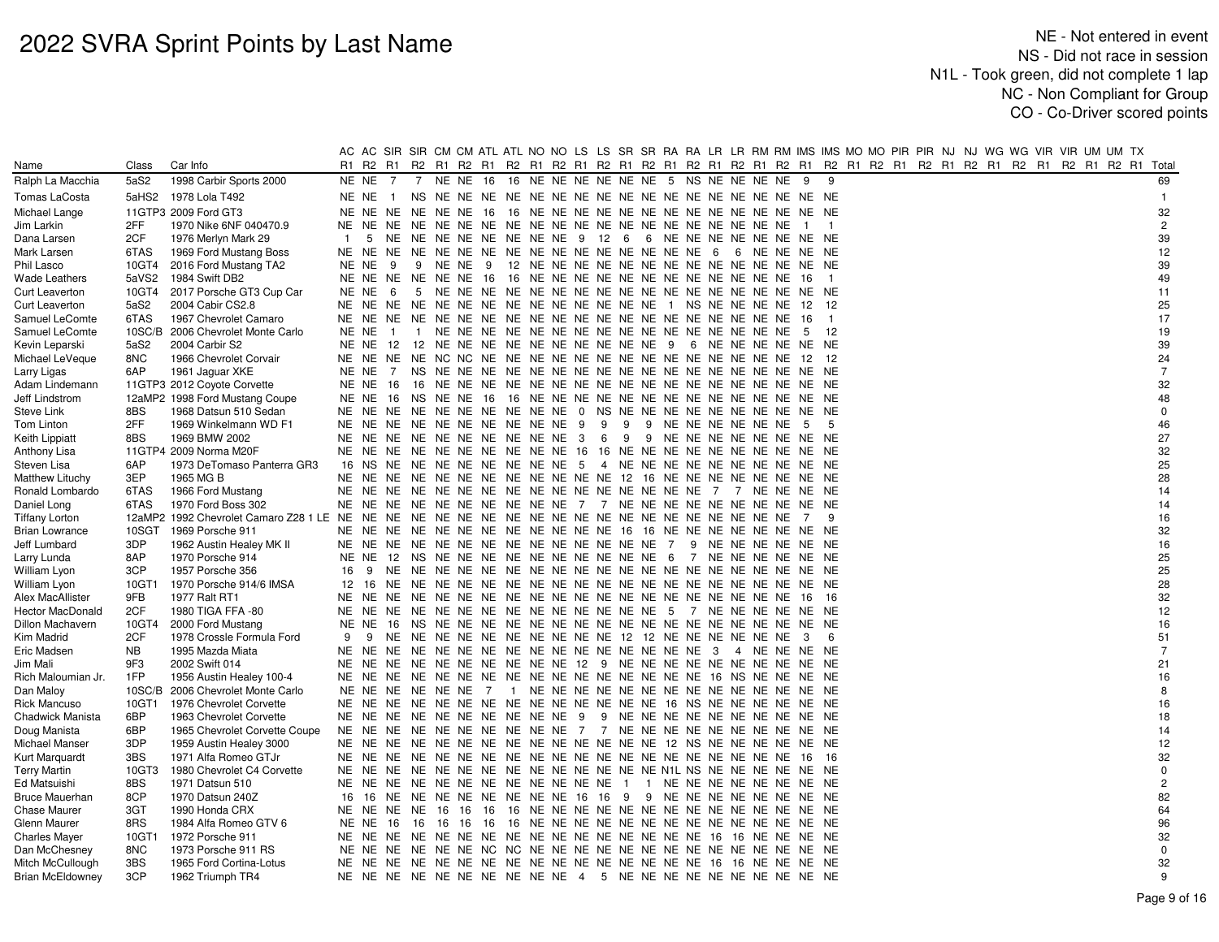|                                   |            |                                                | AC.            |                                              |                |                |            |                |                                 |                                                                         |     |   |                             |  |                     |                |                | AC SIR SIR CM CM ATL ATL NO NO LS LS SR SR RA RA LR LR RM RM IMS MS MO MO PIR PIR NJ NJ WG WG VIR VIR UM UM TX |  |  |  |  |                |
|-----------------------------------|------------|------------------------------------------------|----------------|----------------------------------------------|----------------|----------------|------------|----------------|---------------------------------|-------------------------------------------------------------------------|-----|---|-----------------------------|--|---------------------|----------------|----------------|----------------------------------------------------------------------------------------------------------------|--|--|--|--|----------------|
| Name                              | Class      | Car Info                                       |                | R <sub>1</sub> R <sub>2</sub> R <sub>1</sub> |                |                |            |                |                                 |                                                                         |     |   |                             |  |                     |                |                | R2 R1 R2 R1 R2 R1 R2 R1 R2 R1 R2 R1 R2 R1 R2 R1 R2 R1 R2 R1 R2 R1 R2 R1 R2 R1 R2 R1 R2 R1 R2 R1 R2 R1 Total    |  |  |  |  |                |
| Ralph La Macchia                  | 5aS2       | 1998 Carbir Sports 2000                        |                | NE NE 7                                      |                |                |            |                |                                 | 7 NE NE 16 16 NE NE NE NE NE NE 5 NS NE NE NE NE 9                      |     |   |                             |  |                     |                | 9              |                                                                                                                |  |  |  |  | 69             |
| Tomas LaCosta                     | 5aHS2      | 1978 Lola T492                                 |                | NE NE 1                                      |                |                |            |                |                                 |                                                                         |     |   |                             |  |                     |                |                |                                                                                                                |  |  |  |  | $\overline{1}$ |
| Michael Lange                     |            | 11GTP3 2009 Ford GT3                           |                |                                              |                |                |            |                |                                 |                                                                         |     |   |                             |  |                     |                |                |                                                                                                                |  |  |  |  | 32             |
| Jim Larkin                        | 2FF        | 1970 Nike 6NF 040470.9                         | NE NE          |                                              | NE             |                |            |                |                                 |                                                                         |     |   |                             |  |                     | $\overline{1}$ | $\overline{1}$ |                                                                                                                |  |  |  |  | $\overline{c}$ |
| Dana Larsen                       | 2CF        | 1976 Merlyn Mark 29                            | $\overline{1}$ | 5                                            |                |                |            |                |                                 | NE NE NE NE NE NE NE NE 9 12 6 6 NE NE NE NE NE NE NE NE                |     |   |                             |  |                     |                |                |                                                                                                                |  |  |  |  | 39             |
| Mark Larsen                       | 6TAS       | 1969 Ford Mustang Boss                         |                |                                              |                |                |            |                |                                 |                                                                         |     |   |                             |  |                     |                |                |                                                                                                                |  |  |  |  | 12             |
| Phil Lasco                        | 10GT4      | 2016 Ford Mustang TA2                          | NE NE          |                                              | - 9            | 9              | NENE 9     |                |                                 |                                                                         |     |   |                             |  |                     |                |                |                                                                                                                |  |  |  |  | 39             |
| Wade Leathers                     | 5aVS2      | 1984 Swift DB2                                 |                |                                              |                |                |            |                |                                 |                                                                         |     |   |                             |  |                     |                | $\overline{1}$ |                                                                                                                |  |  |  |  | 49             |
| Curt Leaverton                    | 10GT4      | 2017 Porsche GT3 Cup Car                       | NE NE          |                                              | - 6            |                |            |                |                                 |                                                                         |     |   |                             |  |                     |                |                |                                                                                                                |  |  |  |  | 11             |
| <b>Curt Leaverton</b>             | 5aS2       | 2004 Cabir CS2.8                               |                | NE NE NE                                     |                |                |            |                |                                 | NE NE NE NE NE NE NE NE NE NE NE 1 NS NE NE NE NE                       |     |   |                             |  |                     | -12            | - 12           |                                                                                                                |  |  |  |  | 25             |
| Samuel LeComte                    | 6TAS       | 1967 Chevrolet Camaro                          |                |                                              |                |                |            |                |                                 |                                                                         |     |   |                             |  |                     |                | $\overline{1}$ |                                                                                                                |  |  |  |  | 17             |
| Samuel LeComte                    | 10SC/B     | 2006 Chevrolet Monte Carlo                     | NE NE          |                                              | $\overline{1}$ | $\overline{1}$ |            |                |                                 |                                                                         |     |   |                             |  |                     | 5              | 12             |                                                                                                                |  |  |  |  | 19             |
| Kevin Leparski                    | 5aS2       | 2004 Carbir S2                                 | NE NE          |                                              |                |                |            |                |                                 | 12 12 NE NE NE NE NE NE NE NE NE NE 9 6 NE NE NE NE NE NE               |     |   |                             |  |                     |                |                |                                                                                                                |  |  |  |  | 39             |
| Michael LeVeque                   | 8NC        | 1966 Chevrolet Corvair                         |                |                                              |                |                |            |                |                                 |                                                                         |     |   |                             |  |                     |                |                |                                                                                                                |  |  |  |  | 24             |
| Larry Ligas                       | 6AP        | 1961 Jaguar XKE                                | NE NE          |                                              | <sup>7</sup>   |                |            |                |                                 |                                                                         |     |   |                             |  |                     |                |                |                                                                                                                |  |  |  |  | $\overline{7}$ |
| Adam Lindemann                    |            | 11GTP3 2012 Coyote Corvette                    |                | <b>NE NE 16</b>                              |                |                |            |                |                                 |                                                                         |     |   |                             |  |                     |                |                |                                                                                                                |  |  |  |  | 32             |
| Jeff Lindstrom                    |            | 12aMP2 1998 Ford Mustang Coupe                 |                | NE NE 16                                     |                |                |            |                |                                 |                                                                         |     |   |                             |  |                     |                |                |                                                                                                                |  |  |  |  | 48             |
| Steve Link                        | 8BS        | 1968 Datsun 510 Sedan                          |                | NE NE NE                                     |                |                |            |                |                                 | NE NE NE NE NE NE NE 0 NS NE NE NE NE NE NE NE NE NE NE                 |     |   |                             |  |                     |                |                |                                                                                                                |  |  |  |  | $\mathbf 0$    |
| Tom Linton                        | 2FF        | 1969 Winkelmann WD F1                          |                |                                              |                |                |            |                | NE NE NE NE NE NE NE NE NE NE 9 |                                                                         | - 9 | 9 | 9 NE NE NE NE NE NE 5       |  |                     |                | -5             |                                                                                                                |  |  |  |  | 46             |
| Keith Lippiatt                    | 8BS        | 1969 BMW 2002                                  |                |                                              |                |                |            |                |                                 | NE NE NE NE NE NE NE NE NE NE 3 6                                       |     |   | 9 9 NE NE NE NE NE NE NE NE |  |                     |                |                |                                                                                                                |  |  |  |  | 27             |
| Anthony Lisa                      |            | 11GTP4 2009 Norma M20F                         |                |                                              |                |                |            |                |                                 | NE NE NE NE NE NE NE NE NE NE 16 16 NE NE NE NE NE NE NE NE NE NE NE    |     |   |                             |  |                     |                |                |                                                                                                                |  |  |  |  | 32             |
| Steven Lisa                       | 6AP        | 1973 DeTomaso Panterra GR3                     |                |                                              |                |                |            |                |                                 | 16 NS NE NE NE NE NE NE NE NE 5 4 NE NE NE NE NE NE NE NE NE NE NE      |     |   |                             |  |                     |                |                |                                                                                                                |  |  |  |  | 25             |
| <b>Matthew Lituchy</b>            | 3EP        | 1965 MG B                                      |                |                                              |                |                |            |                |                                 | NE NE NE NE NE NE NE NE NE NE NE NE NE 12 16 NE NE NE NE NE NE NE NE NE |     |   |                             |  |                     |                |                |                                                                                                                |  |  |  |  | 28             |
| Ronald Lombardo                   | 6TAS       | 1966 Ford Mustang                              |                |                                              |                |                |            |                |                                 |                                                                         |     |   |                             |  |                     |                |                |                                                                                                                |  |  |  |  | 14             |
| Daniel Long                       | 6TAS       | 1970 Ford Boss 302                             |                |                                              |                |                |            |                |                                 | NE NE NE NE NE NE NE NE NE NE 7 7 NE NE NE NE NE NE NE NE NE NE         |     |   |                             |  |                     |                |                |                                                                                                                |  |  |  |  | 14             |
| Tiffany Lorton                    |            |                                                |                |                                              |                |                |            |                |                                 |                                                                         |     |   |                             |  |                     | $\overline{7}$ | -9             |                                                                                                                |  |  |  |  | 16             |
| <b>Brian Lowrance</b>             | 10SGT      | 1969 Porsche 911                               |                |                                              |                |                |            |                |                                 | NE NE NE NE NE NE NE NE NE NE NE NE 16 16 NE NE NE NE NE NE NE NE NE    |     |   |                             |  |                     |                |                |                                                                                                                |  |  |  |  | 32             |
| Jeff Lumbard                      | 3DP        | 1962 Austin Healey MK II                       |                |                                              |                |                |            |                |                                 |                                                                         |     |   |                             |  | 9 NE NE NE NE NE NE |                |                |                                                                                                                |  |  |  |  | 16             |
| Larry Lunda                       | 8AP        | 1970 Porsche 914                               |                |                                              |                |                |            |                |                                 | NE NE 12 NS NE NE NE NE NE NE NE NE NE NE 6 7 NE NE NE NE NE NE         |     |   |                             |  |                     |                |                |                                                                                                                |  |  |  |  | 25             |
| William Lyon                      | 3CP        | 1957 Porsche 356                               | 16             |                                              |                |                |            |                |                                 |                                                                         |     |   |                             |  |                     |                |                |                                                                                                                |  |  |  |  | 25             |
| William Lyon                      | 10GT1      | 1970 Porsche 914/6 IMSA                        |                |                                              |                |                |            |                |                                 |                                                                         |     |   |                             |  |                     |                |                |                                                                                                                |  |  |  |  | 28             |
| Alex MacAllister                  | 9FB        | 1977 Ralt RT1                                  |                |                                              |                |                |            |                |                                 |                                                                         |     |   |                             |  |                     |                |                |                                                                                                                |  |  |  |  | 32             |
| <b>Hector MacDonald</b>           | 2CF        | 1980 TIGA FFA -80                              |                |                                              |                |                |            |                |                                 |                                                                         |     |   |                             |  |                     |                |                |                                                                                                                |  |  |  |  | 12             |
| Dillon Machavern                  | 10GT4      | 2000 Ford Mustang                              | NE NE          |                                              | - 16           |                |            |                |                                 |                                                                         |     |   |                             |  |                     |                |                |                                                                                                                |  |  |  |  | 16             |
| Kim Madrid                        | 2CF        | 1978 Crossle Formula Ford                      | 9              |                                              |                |                |            |                |                                 | 9 NE NE NE NE NE NE NE NE NE NE 12 12 NE NE NE NE NE NE 3               |     |   |                             |  |                     |                | 6              |                                                                                                                |  |  |  |  | 51             |
| Eric Madsen                       | <b>NB</b>  | 1995 Mazda Miata                               |                | NE NE NE                                     |                |                |            |                |                                 | NE NE NE NE NE NE NE NE NE NE NE NE NE 3 4 NE NE NE NE                  |     |   |                             |  |                     |                |                |                                                                                                                |  |  |  |  | $\overline{7}$ |
| Jim Mali                          | 9F3        | 2002 Swift 014                                 |                |                                              |                |                |            |                |                                 | NE NE NE NE NE NE NE NE NE NE 12 9 NE NE NE NE NE NE NE NE NE NE        |     |   |                             |  |                     |                |                |                                                                                                                |  |  |  |  | 21             |
| Rich Maloumian Jr.                | 1FP        | 1956 Austin Healey 100-4                       |                |                                              |                |                |            |                |                                 |                                                                         |     |   |                             |  |                     |                |                |                                                                                                                |  |  |  |  | 16             |
| Dan Maloy                         | 10SC/B     | 2006 Chevrolet Monte Carlo                     |                | NE NE NE                                     |                |                | NE NE NE 7 | $\overline{1}$ |                                 |                                                                         |     |   |                             |  |                     |                |                |                                                                                                                |  |  |  |  | 8              |
| <b>Rick Mancuso</b>               | 10GT1      | 1976 Chevrolet Corvette                        |                |                                              |                |                |            |                |                                 |                                                                         |     |   |                             |  |                     |                |                |                                                                                                                |  |  |  |  | 16             |
| Chadwick Manista                  | 6BP        | 1963 Chevrolet Corvette                        |                |                                              |                |                |            |                |                                 | NE NE NE NE NE NE NE NE NE NE 9 9 NE NE NE NE NE NE NE NE NE NE         |     |   |                             |  |                     |                |                |                                                                                                                |  |  |  |  | 18             |
| Doug Manista                      | 6BP        | 1965 Chevrolet Corvette Coupe                  |                |                                              |                |                |            |                |                                 | NE NE NE NE NE NE NE NE NE NE NE 7 7 NE NE NE NE NE NE NE NE NE NE      |     |   |                             |  |                     |                |                |                                                                                                                |  |  |  |  | 14             |
| <b>Michael Manser</b>             | 3DP        | 1959 Austin Healey 3000                        |                |                                              |                |                |            |                |                                 |                                                                         |     |   |                             |  |                     |                |                |                                                                                                                |  |  |  |  | 12             |
| Kurt Marquardt                    | 3BS        | 1971 Alfa Romeo GTJr                           |                |                                              |                |                |            |                |                                 |                                                                         |     |   |                             |  |                     | -16            | - 16           |                                                                                                                |  |  |  |  | 32             |
| Terry Martin                      | 10GT3      | 1980 Chevrolet C4 Corvette                     |                |                                              |                |                |            |                |                                 |                                                                         |     |   |                             |  |                     |                |                |                                                                                                                |  |  |  |  | $\mathsf 0$    |
| Ed Matsuishi                      | 8BS        | 1971 Datsun 510                                |                |                                              |                |                |            |                |                                 | NE NE NE NE NE NE NE NE NE NE NE NE 1 1 NE NE NE NE NE NE NE NE         |     |   |                             |  |                     |                |                |                                                                                                                |  |  |  |  | $\sqrt{2}$     |
| Bruce Mauerhan                    | 8CP        | 1970 Datsun 240Z                               | 16             |                                              |                |                |            |                |                                 | 16 NE NE NE NE NE NE NE NE 16 16 9 9 NE NE NE NE NE NE NE NE NE         |     |   |                             |  |                     |                |                |                                                                                                                |  |  |  |  | 82             |
| <b>Chase Maurer</b>               | 3GT        | 1990 Honda CRX                                 |                |                                              |                |                |            |                |                                 |                                                                         |     |   |                             |  |                     |                |                |                                                                                                                |  |  |  |  | 64             |
| Glenn Maurer                      | 8RS        | 1984 Alfa Romeo GTV 6                          |                | <b>NE NE 16</b>                              | 16             |                | 16 16 16   |                |                                 |                                                                         |     |   |                             |  |                     |                |                |                                                                                                                |  |  |  |  | 96             |
| <b>Charles Mayer</b>              | 10GT1      | 1972 Porsche 911                               |                |                                              |                |                |            |                |                                 |                                                                         |     |   |                             |  |                     |                |                |                                                                                                                |  |  |  |  | 32             |
| Dan McChesney<br>Mitch McCullough | 8NC<br>3BS | 1973 Porsche 911 RS<br>1965 Ford Cortina-Lotus |                |                                              |                |                |            |                |                                 |                                                                         |     |   |                             |  |                     |                |                |                                                                                                                |  |  |  |  | 0<br>32        |
| <b>Brian McEldowney</b>           | 3CP        | 1962 Triumph TR4                               |                |                                              |                |                |            |                |                                 | NE NE NE NE NE NE NE NE NE NE 4 5 NE NE NE NE NE NE NE NE NE NE NE      |     |   |                             |  |                     |                |                |                                                                                                                |  |  |  |  | 9              |
|                                   |            |                                                |                |                                              |                |                |            |                |                                 |                                                                         |     |   |                             |  |                     |                |                |                                                                                                                |  |  |  |  |                |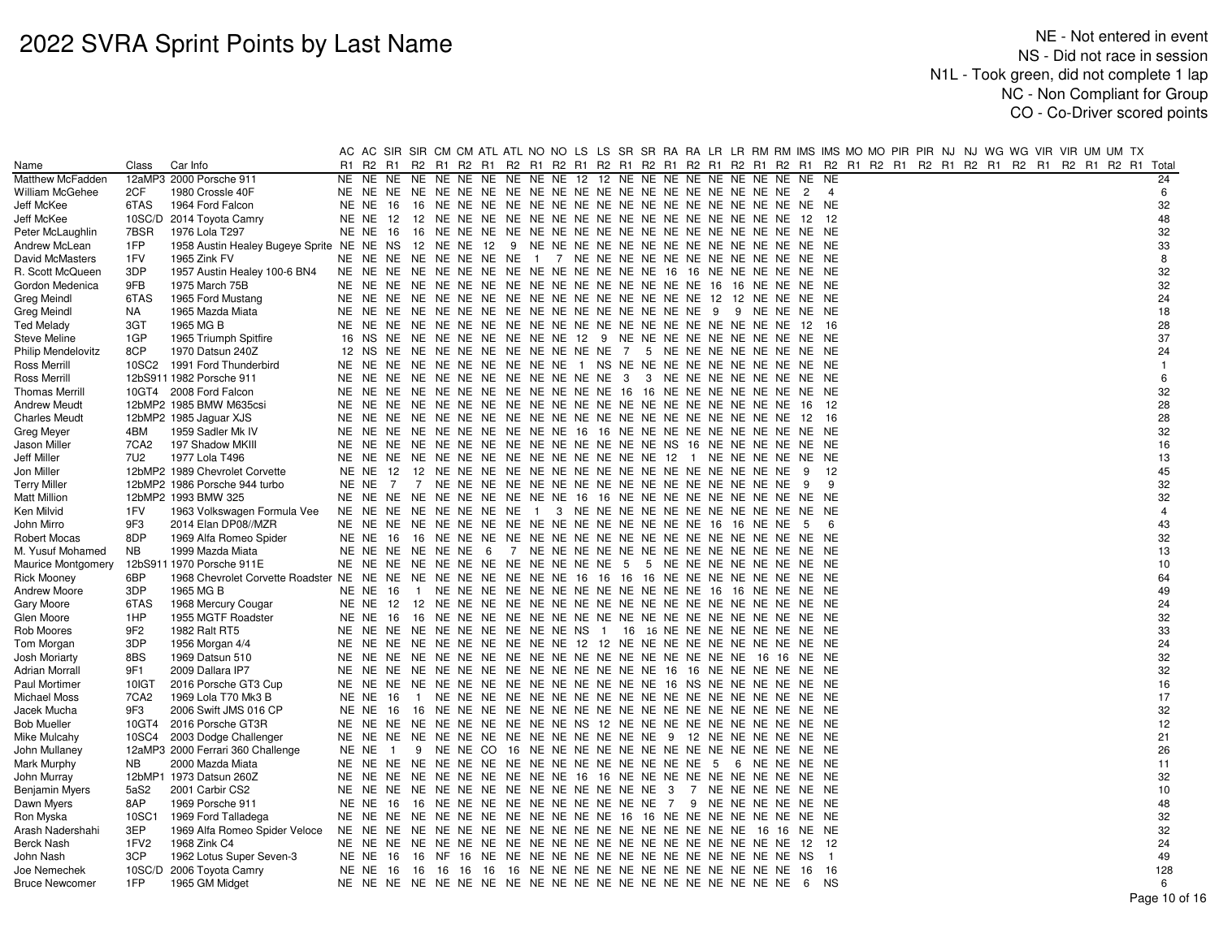| R1 R2 R1 R2 R1 R2 R1 R2 R1 R2 R1 R2 R1 R2 R1 R2 R1 R2 R1 R2 R1 R2 R1 R2 R1 R2 R1 R2 R1 R2 R1 R2 R1 R2 R1 R2 R1 Total<br>Class<br>Car Info<br>Name<br>12aMP3 2000 Porsche 911<br>NE NE NE 12 12 NE NE NE NE NE NE NE NE NE NE<br>Matthew McFadden<br>NE<br>NE<br>NE.<br>NE NE NE NE<br>NE<br>William McGehee<br>2CF<br>1980 Crossle 40F<br>6TAS<br>1964 Ford Falcon<br>Jeff McKee<br>NE NE<br>16 | 24             |
|-------------------------------------------------------------------------------------------------------------------------------------------------------------------------------------------------------------------------------------------------------------------------------------------------------------------------------------------------------------------------------------------------|----------------|
|                                                                                                                                                                                                                                                                                                                                                                                                 |                |
|                                                                                                                                                                                                                                                                                                                                                                                                 |                |
|                                                                                                                                                                                                                                                                                                                                                                                                 | 6              |
|                                                                                                                                                                                                                                                                                                                                                                                                 | 32             |
| Jeff McKee<br>10SC/D 2014 Toyota Camry<br>NE NE<br>12<br>12<br>12                                                                                                                                                                                                                                                                                                                               | 48             |
| 7BSR<br>Peter McLaughlin<br>1976 Lola T297<br>NE NE<br>- 16                                                                                                                                                                                                                                                                                                                                     | 32             |
| Andrew McLean<br>1FP<br>1958 Austin Healey Bugeye Sprite NE NE<br>NS                                                                                                                                                                                                                                                                                                                            | 33             |
| 1FV<br>David McMasters<br>1965 Zink FV<br>NE NE<br>NE NE NE NE NE NE 1 7 NE NE NE NE NE NE NE NE NE NE NE NE                                                                                                                                                                                                                                                                                    | 8              |
| R. Scott McQueen<br>3DP<br>1957 Austin Healey 100-6 BN4<br>NE NE NE NE NE NE NE NE NE NE NE NE 16 16 NE NE NE NE NE NE<br>NE NE                                                                                                                                                                                                                                                                 | 32             |
| Gordon Medenica<br>9FB<br>1975 March 75B<br>NE<br>NE.                                                                                                                                                                                                                                                                                                                                           | 32             |
| <b>Greg Meindl</b><br>6TAS<br>1965 Ford Mustang                                                                                                                                                                                                                                                                                                                                                 | 24             |
| <b>Greg Meindl</b><br>NA<br>1965 Mazda Miata<br>NE NE                                                                                                                                                                                                                                                                                                                                           | 18             |
| Ted Melady<br>3GT<br>1965 MG B<br>-16<br>NE.<br>NE.<br>- 12                                                                                                                                                                                                                                                                                                                                     | 28             |
| <b>Steve Meline</b><br>1GP<br>1965 Triumph Spitfire<br>16 NS<br>NE NE NE NE NE NE NE NE 12 9 NE NE NE NE NE NE NE NE NE NE                                                                                                                                                                                                                                                                      | 37             |
| Philip Mendelovitz<br>8CP<br>1970 Datsun 240Z<br>12 NS<br>NE NE NE NE NE NE NE NE NE NE 7 5 NE NE NE NE NE NE NE NE NE                                                                                                                                                                                                                                                                          | 24             |
| Ross Merrill<br>10SC2<br>1991 Ford Thunderbird<br>NE NE NE NE NE NE NE NE 1 NS NE NE NE NE NE NE NE NE NE NE<br>NE NE                                                                                                                                                                                                                                                                           | $\overline{1}$ |
| 12bS911 1982 Porsche 911<br>NE NE NE NE NE NE NE NE NE NE 3 3 NE NE NE NE NE NE NE NE NE<br>Ross Merrill<br>NE<br>NE                                                                                                                                                                                                                                                                            | 6              |
| <b>Thomas Merrill</b><br>10GT4 2008 Ford Falcon<br>NE<br>NE<br>NE NE NE NE NE NE NE NE NE NE 16 16 NE NE NE NE NE NE NE NE                                                                                                                                                                                                                                                                      | 32             |
| <b>Andrew Meudt</b><br>12bMP2 1985 BMW M635csi<br>12                                                                                                                                                                                                                                                                                                                                            | 28             |
| <b>Charles Meudt</b><br>12bMP2 1985 Jaguar XJS<br>NE.<br>NE<br>-16                                                                                                                                                                                                                                                                                                                              | 28             |
| 4BM<br>NE<br>NE NE NE NE NE NE NE NE 16 16 NE NE NE NE NE NE NE NE NE NE<br>Greg Meyer<br>1959 Sadler Mk IV<br>NE.                                                                                                                                                                                                                                                                              | 32             |
| Jason Miller<br>7CA2<br>197 Shadow MKIII<br>NE NE                                                                                                                                                                                                                                                                                                                                               | 16             |
| Jeff Miller<br>7U2<br>1977 Lola T496<br>NE NE NE NE NE NE NE NE NE NE NE NE 12 1 NE NE NE NE NE NE<br>NE NE                                                                                                                                                                                                                                                                                     | 13             |
| Jon Miller<br>12bMP2 1989 Chevrolet Corvette<br>NE NE<br>12<br>12<br>- 9                                                                                                                                                                                                                                                                                                                        | 45             |
| <b>Terry Miller</b><br>12bMP2 1986 Porsche 944 turbo<br>9<br>NE NE<br>7<br>- 9                                                                                                                                                                                                                                                                                                                  | 32             |
| Matt Million<br>12bMP2 1993 BMW 325<br>NE NE NE NE NE NE NE NE 16 16 NE NE NE NE NE NE NE NE NE NE<br>NE NE                                                                                                                                                                                                                                                                                     | 32             |
| Ken Milvid<br>1FV<br>1963 Volkswagen Formula Vee<br>NE NE NE NE NE NE NE NE 1 3 NE NE NE NE NE NE NE NE NE NE NE NE                                                                                                                                                                                                                                                                             | $\overline{4}$ |
| 9F3<br>2014 Elan DP08//MZR<br>John Mirro<br>NE NE<br>- 5<br>6                                                                                                                                                                                                                                                                                                                                   | 43             |
| 8DP<br>Robert Mocas<br>1969 Alfa Romeo Spider<br>NE NE<br>16                                                                                                                                                                                                                                                                                                                                    | 32             |
| M. Yusuf Mohamed<br><b>NB</b><br>1999 Mazda Miata<br>NE NE<br>NE NE NE NE 6                                                                                                                                                                                                                                                                                                                     | 13             |
| 12bS911 1970 Porsche 911E<br><b>Maurice Montgomery</b><br>NE NE<br>NE NE NE NE NE NE NE NE NE NE 5 5 NE NE NE NE NE NE NE NE NE                                                                                                                                                                                                                                                                 | 10             |
| 6BP<br>NE NE NE NE NE NE NE NE 16 16 16 16 NE NE NE NE NE NE NE NE<br><b>Rick Mooney</b><br>1968 Chevrolet Corvette Roadster NE NE                                                                                                                                                                                                                                                              | 64             |
| <b>Andrew Moore</b><br>3DP<br>1965 MG B<br>1 NE NE NE NE NE NE NE NE NE NE NE NE 16 16 NE NE NE NE<br>NE NE<br>- 16                                                                                                                                                                                                                                                                             | 49             |
| Gary Moore<br>6TAS<br>1968 Mercury Cougar<br>NE NE                                                                                                                                                                                                                                                                                                                                              | 24             |
| 1955 MGTF Roadster<br>Glen Moore<br>1HP<br>NE NE                                                                                                                                                                                                                                                                                                                                                | 32             |
| Rob Moores<br>9F2<br>1982 Ralt RT5<br>NE NE NE NE NE NE NE NE NE NE NE NS 1 16 16 NE NE NE NE NE NE NE NE                                                                                                                                                                                                                                                                                       | 33             |
| 3DP<br>NE NE NE NE NE NE NE NE NE NE 12 12 NE NE NE NE NE NE NE NE NE NE<br>Tom Morgan<br>1956 Morgan 4/4<br>NE                                                                                                                                                                                                                                                                                 | 24             |
| 8BS<br>Josh Moriarty<br>1969 Datsun 510<br>NE NE                                                                                                                                                                                                                                                                                                                                                | 32             |
| Adrian Morrall<br>9F1<br>2009 Dallara IP7<br>NE NE<br>NE NE NE NE NE NE NE NE NE NE NE NE 16 16 NE NE NE NE NE NE                                                                                                                                                                                                                                                                               | 32             |
| <b>Paul Mortimer</b><br>10IGT<br>2016 Porsche GT3 Cup                                                                                                                                                                                                                                                                                                                                           | 16             |
| Michael Moss<br>7CA <sub>2</sub><br>1969 Lola T70 Mk3 B<br>NE NE<br>- 16                                                                                                                                                                                                                                                                                                                        | 17             |
| 9F3<br>Jacek Mucha<br>2006 Swift JMS 016 CP<br>NE NE<br>16                                                                                                                                                                                                                                                                                                                                      | 32             |
| <b>Bob Mueller</b><br>10GT4<br>2016 Porsche GT3R<br>NE NE NE NE NE NE NE NE NE NE NE NS 12 NE NE NE NE NE NE NE NE NE NE                                                                                                                                                                                                                                                                        | 12             |
| 2003 Dodge Challenger<br>Mike Mulcahy<br>10SC4<br>John Mullaney<br>12aMP3 2000 Ferrari 360 Challenge<br>$\overline{1}$                                                                                                                                                                                                                                                                          | 21<br>26       |
| NE NE<br>2000 Mazda Miata<br>NE.                                                                                                                                                                                                                                                                                                                                                                | 11             |
| Mark Murphy<br>NB.<br>NE<br>12bMP1 1973 Datsun 260Z<br>NE NE NE NE NE NE NE NE 16 16 NE NE NE NE NE NE NE NE NE NE<br>NE.<br>NE.                                                                                                                                                                                                                                                                | 32             |
| John Murray<br><b>Benjamin Myers</b><br>2001 Carbir CS2<br>5aS2                                                                                                                                                                                                                                                                                                                                 | 10             |
| Dawn Myers<br>8AP<br>1969 Porsche 911<br>NE NE<br>16 NE NE NE NE NE NE NE NE NE NE 7 9 NE NE NE NE NE NE<br>- 16                                                                                                                                                                                                                                                                                | 48             |
| Ron Myska<br>10SC1<br>NE<br>NE<br>NE NE NE NE NE NE NE NE NE NE 16 16 NE NE NE NE NE NE NE NE<br>1969 Ford Talladega                                                                                                                                                                                                                                                                            | 32             |
| 3EP<br>Arash Nadershahi<br>1969 Alfa Romeo Spider Veloce<br>NE NE                                                                                                                                                                                                                                                                                                                               | 32             |
| Berck Nash<br>1FV <sub>2</sub><br>1968 Zink C4<br>12<br>NE NE                                                                                                                                                                                                                                                                                                                                   | 24             |
| 3CP<br>John Nash<br>1962 Lotus Super Seven-3<br><b>NE NE 16</b><br>$\overline{1}$                                                                                                                                                                                                                                                                                                               | 49             |
| 10SC/D 2006 Toyota Camry<br>16 16 16 16 16 NE NE NE NE NE NE NE NE NE NE NE NE NE<br>Joe Nemechek<br>NE NE<br>16<br>16<br>16                                                                                                                                                                                                                                                                    | 128            |
| 1FP<br><b>Bruce Newcomer</b><br>1965 GM Midget<br><b>NS</b><br>- 6                                                                                                                                                                                                                                                                                                                              | 6              |
|                                                                                                                                                                                                                                                                                                                                                                                                 | Page 10 of 16  |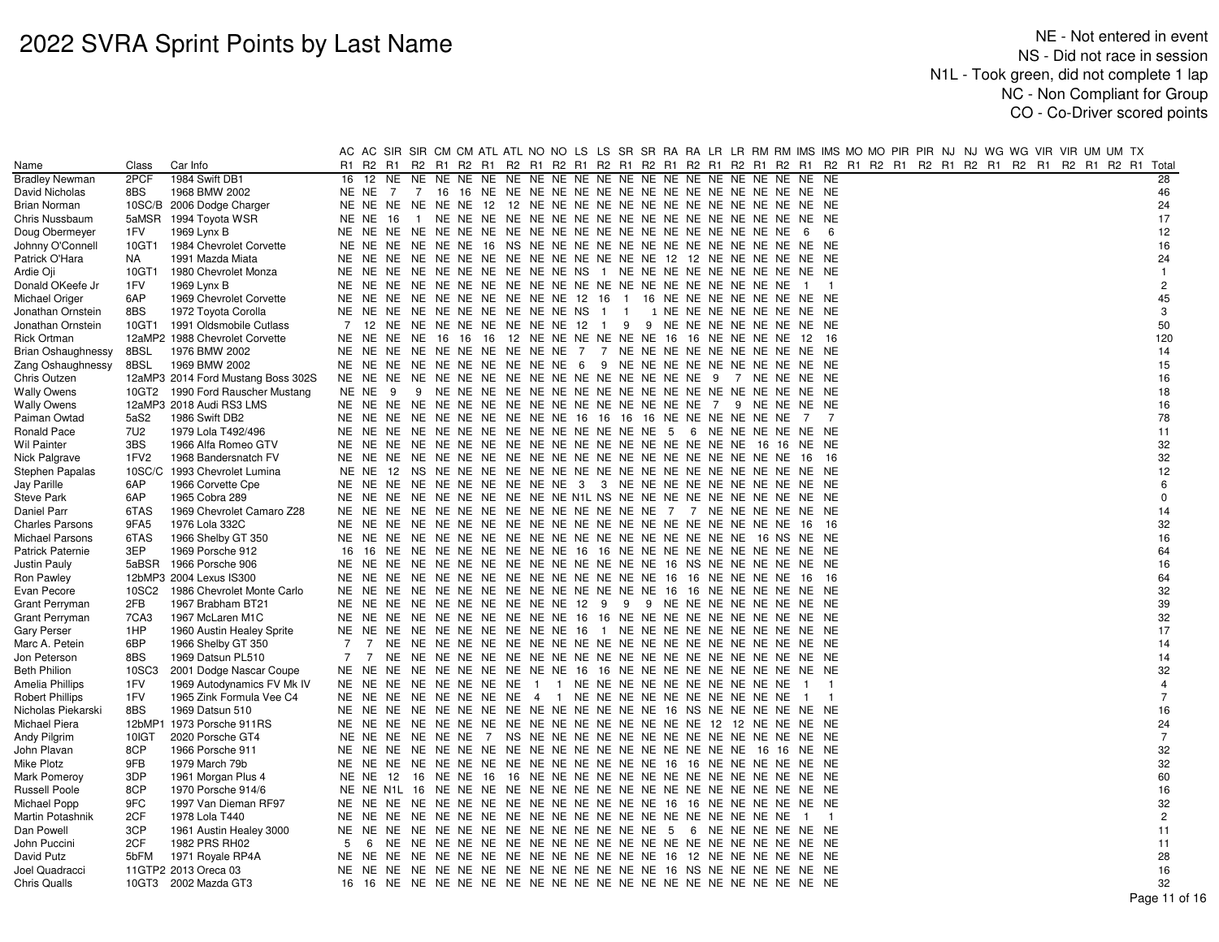|                           |        |                                    | AC AC SIR SIR CM CM ATL ATL NO NO LS LS SR SR RA RA LR LR RM RM IMS IMS MO MO PIR PIR NJ NJ WG WG VIR VIR UM UM TX      |  |                                                          |  |  |                |                |  |  |  |  |                |
|---------------------------|--------|------------------------------------|-------------------------------------------------------------------------------------------------------------------------|--|----------------------------------------------------------|--|--|----------------|----------------|--|--|--|--|----------------|
| Name                      | Class  | Car Info                           | R2 R1 R2 R1 R2 R1 R2 R1 R2 R1 R2 R1 R2 R1 R2 R1 R2 R1 R2 R1 R2 R1 R2 R1 R2 R1 R2 R1 R2 R1 R2 R1 R2 R1 R2 R1 Total<br>R1 |  |                                                          |  |  |                |                |  |  |  |  |                |
| <b>Bradley Newman</b>     | 2PCF   | 1984 Swift DB1                     | 16                                                                                                                      |  |                                                          |  |  |                |                |  |  |  |  | 28             |
| David Nicholas            | 8BS    | 1968 BMW 2002                      |                                                                                                                         |  |                                                          |  |  |                |                |  |  |  |  | 46             |
| Brian Norman              |        | 10SC/B 2006 Dodge Charger          |                                                                                                                         |  |                                                          |  |  |                |                |  |  |  |  | 24             |
| Chris Nussbaum            |        | 5aMSR 1994 Toyota WSR              | <b>NE NE 16</b>                                                                                                         |  |                                                          |  |  |                |                |  |  |  |  | 17             |
| Doug Obermeyer            | 1FV    | 1969 Lynx B                        |                                                                                                                         |  |                                                          |  |  |                | -6             |  |  |  |  | 12             |
| Johnny O'Connell          | 10GT1  | 1984 Chevrolet Corvette            |                                                                                                                         |  |                                                          |  |  |                |                |  |  |  |  | 16             |
| Patrick O'Hara            | NA     | 1991 Mazda Miata                   |                                                                                                                         |  |                                                          |  |  |                |                |  |  |  |  | 24             |
| Ardie Oji                 | 10GT1  | 1980 Chevrolet Monza               | NE NE NE NE NE NE NE NE NE NE NE NS 1 NE NE NE NE NE NE NE NE NE NE                                                     |  |                                                          |  |  |                |                |  |  |  |  | $\mathbf{1}$   |
| Donald OKeefe Jr          | 1FV    | 1969 Lynx B                        |                                                                                                                         |  |                                                          |  |  | $\overline{1}$ | $\overline{1}$ |  |  |  |  | $\overline{2}$ |
| Michael Origer            | 6AP    | 1969 Chevrolet Corvette            | NE NE NE NE NE NE NE NE NE NE 12 16 1 16 NE NE NE NE NE NE NE NE                                                        |  |                                                          |  |  |                |                |  |  |  |  | 45             |
| Jonathan Ornstein         | 8BS    | 1972 Toyota Corolla                | NE NE NE NE NE NE NE NE NE NE NE NS 1 1 1 NE NE NE NE NE NE NE NE NE                                                    |  |                                                          |  |  |                |                |  |  |  |  | 3              |
| Jonathan Ornstein         | 10GT1  | 1991 Oldsmobile Cutlass            | 7<br>12 NE NE NE NE NE NE NE NE 12 1 9 9 NE NE NE NE NE NE NE NE                                                        |  |                                                          |  |  |                |                |  |  |  |  | 50             |
| Rick Ortman               |        | 12aMP2 1988 Chevrolet Corvette     | NE NE NE NE 16 16 16 12 NE NE NE NE NE NE 16 16 NE NE NE NE 12 16                                                       |  |                                                          |  |  |                |                |  |  |  |  | 120            |
| <b>Brian Oshaughnessy</b> | 8BSL   | 1976 BMW 2002                      | NE NE NE NE NE NE NE NE NE NE NE 7 7 NE NE NE NE NE NE NE NE NE NE                                                      |  |                                                          |  |  |                |                |  |  |  |  | 14             |
| Zang Oshaughnessy         | 8BSL   | 1969 BMW 2002                      | NE NE NE NE NE NE NE NE NE NE 6 9 NE NE NE NE NE NE NE NE NE NE                                                         |  |                                                          |  |  |                |                |  |  |  |  | 15             |
| Chris Outzen              |        | 12aMP3 2014 Ford Mustang Boss 302S |                                                                                                                         |  |                                                          |  |  |                |                |  |  |  |  | 16             |
| <b>Wally Owens</b>        |        | 10GT2 1990 Ford Rauscher Mustang   | NE NE<br>-9                                                                                                             |  |                                                          |  |  |                |                |  |  |  |  | 18             |
| <b>Wally Owens</b>        |        | 12aMP3 2018 Audi RS3 LMS           |                                                                                                                         |  |                                                          |  |  |                |                |  |  |  |  | 16             |
| Paiman Owtad              | 5aS2   | 1986 Swift DB2                     | NE NE NE NE NE NE NE NE NE NE 16 16 16 16 NE NE NE NE NE NE                                                             |  |                                                          |  |  | 7              | 7              |  |  |  |  | 78             |
| Ronald Pace               | 7U2    | 1979 Lola T492/496                 |                                                                                                                         |  |                                                          |  |  |                |                |  |  |  |  | 11             |
| Wil Painter               | 3BS    | 1966 Alfa Romeo GTV                |                                                                                                                         |  |                                                          |  |  |                |                |  |  |  |  | 32             |
| Nick Palgrave             | 1FV2   | 1968 Bandersnatch FV               |                                                                                                                         |  |                                                          |  |  |                | - 16           |  |  |  |  | 32             |
| Stephen Papalas           | 10SC/C | 1993 Chevrolet Lumina              |                                                                                                                         |  |                                                          |  |  |                |                |  |  |  |  | 12             |
| Jay Parille               | 6AP    | 1966 Corvette Cpe                  | NE NE NE NE NE NE NE NE NE NE 3 3 NE NE NE NE NE NE NE NE NE NE NE                                                      |  |                                                          |  |  |                |                |  |  |  |  | 6              |
| Steve Park                | 6AP    | 1965 Cobra 289                     | NE NE NE NE NE NE NE NE NE NE NE N1L NS NE NE NE NE NE NE NE NE NE NE NE                                                |  |                                                          |  |  |                |                |  |  |  |  | $\mathbf 0$    |
| Daniel Parr               | 6TAS   | 1969 Chevrolet Camaro Z28          |                                                                                                                         |  |                                                          |  |  |                |                |  |  |  |  | 14             |
| <b>Charles Parsons</b>    | 9FA5   | 1976 Lola 332C                     |                                                                                                                         |  |                                                          |  |  |                | - 16           |  |  |  |  | 32             |
| Michael Parsons           | 6TAS   | 1966 Shelby GT 350                 |                                                                                                                         |  |                                                          |  |  |                |                |  |  |  |  | 16             |
| Patrick Paternie          | 3EP    | 1969 Porsche 912                   | 16 NE NE NE NE NE NE NE NE 16 16 NE NE NE NE NE NE NE NE NE NE NE<br>16                                                 |  |                                                          |  |  |                |                |  |  |  |  | 64             |
| Justin Pauly              | 5aBSR  | 1966 Porsche 906                   |                                                                                                                         |  |                                                          |  |  |                |                |  |  |  |  | 16             |
| Ron Pawley                |        | 12bMP3 2004 Lexus IS300            |                                                                                                                         |  |                                                          |  |  | - 16           | - 16           |  |  |  |  | 64             |
| Evan Pecore               | 10SC2  | 1986 Chevrolet Monte Carlo         |                                                                                                                         |  |                                                          |  |  |                |                |  |  |  |  | 32             |
| <b>Grant Perryman</b>     | 2FB    | 1967 Brabham BT21                  | NE NE NE NE NE NE NE NE NE NE 12 9 9 9 NE NE NE NE NE NE NE NE NE                                                       |  |                                                          |  |  |                |                |  |  |  |  | 39             |
| <b>Grant Perryman</b>     | 7CA3   | 1967 McLaren M1C                   | NE NE NE NE NE NE NE NE NE NE NE 16 16 NE NE NE NE NE NE NE NE NE NE                                                    |  |                                                          |  |  |                |                |  |  |  |  | 32             |
| Gary Perser               | 1HP    | 1960 Austin Healey Sprite          | NE NE NE NE NE NE NE NE NE NE 16 1 NE NE NE NE NE NE NE NE NE NE                                                        |  |                                                          |  |  |                |                |  |  |  |  | 17             |
| Marc A. Petein            | 6BP    | 1966 Shelby GT 350                 | 7<br>$\overline{7}$                                                                                                     |  |                                                          |  |  |                |                |  |  |  |  | 14             |
| Jon Peterson              | 8BS    | 1969 Datsun PL510                  | 7<br>$\overline{7}$                                                                                                     |  |                                                          |  |  |                |                |  |  |  |  | 14             |
| Beth Philion              | 10SC3  | 2001 Dodge Nascar Coupe            | NE NE NE                                                                                                                |  | NE NE NE NE NE NE NE 16 16 NE NE NE NE NE NE NE NE NE NE |  |  |                |                |  |  |  |  | 32             |
| Amelia Phillips           | 1FV    | 1969 Autodynamics FV Mk IV         | NE NE NE NE NE NE NE NE 1 1 NE NE NE NE NE NE NE NE NE NE NE                                                            |  |                                                          |  |  | $\blacksquare$ |                |  |  |  |  | $\overline{4}$ |
| <b>Robert Phillips</b>    | 1FV    | 1965 Zink Formula Vee C4           | NE NE NE NE NE NE NE NE 4 1 NE NE NE NE NE NE NE NE NE NE NE                                                            |  |                                                          |  |  | $\overline{1}$ | $\overline{1}$ |  |  |  |  | $\overline{7}$ |
| Nicholas Piekarski        | 8BS    | 1969 Datsun 510                    |                                                                                                                         |  |                                                          |  |  |                |                |  |  |  |  | 16             |
| Michael Piera             |        | 12bMP1 1973 Porsche 911RS          |                                                                                                                         |  |                                                          |  |  |                |                |  |  |  |  | 24             |
| Andy Pilgrim              | 10IGT  | 2020 Porsche GT4                   |                                                                                                                         |  |                                                          |  |  |                |                |  |  |  |  | $\overline{7}$ |
| John Plavan               | 8CP    | 1966 Porsche 911                   |                                                                                                                         |  |                                                          |  |  |                |                |  |  |  |  | 32             |
| Mike Plotz                | 9FB    | 1979 March 79b                     |                                                                                                                         |  |                                                          |  |  |                |                |  |  |  |  | 32             |
| Mark Pomeroy              | 3DP    | 1961 Morgan Plus 4                 |                                                                                                                         |  |                                                          |  |  |                |                |  |  |  |  | 60             |
| Russell Poole             | 8CP    | 1970 Porsche 914/6                 |                                                                                                                         |  |                                                          |  |  |                |                |  |  |  |  | 16             |
| Michael Popp              | 9FC    | 1997 Van Dieman RF97               |                                                                                                                         |  |                                                          |  |  |                |                |  |  |  |  | 32             |
| Martin Potashnik          | 2CF    | 1978 Lola T440                     |                                                                                                                         |  |                                                          |  |  | $\overline{1}$ | $\overline{1}$ |  |  |  |  | $\overline{2}$ |
| Dan Powell                | 3CP    | 1961 Austin Healey 3000            |                                                                                                                         |  |                                                          |  |  |                |                |  |  |  |  | 11             |
| John Puccini              | 2CF    | 1982 PRS RH02                      | 5<br>6                                                                                                                  |  |                                                          |  |  |                |                |  |  |  |  | 11             |
| David Putz                | 5bFM   | 1971 Royale RP4A                   |                                                                                                                         |  |                                                          |  |  |                |                |  |  |  |  | 28             |
| Joel Quadracci            |        | 11GTP2 2013 Oreca 03               |                                                                                                                         |  |                                                          |  |  |                |                |  |  |  |  | 16             |
| Chris Qualls              |        | 10GT3 2002 Mazda GT3               |                                                                                                                         |  |                                                          |  |  |                |                |  |  |  |  | 32             |
|                           |        |                                    |                                                                                                                         |  |                                                          |  |  |                |                |  |  |  |  | Page 11 of 16  |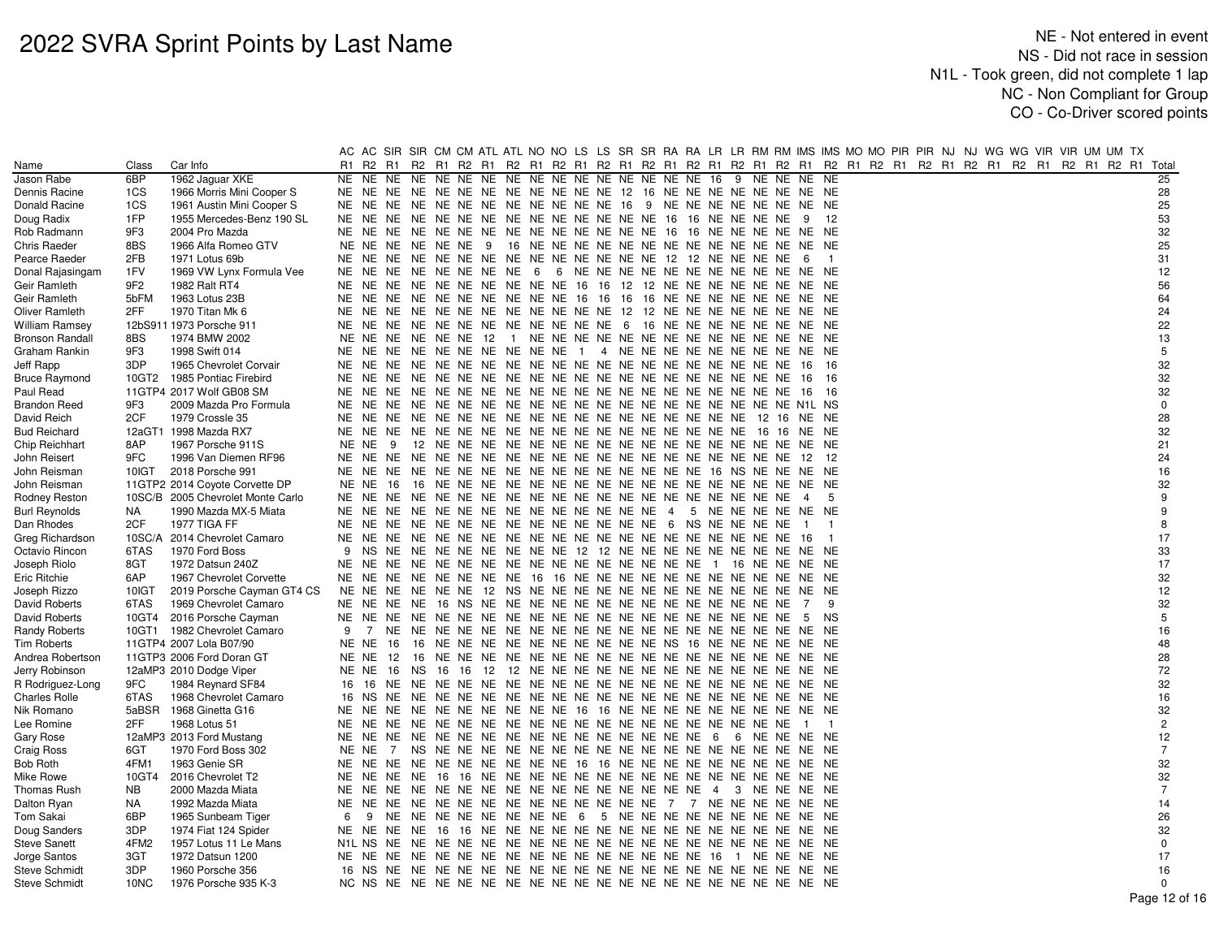|                              |                 |                                   |        |                                                                   |  |  |                                                                |  |  |  |  |                |                |  |  | AC AC SIR SIR CM CM ATL ATL NO NO LS LS SR SR RA RA LR LR RM RM IMS IMS MO MO PIR PIR NJ NJ WG WG VIR VIR UM UM TX |  |                |
|------------------------------|-----------------|-----------------------------------|--------|-------------------------------------------------------------------|--|--|----------------------------------------------------------------|--|--|--|--|----------------|----------------|--|--|--------------------------------------------------------------------------------------------------------------------|--|----------------|
| Name                         | Class           | Car Info                          | R1     |                                                                   |  |  |                                                                |  |  |  |  |                |                |  |  | R2 R1 R2 R1 R2 R1 R2 R1 R2 R1 R2 R1 R2 R1 R2 R1 R2 R1 R2 R1 R2 R1 R2 R1 R2 R1 R2 R1 R2 R1 R2 R1 R2 R1 R2 R1 Total  |  |                |
| Jason Rabe                   | 6BP             | 1962 Jaguar XKE                   | NE     | NE NE                                                             |  |  |                                                                |  |  |  |  | 9 NE NE NE NE  |                |  |  |                                                                                                                    |  | 25             |
| Dennis Racine                | 1CS             | 1966 Morris Mini Cooper S         |        | NE NE NE NE NE NE NE NE NE NE NE NE 12 16 NE NE NE NE NE NE NE NE |  |  |                                                                |  |  |  |  |                |                |  |  |                                                                                                                    |  | 28             |
| Donald Racine                | 1CS             | 1961 Austin Mini Cooper S         | NE NE  |                                                                   |  |  | NE NE NE NE NE NE NE NE NE NE 16 9 NE NE NE NE NE NE NE NE     |  |  |  |  |                |                |  |  |                                                                                                                    |  | 25             |
| Doug Radix                   | 1FP             | 1955 Mercedes-Benz 190 SL         |        |                                                                   |  |  |                                                                |  |  |  |  |                | 12             |  |  |                                                                                                                    |  | 53             |
| Rob Radmann                  | 9F3             | 2004 Pro Mazda                    |        |                                                                   |  |  |                                                                |  |  |  |  |                |                |  |  |                                                                                                                    |  | 32             |
| Chris Raeder                 | 8BS             | 1966 Alfa Romeo GTV               | NE NE  |                                                                   |  |  |                                                                |  |  |  |  |                |                |  |  |                                                                                                                    |  | 25             |
| Pearce Raeder                | 2FB             | 1971 Lotus 69b                    |        |                                                                   |  |  |                                                                |  |  |  |  | - 6            | $\overline{1}$ |  |  |                                                                                                                    |  | 31             |
| Donal Rajasingam             | 1FV             | 1969 VW Lynx Formula Vee          |        | NE NE NE NE NE NE NE NE 6 6 NE NE NE NE NE NE NE NE NE NE NE NE   |  |  |                                                                |  |  |  |  |                |                |  |  |                                                                                                                    |  | 12             |
| Geir Ramleth                 | 9F <sub>2</sub> | 1982 Ralt RT4                     | NE NE  |                                                                   |  |  | NE NE NE NE NE NE NE NE 16 16 12 12 NE NE NE NE NE NE NE NE    |  |  |  |  |                |                |  |  |                                                                                                                    |  | 56             |
| Geir Ramleth                 | 5bFM            | 1963 Lotus 23B                    | NE.    | NE.                                                               |  |  | NE NE NE NE NE NE NE NE 16 16 16 16 NE NE NE NE NE NE NE NE    |  |  |  |  |                |                |  |  |                                                                                                                    |  | 64             |
| Oliver Ramleth               | 2FF             | 1970 Titan Mk 6                   | NE NE  |                                                                   |  |  | NE NE NE NE NE NE NE NE NE NE 12 12 NE NE NE NE NE NE NE NE    |  |  |  |  |                |                |  |  |                                                                                                                    |  | 24             |
| <b>William Ramsey</b>        |                 | 12bS911 1973 Porsche 911          | NE NE  |                                                                   |  |  | NE NE NE NE NE NE NE NE NE NE 6 16 NE NE NE NE NE NE NE NE     |  |  |  |  |                |                |  |  |                                                                                                                    |  | 22             |
| <b>Bronson Randall</b>       | 8BS             | 1974 BMW 2002                     | NE.    | NE                                                                |  |  |                                                                |  |  |  |  |                |                |  |  |                                                                                                                    |  | 13             |
| Graham Rankin                | 9F3             | 1998 Swift 014                    | NE NE  |                                                                   |  |  | NE NE NE NE NE NE NE NE 1 4 NE NE NE NE NE NE NE NE NE NE      |  |  |  |  |                |                |  |  |                                                                                                                    |  | 5              |
| Jeff Rapp                    | 3DP             | 1965 Chevrolet Corvair            | NE NE  |                                                                   |  |  |                                                                |  |  |  |  |                | - 16           |  |  |                                                                                                                    |  | 32             |
| <b>Bruce Raymond</b>         | 10GT2           | 1985 Pontiac Firebird             | NE.    | NE                                                                |  |  |                                                                |  |  |  |  | 16             | - 16           |  |  |                                                                                                                    |  | 32             |
| Paul Read                    |                 | 11GTP4 2017 Wolf GB08 SM          | NE     | NE                                                                |  |  |                                                                |  |  |  |  | 16             | 16             |  |  |                                                                                                                    |  | 32             |
| <b>Brandon Reed</b>          | 9F3             | 2009 Mazda Pro Formula            |        |                                                                   |  |  |                                                                |  |  |  |  |                |                |  |  |                                                                                                                    |  | $\mathbf 0$    |
| David Reich                  | 2CF             | 1979 Crossle 35                   | NE     | NE.                                                               |  |  |                                                                |  |  |  |  |                |                |  |  |                                                                                                                    |  | 28             |
| <b>Bud Reichard</b>          |                 | 12aGT1 1998 Mazda RX7             |        |                                                                   |  |  |                                                                |  |  |  |  |                |                |  |  |                                                                                                                    |  | 32             |
| Chip Reichhart               | 8AP             | 1967 Porsche 911S                 | NE NE  |                                                                   |  |  |                                                                |  |  |  |  |                |                |  |  |                                                                                                                    |  | 21             |
|                              | 9FC             | 1996 Van Diemen RF96              | NE NE  |                                                                   |  |  |                                                                |  |  |  |  |                | - 12           |  |  |                                                                                                                    |  | 24             |
| John Reisert<br>John Reisman | 10IGT           | 2018 Porsche 991                  |        |                                                                   |  |  |                                                                |  |  |  |  |                |                |  |  |                                                                                                                    |  | 16             |
|                              |                 |                                   | NE NE  |                                                                   |  |  |                                                                |  |  |  |  |                |                |  |  |                                                                                                                    |  | 32             |
| John Reisman                 |                 | 11GTP2 2014 Coyote Corvette DP    |        |                                                                   |  |  |                                                                |  |  |  |  |                |                |  |  |                                                                                                                    |  | 9              |
| Rodney Reston                |                 | 10SC/B 2005 Chevrolet Monte Carlo | NE     | NE.                                                               |  |  |                                                                |  |  |  |  | $\overline{4}$ | -5             |  |  |                                                                                                                    |  | 9              |
| <b>Burl Reynolds</b>         | NA              | 1990 Mazda MX-5 Miata             |        |                                                                   |  |  |                                                                |  |  |  |  |                |                |  |  |                                                                                                                    |  | 8              |
| Dan Rhodes                   | 2CF             | 1977 TIGA FF                      |        |                                                                   |  |  |                                                                |  |  |  |  | $\overline{1}$ |                |  |  |                                                                                                                    |  |                |
| Greg Richardson              |                 | 10SC/A 2014 Chevrolet Camaro      | NE NE  |                                                                   |  |  |                                                                |  |  |  |  | -16            |                |  |  |                                                                                                                    |  | 17             |
| Octavio Rincon               | 6TAS            | 1970 Ford Boss                    | 9      | NS.                                                               |  |  | NE NE NE NE NE NE NE NE 12 12 NE NE NE NE NE NE NE NE NE NE    |  |  |  |  |                |                |  |  |                                                                                                                    |  | 33             |
| Joseph Riolo                 | 8GT             | 1972 Datsun 240Z                  |        |                                                                   |  |  |                                                                |  |  |  |  |                |                |  |  |                                                                                                                    |  | 17             |
| Eric Ritchie                 | 6AP             | 1967 Chevrolet Corvette           | NE NE  |                                                                   |  |  | NE NE NE NE NE NE 16 16 NE NE NE NE NE NE NE NE NE NE NE NE NE |  |  |  |  |                |                |  |  |                                                                                                                    |  | 32             |
| Joseph Rizzo                 | 10IGT           | 2019 Porsche Cayman GT4 CS        | NE NE  |                                                                   |  |  |                                                                |  |  |  |  |                |                |  |  |                                                                                                                    |  | 12             |
| David Roberts                | 6TAS            | 1969 Chevrolet Camaro             |        |                                                                   |  |  |                                                                |  |  |  |  | 7              | 9              |  |  |                                                                                                                    |  | 32             |
| David Roberts                | 10GT4           | 2016 Porsche Cayman               |        |                                                                   |  |  |                                                                |  |  |  |  |                | <b>NS</b>      |  |  |                                                                                                                    |  | 5              |
| <b>Randy Roberts</b>         |                 | 10GT1 1982 Chevrolet Camaro       | 9      | 7                                                                 |  |  |                                                                |  |  |  |  |                |                |  |  |                                                                                                                    |  | 16             |
| Tim Roberts                  |                 | 11GTP4 2007 Lola B07/90           | NE NE  | - 16                                                              |  |  | 16 NE NE NE NE NE NE NE NE NE NE NS 16 NE NE NE NE NE NE       |  |  |  |  |                |                |  |  |                                                                                                                    |  | 48             |
| Andrea Robertson             |                 | 11GTP3 2006 Ford Doran GT         | NE NE  | 12                                                                |  |  |                                                                |  |  |  |  |                |                |  |  |                                                                                                                    |  | 28             |
| Jerry Robinson               |                 | 12aMP3 2010 Dodge Viper           | NE NE  |                                                                   |  |  |                                                                |  |  |  |  |                |                |  |  |                                                                                                                    |  | 72             |
| R Rodriguez-Long             | 9FC             | 1984 Reynard SF84                 | 16     | - 16                                                              |  |  |                                                                |  |  |  |  |                |                |  |  |                                                                                                                    |  | 32             |
| <b>Charles Rolle</b>         | 6TAS            | 1968 Chevrolet Camaro             | 16 NS  |                                                                   |  |  |                                                                |  |  |  |  |                |                |  |  |                                                                                                                    |  | 16             |
| Nik Romano                   |                 | 5aBSR 1968 Ginetta G16            | NE     | NE                                                                |  |  | NE NE NE NE NE NE NE NE 16 16 NE NE NE NE NE NE NE NE NE NE NE |  |  |  |  |                |                |  |  |                                                                                                                    |  | 32             |
| Lee Romine                   | 2FF             | 1968 Lotus 51                     | NE     |                                                                   |  |  |                                                                |  |  |  |  | $\overline{1}$ | $\overline{1}$ |  |  |                                                                                                                    |  | $\overline{c}$ |
| Gary Rose                    |                 | 12aMP3 2013 Ford Mustang          | NE NE  |                                                                   |  |  |                                                                |  |  |  |  |                |                |  |  |                                                                                                                    |  | 12             |
| Craig Ross                   | 6GT             | 1970 Ford Boss 302                | NE NE  |                                                                   |  |  |                                                                |  |  |  |  |                |                |  |  |                                                                                                                    |  | $\overline{7}$ |
| Bob Roth                     | 4FM1            | 1963 Genie SR                     |        | NE NE NE NE NE NE NE NE NE NE 16 16 NE NE NE NE NE NE NE NE NE NE |  |  |                                                                |  |  |  |  |                |                |  |  |                                                                                                                    |  | 32             |
| Mike Rowe                    | 10GT4           | 2016 Chevrolet T2                 | NE NE  |                                                                   |  |  |                                                                |  |  |  |  |                |                |  |  |                                                                                                                    |  | 32             |
| Thomas Rush                  | <b>NB</b>       | 2000 Mazda Miata                  | NE     | NE.                                                               |  |  |                                                                |  |  |  |  |                | NE             |  |  |                                                                                                                    |  | $\overline{7}$ |
| Dalton Ryan                  | NA              | 1992 Mazda Miata                  |        |                                                                   |  |  |                                                                |  |  |  |  |                |                |  |  |                                                                                                                    |  | 14             |
| Tom Sakai                    | 6BP             | 1965 Sunbeam Tiger                | 6      | 9                                                                 |  |  | NE NE NE NE NE NE NE NE 6 5 NE NE NE NE NE NE NE NE NE NE      |  |  |  |  |                |                |  |  |                                                                                                                    |  | 26             |
| Doug Sanders                 | 3DP             | 1974 Fiat 124 Spider              | NE NE  |                                                                   |  |  |                                                                |  |  |  |  |                |                |  |  |                                                                                                                    |  | 32             |
| <b>Steve Sanett</b>          | 4FM2            | 1957 Lotus 11 Le Mans             | N1L NS | NE                                                                |  |  |                                                                |  |  |  |  |                |                |  |  |                                                                                                                    |  | $\mathbf 0$    |
| Jorge Santos                 | 3GT             | 1972 Datsun 1200                  | NE NE  |                                                                   |  |  |                                                                |  |  |  |  |                |                |  |  |                                                                                                                    |  | 17             |
| <b>Steve Schmidt</b>         | 3DP             | 1960 Porsche 356                  | 16 NS  |                                                                   |  |  |                                                                |  |  |  |  |                |                |  |  |                                                                                                                    |  | 16             |
| <b>Steve Schmidt</b>         | 10NC            | 1976 Porsche 935 K-3              |        |                                                                   |  |  |                                                                |  |  |  |  |                |                |  |  |                                                                                                                    |  | $\Omega$       |
|                              |                 |                                   |        |                                                                   |  |  |                                                                |  |  |  |  |                |                |  |  |                                                                                                                    |  | Page 12 of 16  |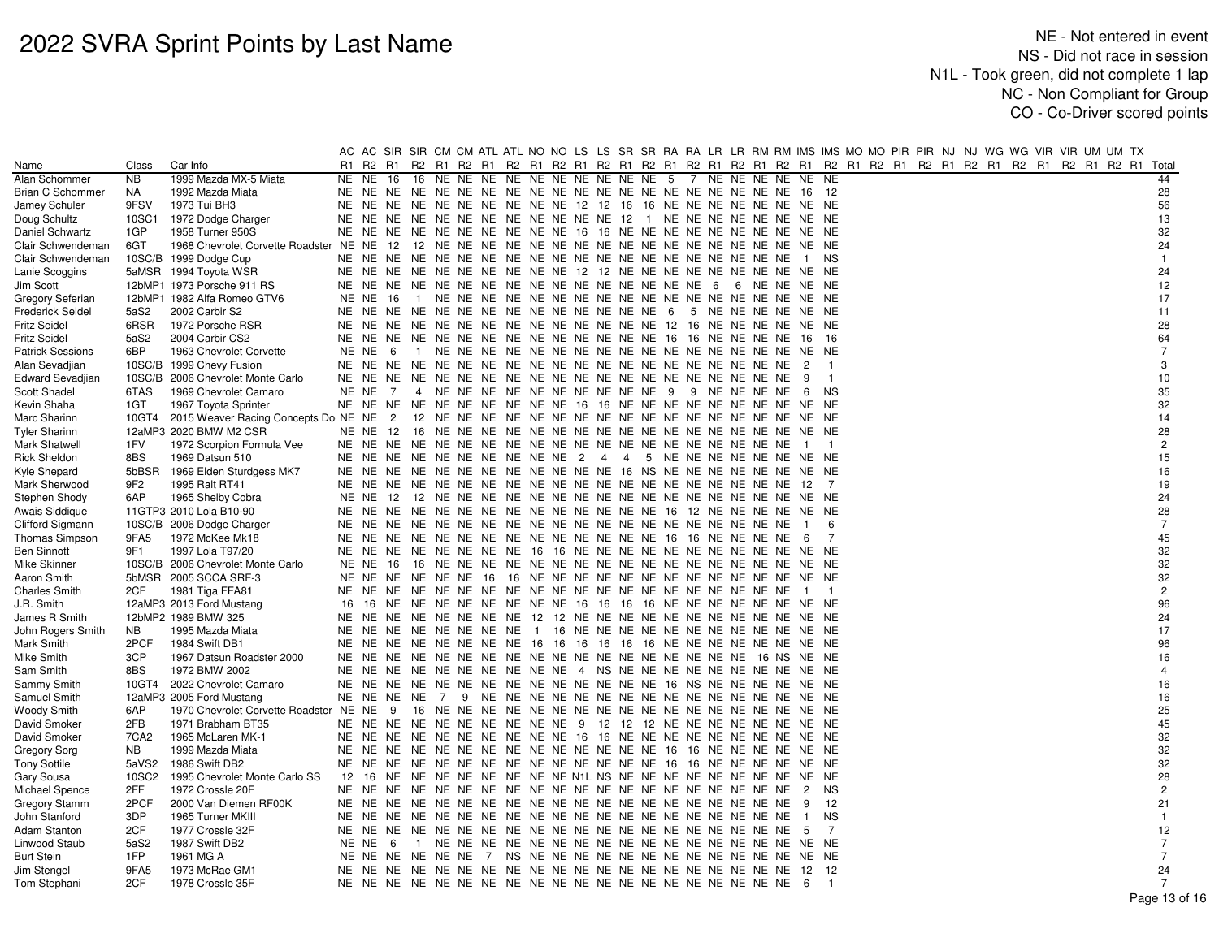|                         |                  |                                            |    |                 |                |    | AC AC SIR SIR CM CM ATL ATL NO NO LS LS SR SR RA RA LR LR RM RM IMS IMS MO MO PIR PIR NJ NJ WG WG VIR VIR UM UM TX   |  |  |  |  |  |               |                |                          |                |  |  |  |  |  |                |  |
|-------------------------|------------------|--------------------------------------------|----|-----------------|----------------|----|----------------------------------------------------------------------------------------------------------------------|--|--|--|--|--|---------------|----------------|--------------------------|----------------|--|--|--|--|--|----------------|--|
| Name                    | Class            | Car Info                                   |    |                 |                |    | R1 R2 R1 R2 R1 R2 R1 R2 R1 R2 R1 R2 R1 R2 R1 R2 R1 R2 R1 R2 R1 R2 R1 R2 R1 R2 R1 R2 R1 R2 R1 R2 R1 R2 R1 R2 R1 Total |  |  |  |  |  |               |                |                          |                |  |  |  |  |  |                |  |
| Alan Schommer           | <b>NB</b>        | 1999 Mazda MX-5 Miata                      |    | NE NE           | 16             | 16 | NE NE NE NE NE NE NE NE NE NE 5                                                                                      |  |  |  |  |  | 7 NE NE NE NE |                | NE.                      | NE.            |  |  |  |  |  | 44             |  |
| <b>Brian C Schommer</b> | NA               | 1992 Mazda Miata                           |    |                 |                |    |                                                                                                                      |  |  |  |  |  |               |                |                          |                |  |  |  |  |  | 28             |  |
| Jamey Schuler           | 9FSV             | 1973 Tui BH3                               |    |                 |                |    | NE NE NE NE NE NE NE NE NE NE 12 12 16 16 NE NE NE NE NE NE NE NE NE                                                 |  |  |  |  |  |               |                |                          |                |  |  |  |  |  | 56             |  |
| Doug Schultz            | 10SC1            | 1972 Dodge Charger                         |    |                 |                |    | NE NE NE NE NE NE NE NE NE NE NE NE 12 1 NE NE NE NE NE NE NE NE                                                     |  |  |  |  |  |               |                |                          |                |  |  |  |  |  | 13             |  |
| Daniel Schwartz         | 1GP              | 1958 Turner 950S                           |    |                 |                |    | NE NE NE NE NE NE NE NE NE NE NE 16 16 NE NE NE NE NE NE NE NE NE NE                                                 |  |  |  |  |  |               |                |                          |                |  |  |  |  |  | 32             |  |
| Clair Schwendeman       | 6GT              |                                            |    |                 |                |    |                                                                                                                      |  |  |  |  |  |               |                |                          |                |  |  |  |  |  | 24             |  |
| Clair Schwendeman       |                  | 10SC/B 1999 Dodge Cup                      |    |                 |                |    |                                                                                                                      |  |  |  |  |  |               |                | 1 NS                     |                |  |  |  |  |  | $\overline{1}$ |  |
| Lanie Scoggins          |                  | 5aMSR 1994 Toyota WSR                      |    |                 |                |    | NE NE NE NE NE NE NE NE NE NE 12 12 NE NE NE NE NE NE NE NE NE NE NE                                                 |  |  |  |  |  |               |                |                          |                |  |  |  |  |  | 24             |  |
| Jim Scott               |                  | 12bMP1 1973 Porsche 911 RS                 |    |                 |                |    |                                                                                                                      |  |  |  |  |  | 6 NE NE NE NE |                |                          |                |  |  |  |  |  | 12             |  |
| Gregory Seferian        |                  | 12bMP1 1982 Alfa Romeo GTV6                |    | <b>NE NE 16</b> |                |    |                                                                                                                      |  |  |  |  |  |               |                |                          |                |  |  |  |  |  | 17             |  |
| <b>Frederick Seidel</b> | 5aS2             | 2002 Carbir S2                             |    |                 |                |    |                                                                                                                      |  |  |  |  |  |               |                |                          |                |  |  |  |  |  | 11             |  |
| Fritz Seidel            | 6RSR             | 1972 Porsche RSR                           |    |                 |                |    |                                                                                                                      |  |  |  |  |  |               |                |                          |                |  |  |  |  |  | 28             |  |
| <b>Fritz Seidel</b>     | 5aS2             | 2004 Carbir CS2                            |    |                 |                |    |                                                                                                                      |  |  |  |  |  |               |                | 16 16                    |                |  |  |  |  |  | 64             |  |
| <b>Patrick Sessions</b> | 6BP              | 1963 Chevrolet Corvette                    |    | NENE 6          |                |    |                                                                                                                      |  |  |  |  |  |               |                |                          |                |  |  |  |  |  | $\overline{7}$ |  |
| Alan Sevadjian          |                  | 10SC/B 1999 Chevy Fusion                   |    |                 |                |    |                                                                                                                      |  |  |  |  |  |               |                | $\overline{2}$           | $\overline{1}$ |  |  |  |  |  | 3              |  |
| Edward Sevadjian        |                  | 10SC/B 2006 Chevrolet Monte Carlo          |    |                 |                |    |                                                                                                                      |  |  |  |  |  |               | -9             |                          | $\overline{1}$ |  |  |  |  |  | 10             |  |
| Scott Shadel            | 6TAS             | 1969 Chevrolet Camaro                      |    | NE NE           | 7              |    | 4 NE NE NE NE NE NE NE NE NE NE 9 9 NE NE NE NE                                                                      |  |  |  |  |  |               |                | -6                       | <b>NS</b>      |  |  |  |  |  | 35             |  |
| Kevin Shaha             | 1GT              | 1967 Toyota Sprinter                       |    |                 |                |    | NE NE NE NE NE NE NE NE NE NE 16 16 NE NE NE NE NE NE NE NE NE NE NE                                                 |  |  |  |  |  |               |                |                          |                |  |  |  |  |  | 32             |  |
| Marc Sharinn            |                  | 10GT4 2015 Weaver Racing Concepts Do NE NE |    |                 | $\overline{2}$ |    |                                                                                                                      |  |  |  |  |  |               |                |                          |                |  |  |  |  |  | 14             |  |
| <b>Tyler Sharinn</b>    |                  | 12aMP3 2020 BMW M2 CSR                     |    | NE NE           |                |    |                                                                                                                      |  |  |  |  |  |               |                |                          |                |  |  |  |  |  | 28             |  |
| Mark Shatwell           | 1FV              | 1972 Scorpion Formula Vee                  |    |                 |                |    |                                                                                                                      |  |  |  |  |  |               | $\overline{1}$ |                          | $\overline{1}$ |  |  |  |  |  | $\overline{c}$ |  |
| Rick Sheldon            | 8BS              | 1969 Datsun 510                            |    |                 |                |    | NE NE NE NE NE NE NE NE NE NE 2 4 4 5 NE NE NE NE NE NE NE NE NE                                                     |  |  |  |  |  |               |                |                          |                |  |  |  |  |  | 15             |  |
| Kyle Shepard            |                  | 5bBSR 1969 Elden Sturdgess MK7             |    |                 |                |    | NE NE NE NE NE NE NE NE NE NE NE NE NE 16 NS NE NE NE NE NE NE NE NE                                                 |  |  |  |  |  |               |                |                          |                |  |  |  |  |  | 16             |  |
| Mark Sherwood           | 9F <sub>2</sub>  | 1995 Ralt RT41                             |    |                 |                |    |                                                                                                                      |  |  |  |  |  |               |                | -12                      | $\overline{7}$ |  |  |  |  |  | 19             |  |
| Stephen Shody           | 6AP              | 1965 Shelby Cobra                          |    |                 |                |    |                                                                                                                      |  |  |  |  |  |               |                |                          |                |  |  |  |  |  | 24             |  |
| Awais Siddique          |                  | 11GTP3 2010 Lola B10-90                    |    |                 |                |    |                                                                                                                      |  |  |  |  |  |               |                |                          |                |  |  |  |  |  | 28             |  |
| <b>Clifford Sigmann</b> |                  | 10SC/B 2006 Dodge Charger                  |    |                 |                |    |                                                                                                                      |  |  |  |  |  |               | -1             |                          | 6              |  |  |  |  |  | $\overline{7}$ |  |
| <b>Thomas Simpson</b>   | 9FA5             | 1972 McKee Mk18                            |    |                 |                |    |                                                                                                                      |  |  |  |  |  |               |                | -6                       | 7              |  |  |  |  |  | 45             |  |
| Ben Sinnott             | 9F1              | 1997 Lola T97/20                           |    |                 |                |    | NE NE NE NE NE NE NE NE 16 16 NE NE NE NE NE NE NE NE NE NE NE NE NE                                                 |  |  |  |  |  |               |                |                          |                |  |  |  |  |  | 32             |  |
| Mike Skinner            |                  | 10SC/B 2006 Chevrolet Monte Carlo          |    | NE NE 16        |                |    |                                                                                                                      |  |  |  |  |  |               |                |                          |                |  |  |  |  |  | 32             |  |
| Aaron Smith             |                  | 5bMSR 2005 SCCA SRF-3                      |    |                 |                |    |                                                                                                                      |  |  |  |  |  |               |                |                          |                |  |  |  |  |  | 32             |  |
| Charles Smith           | 2CF              | 1981 Tiga FFA81                            |    |                 |                |    |                                                                                                                      |  |  |  |  |  |               | $\overline{1}$ |                          | $\overline{1}$ |  |  |  |  |  | $\overline{c}$ |  |
| J.R. Smith              |                  | 12aMP3 2013 Ford Mustang                   | 16 |                 |                |    | 16 NE NE NE NE NE NE NE NE NE 16 16 16 16 NE NE NE NE NE NE NE NE                                                    |  |  |  |  |  |               |                |                          |                |  |  |  |  |  | 96             |  |
| James R Smith           |                  | 12bMP2 1989 BMW 325                        |    |                 |                |    | NE NE NE NE NE NE NE NE 12 12 NE NE NE NE NE NE NE NE NE NE NE NE                                                    |  |  |  |  |  |               |                |                          |                |  |  |  |  |  | 24             |  |
| John Rogers Smith       | NB.              | 1995 Mazda Miata                           |    |                 |                |    | NE NE NE NE NE NE NE NE 1 16 NE NE NE NE NE NE NE NE NE NE NE NE                                                     |  |  |  |  |  |               |                |                          |                |  |  |  |  |  | 17             |  |
| Mark Smith              | 2PCF             | 1984 Swift DB1                             |    |                 |                |    | NE NE NE NE NE NE NE NE 16 16 16 16 16 16 NE NE NE NE NE NE NE NE NE                                                 |  |  |  |  |  |               |                |                          |                |  |  |  |  |  | 96             |  |
| Mike Smith              | 3CP              | 1967 Datsun Roadster 2000                  |    |                 |                |    |                                                                                                                      |  |  |  |  |  |               |                |                          |                |  |  |  |  |  | 16             |  |
| Sam Smith               | 8BS              | 1972 BMW 2002                              |    |                 |                |    | NE NE NE NE NE NE NE NE NE NE NE 4 NS NE NE NE NE NE NE NE NE NE NE                                                  |  |  |  |  |  |               |                |                          |                |  |  |  |  |  | $\overline{4}$ |  |
| Sammy Smith             |                  | 10GT4 2022 Chevrolet Camaro                |    |                 |                |    |                                                                                                                      |  |  |  |  |  |               |                |                          |                |  |  |  |  |  | 16             |  |
| Samuel Smith            |                  | 12aMP3 2005 Ford Mustang                   |    |                 |                |    |                                                                                                                      |  |  |  |  |  |               |                |                          |                |  |  |  |  |  | 16             |  |
| <b>Woody Smith</b>      | 6AP              | 1970 Chevrolet Corvette Roadster           |    | NE NE           | 9              |    |                                                                                                                      |  |  |  |  |  |               |                |                          |                |  |  |  |  |  | 25             |  |
| David Smoker            | 2FB              | 1971 Brabham BT35                          |    |                 |                |    | NE NE NE NE NE NE NE NE NE NE 9 12 12 12 NE NE NE NE NE NE NE NE                                                     |  |  |  |  |  |               |                |                          |                |  |  |  |  |  | 45             |  |
| David Smoker            | 7CA <sub>2</sub> | 1965 McLaren MK-1                          |    |                 |                |    | NE NE NE NE NE NE NE NE NE NE NE 16 16 NE NE NE NE NE NE NE NE NE NE                                                 |  |  |  |  |  |               |                |                          |                |  |  |  |  |  | 32             |  |
| Gregory Sorg            | <b>NB</b>        | 1999 Mazda Miata                           |    |                 |                |    |                                                                                                                      |  |  |  |  |  |               |                |                          |                |  |  |  |  |  | 32             |  |
| <b>Tony Sottile</b>     | 5aVS2            | 1986 Swift DB2                             |    |                 |                |    |                                                                                                                      |  |  |  |  |  |               |                |                          |                |  |  |  |  |  | 32             |  |
| Gary Sousa              | 10SC2            | 1995 Chevrolet Monte Carlo SS              |    |                 |                |    | 12 16 NE NE NE NE NE NE NE NE NE N1L NS NE NE NE NE NE NE NE NE NE NE NE                                             |  |  |  |  |  |               |                |                          |                |  |  |  |  |  | 28             |  |
| Michael Spence          | 2FF              | 1972 Crossle 20F                           |    |                 |                |    |                                                                                                                      |  |  |  |  |  |               |                | $\overline{2}$           | <b>NS</b>      |  |  |  |  |  | $\overline{c}$ |  |
| <b>Gregory Stamm</b>    | 2PCF             | 2000 Van Diemen RF00K                      |    |                 |                |    |                                                                                                                      |  |  |  |  |  |               |                | 9                        | -12            |  |  |  |  |  | 21             |  |
| John Stanford           | 3DP              | 1965 Turner MKIII                          |    |                 |                |    |                                                                                                                      |  |  |  |  |  |               |                | $\overline{1}$           | <b>NS</b>      |  |  |  |  |  | $\mathbf{1}$   |  |
| Adam Stanton            | 2CF              | 1977 Crossle 32F                           |    |                 |                |    |                                                                                                                      |  |  |  |  |  |               | - 5            |                          | 7              |  |  |  |  |  | 12             |  |
| Linwood Staub           | 5aS2             | 1987 Swift DB2                             |    | NENE 6          |                |    |                                                                                                                      |  |  |  |  |  |               |                |                          |                |  |  |  |  |  | $\overline{7}$ |  |
| <b>Burt Stein</b>       | 1FP              | 1961 MG A                                  |    |                 |                |    | NE NE NE NE NE NE                                                                                                    |  |  |  |  |  |               |                |                          |                |  |  |  |  |  | $\overline{7}$ |  |
| Jim Stengel             | 9FA5             | 1973 McRae GM1                             |    |                 |                |    |                                                                                                                      |  |  |  |  |  |               |                | 12 12                    |                |  |  |  |  |  | 24             |  |
| Tom Stephani            | 2CF              | 1978 Crossle 35F                           |    |                 |                |    |                                                                                                                      |  |  |  |  |  |               |                | $\overline{\phantom{0}}$ |                |  |  |  |  |  | 7<br>Dao 12 of |  |
|                         |                  |                                            |    |                 |                |    |                                                                                                                      |  |  |  |  |  |               |                |                          |                |  |  |  |  |  |                |  |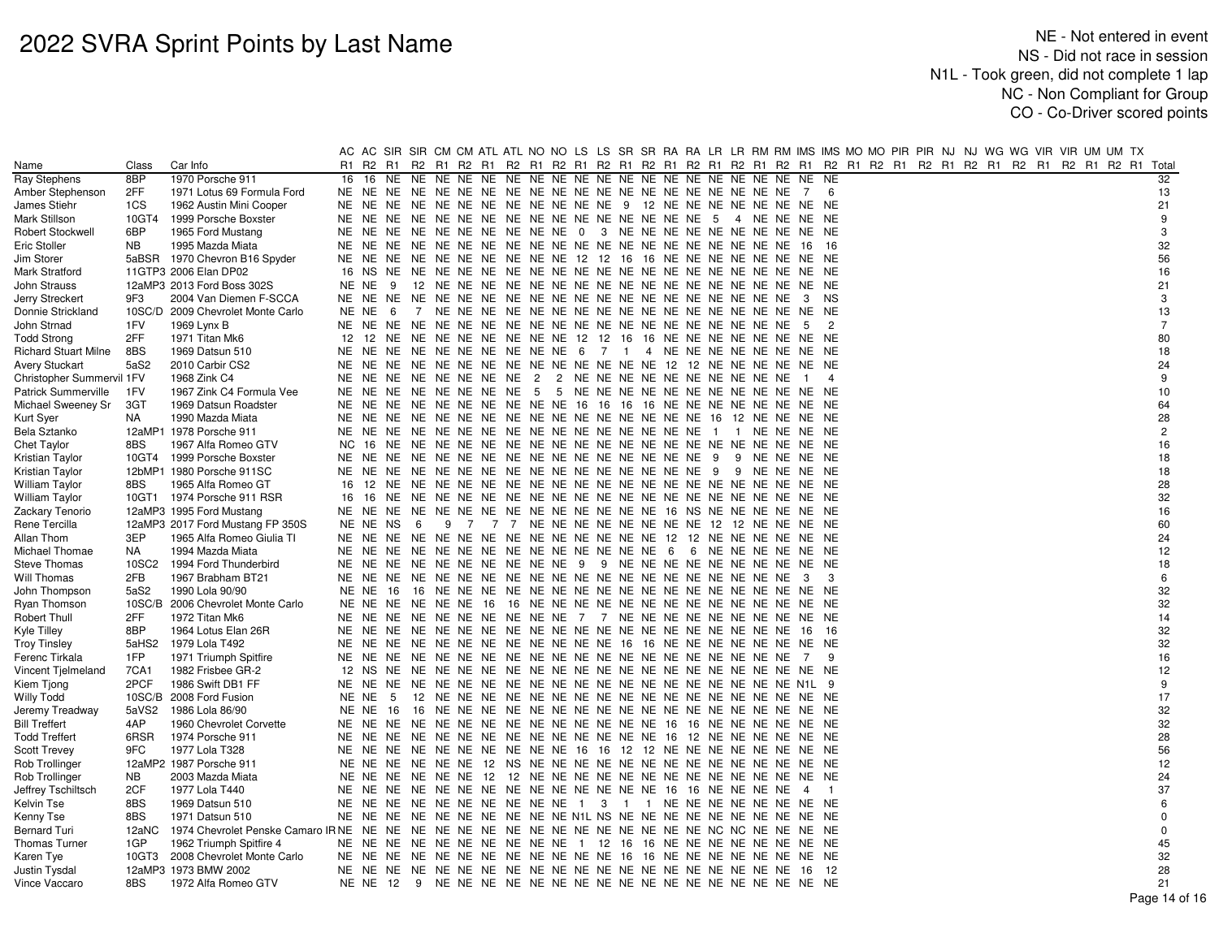|                             |           |                                   |       |          |     |     |                  |  | AC AC SIR SIR CM CM ATL ATL NO NO LS LS SR SR RA RA LR LR RM RM IMS IMS MO MO PIR PIR NJ NJ WG WG VIR VIR UM UM TX   |  |  |  |               |                |                |  |  |  |  |  |                |
|-----------------------------|-----------|-----------------------------------|-------|----------|-----|-----|------------------|--|----------------------------------------------------------------------------------------------------------------------|--|--|--|---------------|----------------|----------------|--|--|--|--|--|----------------|
| Name                        | Class     | Car Info                          |       |          |     |     |                  |  | R1 R2 R1 R2 R1 R2 R1 R2 R1 R2 R1 R2 R1 R2 R1 R2 R1 R2 R1 R2 R1 R2 R1 R2 R1 R2 R1 R2 R1 R2 R1 R2 R1 R2 R1 R2 R1 Total |  |  |  |               |                |                |  |  |  |  |  |                |
| Ray Stephens                | 8BP       | 1970 Porsche 911                  | 16    | 16       | NE. |     |                  |  |                                                                                                                      |  |  |  |               | NE.            | NE             |  |  |  |  |  | 32             |
| Amber Stephenson            | 2FF       | 1971 Lotus 69 Formula Ford        |       |          |     |     |                  |  |                                                                                                                      |  |  |  |               |                | -6             |  |  |  |  |  | 13             |
| James Stiehr                | 1CS       | 1962 Austin Mini Cooper           | NE NE |          | NE  |     |                  |  | NE NE NE NE NE NE NE NE NE 9 12 NE NE NE NE NE NE NE NE                                                              |  |  |  |               |                |                |  |  |  |  |  | 21             |
| Mark Stillson               | 10GT4     | 1999 Porsche Boxster              |       | NE NE    | NE  |     |                  |  | NE NE NE NE NE NE NE NE NE NE NE NE NE 5                                                                             |  |  |  | 4 NE NE NE NE |                |                |  |  |  |  |  | 9              |
| Robert Stockwell            | 6BP       | 1965 Ford Mustang                 |       |          |     |     |                  |  | NE NE NE NE NE NE NE NE NE NE 0 3 NE NE NE NE NE NE NE NE NE NE                                                      |  |  |  |               |                |                |  |  |  |  |  | 3              |
| Eric Stoller                | <b>NB</b> | 1995 Mazda Miata                  |       |          |     |     |                  |  |                                                                                                                      |  |  |  |               | 16             | - 16           |  |  |  |  |  | 32             |
| Jim Storer                  |           | 5aBSR 1970 Chevron B16 Spyder     |       |          |     |     |                  |  | NE NE NE NE NE NE NE NE NE NE NE 12 12 16 16 NE NE NE NE NE NE NE NE NE                                              |  |  |  |               |                |                |  |  |  |  |  | 56             |
| Mark Stratford              |           | 11GTP3 2006 Elan DP02             |       |          |     |     |                  |  |                                                                                                                      |  |  |  |               |                |                |  |  |  |  |  | 16             |
| John Strauss                |           | 12aMP3 2013 Ford Boss 302S        |       | NE NE    | - 9 |     |                  |  |                                                                                                                      |  |  |  |               |                |                |  |  |  |  |  | 21             |
| <b>Jerry Streckert</b>      | 9F3       | 2004 Van Diemen F-SCCA            |       |          |     |     |                  |  |                                                                                                                      |  |  |  |               |                | 3 NS           |  |  |  |  |  | 3              |
| Donnie Strickland           |           | 10SC/D 2009 Chevrolet Monte Carlo |       | NE NE    | - 6 |     |                  |  |                                                                                                                      |  |  |  |               |                |                |  |  |  |  |  | 13             |
| John Strnad                 | 1FV       | 1969 Lynx B                       |       | NE NE NE |     |     |                  |  |                                                                                                                      |  |  |  |               | - 5            | 2              |  |  |  |  |  | $\overline{7}$ |
| <b>Todd Strong</b>          | 2FF       | 1971 Titan Mk6                    |       |          |     |     |                  |  | 12 12 NE NE NE NE NE NE NE NE NE 12 12 16 16 NE NE NE NE NE NE NE NE NE                                              |  |  |  |               |                |                |  |  |  |  |  | 80             |
| <b>Richard Stuart Milne</b> | 8BS       | 1969 Datsun 510                   | NE.   | NE.      | NE  |     |                  |  | NE NE NE NE NE NE NE 6 7 1 4 NE NE NE NE NE NE NE NE                                                                 |  |  |  |               |                |                |  |  |  |  |  | 18             |
| <b>Avery Stuckart</b>       | 5aS2      | 2010 Carbir CS2                   | NE NE |          |     |     |                  |  | NE NE NE NE NE NE NE NE NE NE NE NE 12 12 NE NE NE NE NE NE NE                                                       |  |  |  |               |                |                |  |  |  |  |  | 24             |
| Christopher Summervil 1FV   |           | 1968 Zink C4                      |       |          |     |     |                  |  | NE NE NE NE NE NE NE NE 2 2 NE NE NE NE NE NE NE NE NE NE NE                                                         |  |  |  |               | $\blacksquare$ | $\overline{4}$ |  |  |  |  |  | 9              |
| Patrick Summerville         | 1FV       | 1967 Zink C4 Formula Vee          | NE    | NE.      | NE  |     | NE NE NE NE NE 5 |  | 5 NE NE NE NE NE NE NE NE NE NE NE NE NE                                                                             |  |  |  |               |                |                |  |  |  |  |  | 10             |
| Michael Sweeney Sr          | 3GT       | 1969 Datsun Roadster              | NE    | NE       | NE  |     |                  |  | NE NE NE NE NE NE NE 16 16 16 16 NE NE NE NE NE NE NE NE                                                             |  |  |  |               |                |                |  |  |  |  |  | 64             |
| Kurt Syer                   | NA        | 1990 Mazda Miata                  |       |          |     |     |                  |  |                                                                                                                      |  |  |  |               |                |                |  |  |  |  |  | 28             |
| Bela Sztanko                |           | 12aMP1 1978 Porsche 911           |       |          |     |     |                  |  |                                                                                                                      |  |  |  |               |                |                |  |  |  |  |  | $\overline{2}$ |
| <b>Chet Taylor</b>          | 8BS       | 1967 Alfa Romeo GTV               | NC.   | - 16     | NE. |     |                  |  |                                                                                                                      |  |  |  |               |                |                |  |  |  |  |  | 16             |
| Kristian Taylor             | 10GT4     | 1999 Porsche Boxster              |       |          |     |     |                  |  |                                                                                                                      |  |  |  | 9 NE NE NE NE |                |                |  |  |  |  |  | 18             |
| Kristian Taylor             |           | 12bMP1 1980 Porsche 911SC         |       |          |     |     |                  |  |                                                                                                                      |  |  |  | 9 NE NE NE NE |                |                |  |  |  |  |  | 18             |
| William Taylor              | 8BS       | 1965 Alfa Romeo GT                | 16    | 12       |     |     |                  |  |                                                                                                                      |  |  |  |               |                |                |  |  |  |  |  | 28             |
| William Taylor              |           | 10GT1 1974 Porsche 911 RSR        | 16    | 16       |     |     |                  |  |                                                                                                                      |  |  |  |               |                |                |  |  |  |  |  | 32             |
| Zackary Tenorio             |           | 12aMP3 1995 Ford Mustang          |       | NE NE NE |     |     |                  |  | NE NE NE NE NE NE NE NE NE NE NE 16 NS NE NE NE NE NE NE                                                             |  |  |  |               |                |                |  |  |  |  |  | 16             |
| Rene Tercilla               |           | 12aMP3 2017 Ford Mustang FP 350S  |       | NE NE    | NS  | - 6 |                  |  | 9 7 7 7 NE NE NE NE NE NE NE NE 12 12 NE NE NE NE                                                                    |  |  |  |               |                |                |  |  |  |  |  | 60             |
| Allan Thom                  | 3EP       | 1965 Alfa Romeo Giulia TI         |       | NE NE    | NE. |     |                  |  | NE NE NE NE NE NE NE NE NE NE NE 12 12 NE NE NE NE NE NE                                                             |  |  |  |               |                |                |  |  |  |  |  | 24             |
| Michael Thomae              | NA        | 1994 Mazda Miata                  |       |          |     |     |                  |  |                                                                                                                      |  |  |  |               |                |                |  |  |  |  |  | 12             |
| <b>Steve Thomas</b>         | 10SC2     | 1994 Ford Thunderbird             |       |          |     |     |                  |  | NE NE NE NE NE NE NE NE NE NE 9 9 NE NE NE NE NE NE NE NE NE NE                                                      |  |  |  |               |                |                |  |  |  |  |  | 18             |
| Will Thomas                 | 2FB       | 1967 Brabham BT21                 | NE    | NE       | NE. |     |                  |  |                                                                                                                      |  |  |  |               | -3             | 3              |  |  |  |  |  | 6              |
| John Thompson               | 5aS2      | 1990 Lola 90/90                   |       | NE NE 16 |     |     |                  |  |                                                                                                                      |  |  |  |               |                |                |  |  |  |  |  | 32             |
| Ryan Thomson                |           | 10SC/B 2006 Chevrolet Monte Carlo |       |          |     |     |                  |  |                                                                                                                      |  |  |  |               |                |                |  |  |  |  |  | 32             |
| Robert Thull                | 2FF       | 1972 Titan Mk6                    |       |          |     |     |                  |  | NE NE NE NE NE NE NE NE NE NE 7 7 NE NE NE NE NE NE NE NE NE NE NE                                                   |  |  |  |               |                |                |  |  |  |  |  | 14             |
| Kyle Tilley                 | 8BP       | 1964 Lotus Elan 26R               |       |          |     |     |                  |  |                                                                                                                      |  |  |  |               |                | - 16           |  |  |  |  |  | 32             |
| <b>Troy Tinsley</b>         | 5aHS2     | 1979 Lola T492                    |       |          |     |     |                  |  | NE NE NE NE NE NE NE NE NE NE NE NE 16 16 NE NE NE NE NE NE NE NE NE                                                 |  |  |  |               |                |                |  |  |  |  |  | 32             |
| Ferenc Tirkala              | 1FP       | 1971 Triumph Spitfire             | NE    |          |     |     |                  |  |                                                                                                                      |  |  |  |               | 7              | 9              |  |  |  |  |  | 16             |
| Vincent Tjelmeland          | 7CA1      | 1982 Frisbee GR-2                 |       | 12 NS    | NE  |     |                  |  |                                                                                                                      |  |  |  |               |                |                |  |  |  |  |  | 12             |
| Kiem Tjong                  | 2PCF      | 1986 Swift DB1 FF                 |       |          |     |     |                  |  |                                                                                                                      |  |  |  |               |                |                |  |  |  |  |  | 9              |
| Willy Todd                  |           | 10SC/B 2008 Ford Fusion           |       | NE NE    | - 5 |     |                  |  |                                                                                                                      |  |  |  |               |                |                |  |  |  |  |  | 17             |
| Jeremy Treadway             | 5aVS2     | 1986 Lola 86/90                   |       | NE NE    | 16  |     |                  |  |                                                                                                                      |  |  |  |               |                |                |  |  |  |  |  | 32             |
| <b>Bill Treffert</b>        | 4AP       | 1960 Chevrolet Corvette           |       |          |     |     |                  |  |                                                                                                                      |  |  |  |               |                |                |  |  |  |  |  | 32             |
| <b>Todd Treffert</b>        | 6RSR      | 1974 Porsche 911                  |       |          |     |     |                  |  |                                                                                                                      |  |  |  |               |                |                |  |  |  |  |  | 28             |
| Scott Trevey                | 9FC       | 1977 Lola T328                    |       |          |     |     |                  |  | NE NE NE NE NE NE NE NE NE NE 16 16 12 12 NE NE NE NE NE NE NE NE                                                    |  |  |  |               |                |                |  |  |  |  |  | 56             |
| Rob Trollinger              |           | 12aMP2 1987 Porsche 911           |       | NE NE NE |     |     |                  |  |                                                                                                                      |  |  |  |               |                |                |  |  |  |  |  | 12             |
| Rob Trollinger              | <b>NB</b> | 2003 Mazda Miata                  |       |          |     |     |                  |  |                                                                                                                      |  |  |  |               |                |                |  |  |  |  |  | 24             |
| Jeffrey Tschiltsch          | 2CF       | 1977 Lola T440                    |       |          |     |     |                  |  |                                                                                                                      |  |  |  |               | $\overline{4}$ | $\overline{1}$ |  |  |  |  |  | 37             |
| Kelvin Tse                  | 8BS       | 1969 Datsun 510                   |       | NE NE NE |     |     |                  |  | NE NE NE NE NE NE NE 1 3 1 1 NE NE NE NE NE NE NE NE NE                                                              |  |  |  |               |                |                |  |  |  |  |  | 6              |
| Kenny Tse                   | 8BS       | 1971 Datsun 510                   | NE NE |          | NE  |     |                  |  | NE NE NE NE NE NE NE NE N1L NS NE NE NE NE NE NE NE NE NE NE                                                         |  |  |  |               |                |                |  |  |  |  |  |                |
| <b>Bernard Turi</b>         | 12aNC     |                                   |       |          |     |     |                  |  |                                                                                                                      |  |  |  |               |                |                |  |  |  |  |  | $\Omega$       |
| <b>Thomas Turner</b>        | 1GP       | 1962 Triumph Spitfire 4           |       |          |     |     |                  |  | NE NE NE NE NE NE NE NE NE NE 1 12 16 16 NE NE NE NE NE NE NE NE NE                                                  |  |  |  |               |                |                |  |  |  |  |  | 45             |
| Karen Tye                   |           | 10GT3 2008 Chevrolet Monte Carlo  |       |          |     |     |                  |  | NE NE NE NE NE NE NE NE NE NE NE NE NE 16 16 NE NE NE NE NE NE NE NE NE                                              |  |  |  |               |                |                |  |  |  |  |  | 32             |
| Justin Tysdal               |           | 12aMP3 1973 BMW 2002              |       |          |     |     |                  |  |                                                                                                                      |  |  |  |               |                | - 12           |  |  |  |  |  | 28             |
| Vince Vaccaro               | 8BS       | 1972 Alfa Romeo GTV               |       |          |     |     |                  |  |                                                                                                                      |  |  |  |               |                |                |  |  |  |  |  | 21             |
|                             |           |                                   |       |          |     |     |                  |  |                                                                                                                      |  |  |  |               |                |                |  |  |  |  |  | Proof 14a      |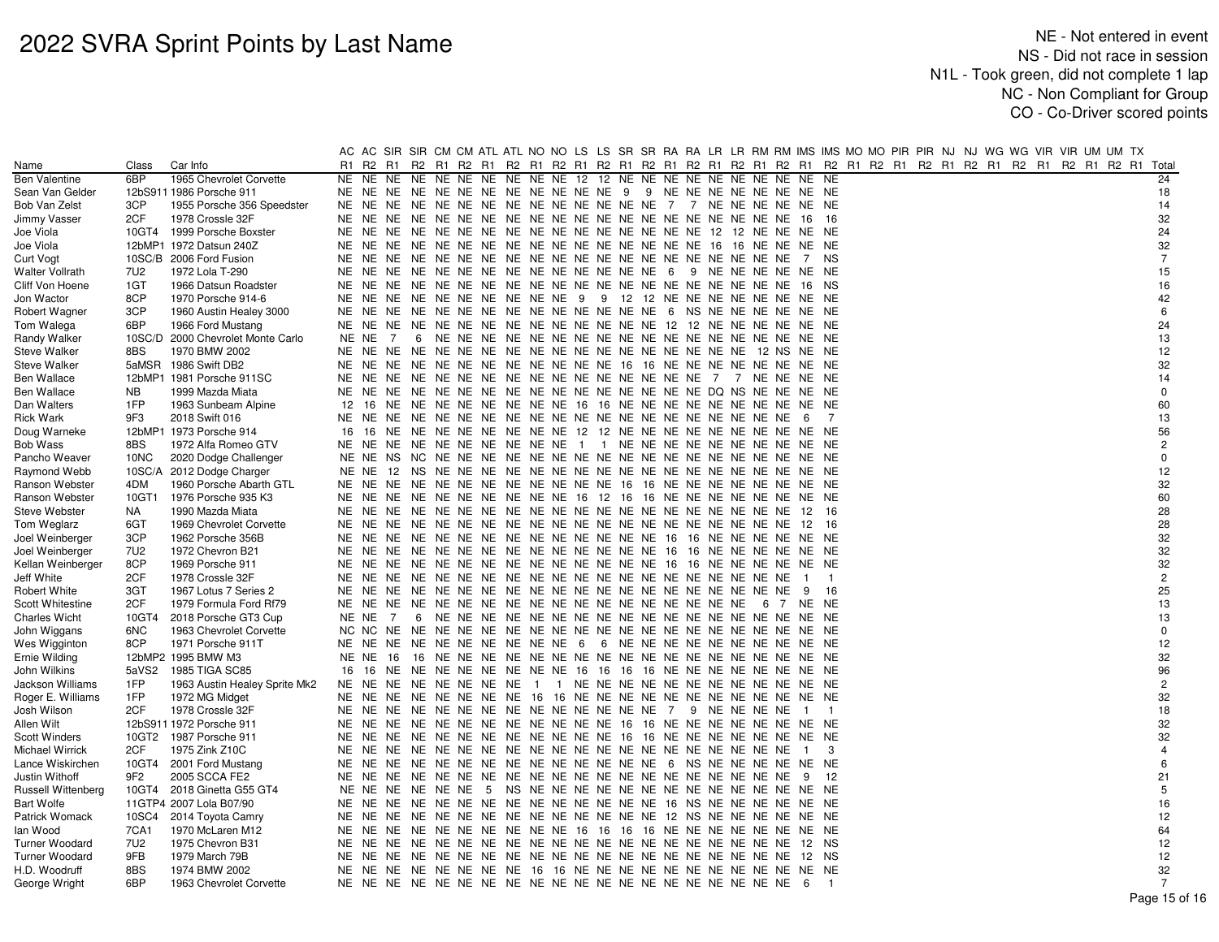|                        |                 |                               |                |                                                                      |  |  |  |                                                                |  |  |                |                |  |  | AC AC SIR SIR CM CM ATL ATL NO NO LS LS SR SR RA RA LR LR RM RM IMS IMS MO MO PIR PIR NJ NJ WG WG VIR VIR UM UM TX |  |                |
|------------------------|-----------------|-------------------------------|----------------|----------------------------------------------------------------------|--|--|--|----------------------------------------------------------------|--|--|----------------|----------------|--|--|--------------------------------------------------------------------------------------------------------------------|--|----------------|
| Name                   | Class           | Car Info                      | R <sub>1</sub> | R2 R1                                                                |  |  |  |                                                                |  |  |                |                |  |  | R2 R1 R2 R1 R2 R1 R2 R1 R2 R1 R2 R1 R2 R1 R2 R1 R2 R1 R2 R1 R2 R1 R2 R1 R2 R1 R2 R1 R2 R1 R2 R1 R2 R1 Total        |  |                |
| <b>Ben Valentine</b>   | 6BP             | 1965 Chevrolet Corvette       | NE             | NE NE NE NE NE NE NE NE NE 12 12 NE NE NE NE NE NE NE NE NE NE NE    |  |  |  |                                                                |  |  |                |                |  |  |                                                                                                                    |  | 24             |
| Sean Van Gelder        |                 | 12bS911 1986 Porsche 911      |                | NE NE NE NE NE NE NE NE NE NE NE NE 9 9 NE NE NE NE NE NE NE NE NE   |  |  |  |                                                                |  |  |                |                |  |  |                                                                                                                    |  | 18             |
| Bob Van Zelst          | 3CP             | 1955 Porsche 356 Speedster    | NE.            | NE.                                                                  |  |  |  | NE NE NE NE NE NE NE NE NE NE NE NE 7 7 NE NE NE NE NE NE      |  |  |                |                |  |  |                                                                                                                    |  | 14             |
| Jimmy Vasser           | 2CF             | 1978 Crossle 32F              | NE.            |                                                                      |  |  |  |                                                                |  |  |                | - 16           |  |  |                                                                                                                    |  | 32             |
| Joe Viola              |                 | 10GT4 1999 Porsche Boxster    |                |                                                                      |  |  |  |                                                                |  |  |                |                |  |  |                                                                                                                    |  | 24             |
| Joe Viola              |                 | 12bMP1 1972 Datsun 240Z       |                |                                                                      |  |  |  |                                                                |  |  |                |                |  |  |                                                                                                                    |  | 32             |
| <b>Curt Vogt</b>       |                 | 10SC/B 2006 Ford Fusion       | NE.            |                                                                      |  |  |  |                                                                |  |  | 7              | NS.            |  |  |                                                                                                                    |  | $\overline{7}$ |
| <b>Walter Vollrath</b> | 7U2             | 1972 Lola T-290               | NE.            | NE NE NE NE NE NE NE NE NE NE NE NE NE 6 9 NE NE NE NE NE NE         |  |  |  |                                                                |  |  |                |                |  |  |                                                                                                                    |  | 15             |
| Cliff Von Hoene        | 1GT             | 1966 Datsun Roadster          |                |                                                                      |  |  |  |                                                                |  |  |                |                |  |  |                                                                                                                    |  | 16             |
| Jon Wactor             | 8CP             | 1970 Porsche 914-6            | NE.            | NE NE NE NE NE NE NE NE NE 9 9 12 12 NE NE NE NE NE NE NE NE NE      |  |  |  |                                                                |  |  |                |                |  |  |                                                                                                                    |  | 42             |
| Robert Wagner          | 3CP             | 1960 Austin Healey 3000       |                |                                                                      |  |  |  |                                                                |  |  |                |                |  |  |                                                                                                                    |  | 6              |
| Tom Walega             | 6BP             | 1966 Ford Mustang             |                |                                                                      |  |  |  |                                                                |  |  |                |                |  |  |                                                                                                                    |  | 24             |
| Randy Walker           | 10SC/D          | 2000 Chevrolet Monte Carlo    | NE NE          | 7                                                                    |  |  |  |                                                                |  |  |                |                |  |  |                                                                                                                    |  | 13             |
| <b>Steve Walker</b>    | 8BS             | 1970 BMW 2002                 | NE             |                                                                      |  |  |  |                                                                |  |  |                |                |  |  |                                                                                                                    |  | 12             |
| Steve Walker           |                 | 5aMSR 1986 Swift DB2          |                | NE NE NE NE NE NE NE NE NE NE NE NE 16 16 NE NE NE NE NE NE NE NE NE |  |  |  |                                                                |  |  |                |                |  |  |                                                                                                                    |  | 32             |
| Ben Wallace            |                 | 12bMP1 1981 Porsche 911SC     |                |                                                                      |  |  |  |                                                                |  |  |                |                |  |  |                                                                                                                    |  | 14             |
| Ben Wallace            | <b>NB</b>       | 1999 Mazda Miata              |                |                                                                      |  |  |  |                                                                |  |  |                |                |  |  |                                                                                                                    |  | $\mathbf 0$    |
| Dan Walters            | 1FP             | 1963 Sunbeam Alpine           | 12             | 16                                                                   |  |  |  | NE NE NE NE NE NE NE NE 16 16 NE NE NE NE NE NE NE NE NE NE NE |  |  |                |                |  |  |                                                                                                                    |  | 60             |
| Rick Wark              | 9F3             | 2018 Swift 016                | NE             | NE                                                                   |  |  |  |                                                                |  |  | - 6            | 7              |  |  |                                                                                                                    |  | 13             |
| Doug Warneke           |                 | 12bMP1 1973 Porsche 914       | 16             | 16 NE NE NE NE NE NE NE NE NE 12 12 NE NE NE NE NE NE NE NE NE NE    |  |  |  |                                                                |  |  |                |                |  |  |                                                                                                                    |  | 56             |
| <b>Bob Wass</b>        | 8BS             | 1972 Alfa Romeo GTV           |                | NE NE NE NE NE NE NE NE NE NE 1 1 NE NE NE NE NE NE NE NE NE NE NE   |  |  |  |                                                                |  |  |                |                |  |  |                                                                                                                    |  | $\overline{2}$ |
| Pancho Weaver          | 10NC            | 2020 Dodge Challenger         | NE NE          |                                                                      |  |  |  |                                                                |  |  |                |                |  |  |                                                                                                                    |  | $\Omega$       |
| Raymond Webb           | 10SC/A          | 2012 Dodge Charger            | NE NE          |                                                                      |  |  |  |                                                                |  |  |                |                |  |  |                                                                                                                    |  | 12             |
| Ranson Webster         | 4DM             | 1960 Porsche Abarth GTL       |                | NE NE NE NE NE NE NE NE NE NE NE NE 16 16 NE NE NE NE NE NE NE NE NE |  |  |  |                                                                |  |  |                |                |  |  |                                                                                                                    |  | 32             |
| Ranson Webster         | 10GT1           | 1976 Porsche 935 K3           |                | NE NE NE NE NE NE NE NE NE NE 16 12 16 16 NE NE NE NE NE NE NE NE NE |  |  |  |                                                                |  |  |                |                |  |  |                                                                                                                    |  | 60             |
| Steve Webster          | NA.             | 1990 Mazda Miata              | NE.            | NE                                                                   |  |  |  |                                                                |  |  | 12             | 16             |  |  |                                                                                                                    |  | 28             |
| Tom Weglarz            | 6GT             | 1969 Chevrolet Corvette       |                |                                                                      |  |  |  |                                                                |  |  |                | - 16           |  |  |                                                                                                                    |  | 28             |
| Joel Weinberger        | 3CP             | 1962 Porsche 356B             |                |                                                                      |  |  |  |                                                                |  |  |                |                |  |  |                                                                                                                    |  | 32             |
| Joel Weinberger        | 7U2             | 1972 Chevron B21              | NE.            |                                                                      |  |  |  |                                                                |  |  |                |                |  |  |                                                                                                                    |  | 32             |
| Kellan Weinberger      | 8CP             | 1969 Porsche 911              | NE.            | NE NE NE NE NE NE NE NE NE NE NE NE NE 16 16 NE NE NE NE NE NE NE    |  |  |  |                                                                |  |  |                |                |  |  |                                                                                                                    |  | 32             |
| Jeff White             | 2CF             | 1978 Crossle 32F              |                |                                                                      |  |  |  |                                                                |  |  | $\overline{1}$ | - 1            |  |  |                                                                                                                    |  | $\mathbf{2}$   |
| Robert White           | 3GT             | 1967 Lotus 7 Series 2         |                |                                                                      |  |  |  |                                                                |  |  | - 9            | 16             |  |  |                                                                                                                    |  | 25             |
| Scott Whitestine       | 2CF             | 1979 Formula Ford Rf79        |                |                                                                      |  |  |  |                                                                |  |  |                |                |  |  |                                                                                                                    |  | 13             |
| <b>Charles Wicht</b>   | 10GT4           | 2018 Porsche GT3 Cup          | NE NE          | 7                                                                    |  |  |  |                                                                |  |  |                |                |  |  |                                                                                                                    |  | 13             |
| John Wiggans           | 6NC             | 1963 Chevrolet Corvette       |                |                                                                      |  |  |  |                                                                |  |  |                |                |  |  |                                                                                                                    |  | $\Omega$       |
| Wes Wigginton          | 8CP             | 1971 Porsche 911T             |                | NE NE NE NE NE NE NE NE NE NE 6 6 NE NE NE NE NE NE NE NE NE NE      |  |  |  |                                                                |  |  |                |                |  |  |                                                                                                                    |  | 12             |
| Ernie Wilding          |                 | 12bMP2 1995 BMW M3            | NE NE          |                                                                      |  |  |  |                                                                |  |  |                |                |  |  |                                                                                                                    |  | 32             |
| John Wilkins           | 5aVS2           | 1985 TIGA SC85                | 16             | -16                                                                  |  |  |  | NE NE NE NE NE NE NE NE 16 16 16 16 NE NE NE NE NE NE NE NE    |  |  |                |                |  |  |                                                                                                                    |  | 96             |
| Jackson Williams       | 1FP             | 1963 Austin Healey Sprite Mk2 |                | NE NE NE NE NE NE NE NE 1 1 NE NE NE NE NE NE NE NE NE NE NE NE      |  |  |  |                                                                |  |  |                |                |  |  |                                                                                                                    |  | $\overline{2}$ |
| Roger E. Williams      | 1FP             | 1972 MG Midget                |                | NE NE NE NE NE NE NE NE 16 16 NE NE NE NE NE NE NE NE NE NE NE NE    |  |  |  |                                                                |  |  |                |                |  |  |                                                                                                                    |  | 32             |
| Josh Wilson            | 2CF             | 1978 Crossle 32F              |                |                                                                      |  |  |  |                                                                |  |  | $\blacksquare$ | $\overline{1}$ |  |  |                                                                                                                    |  | 18             |
| Allen Wilt             |                 | 12bS911 1972 Porsche 911      | NE.            | NE.                                                                  |  |  |  | NE NE NE NE NE NE NE NE NE NE 16 16 NE NE NE NE NE NE NE NE    |  |  |                |                |  |  |                                                                                                                    |  | 32             |
| <b>Scott Winders</b>   |                 | 10GT2 1987 Porsche 911        | NE.            | NE NE NE NE NE NE NE NE NE NE NE 16 16 NE NE NE NE NE NE NE NE NE    |  |  |  |                                                                |  |  |                |                |  |  |                                                                                                                    |  | 32             |
| Michael Wirrick        | 2CF             | 1975 Zink Z10C                |                |                                                                      |  |  |  |                                                                |  |  | $\blacksquare$ | -3             |  |  |                                                                                                                    |  |                |
| Lance Wiskirchen       | 10GT4           | 2001 Ford Mustang             | NE.            | NE.                                                                  |  |  |  | NE NE NE NE NE NE NE NE NE NE NE NE 6 NS NE NE NE NE NE NE     |  |  |                |                |  |  |                                                                                                                    |  | 6              |
| Justin Withoff         | 9F <sub>2</sub> | 2005 SCCA FE2                 | NE             |                                                                      |  |  |  |                                                                |  |  | - 9            | 12             |  |  |                                                                                                                    |  | 21             |
| Russell Wittenberg     |                 | 10GT4 2018 Ginetta G55 GT4    |                |                                                                      |  |  |  |                                                                |  |  |                |                |  |  |                                                                                                                    |  | 5              |
| Bart Wolfe             |                 | 11GTP4 2007 Lola B07/90       | NE.            |                                                                      |  |  |  |                                                                |  |  |                |                |  |  |                                                                                                                    |  | 16             |
| Patrick Womack         | 10SC4           | 2014 Toyota Camry             | NE             | NE NE NE NE NE NE NE NE NE NE NE NE NE 12 NS NE NE NE NE NE NE       |  |  |  |                                                                |  |  |                |                |  |  |                                                                                                                    |  | 12             |
| lan Wood               | 7CA1            | 1970 McLaren M12              | NE.            | NE                                                                   |  |  |  | NE NE NE NE NE NE NE NE 16 16 16 16 NE NE NE NE NE NE NE NE NE |  |  |                |                |  |  |                                                                                                                    |  | 64             |
| Turner Woodard         | 7U2             | 1975 Chevron B31              | NE             | NE                                                                   |  |  |  |                                                                |  |  | 12 NS          |                |  |  |                                                                                                                    |  | 12             |
| <b>Turner Woodard</b>  | 9FB             | 1979 March 79B                | NE             |                                                                      |  |  |  |                                                                |  |  |                |                |  |  |                                                                                                                    |  | 12             |
| H.D. Woodruff          | 8BS             | 1974 BMW 2002                 | NE             | NE NE NE NE NE NE NE 16 16 NE NE NE NE NE NE NE NE NE NE NE NE NE    |  |  |  |                                                                |  |  |                |                |  |  |                                                                                                                    |  | 32             |
| George Wright          | 6BP             | 1963 Chevrolet Corvette       |                |                                                                      |  |  |  |                                                                |  |  | - 6            | $\overline{1}$ |  |  |                                                                                                                    |  | $\overline{7}$ |
|                        |                 |                               |                |                                                                      |  |  |  |                                                                |  |  |                |                |  |  |                                                                                                                    |  | Page 15 of 16  |